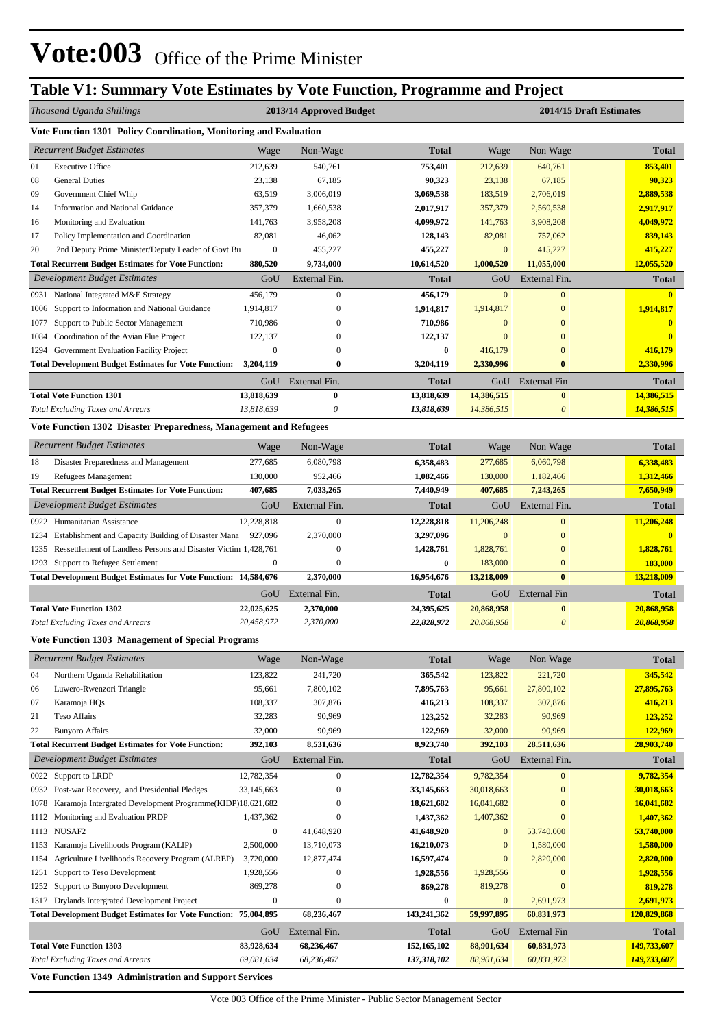# **Table V1: Summary Vote Estimates by Vote Function, Programme and Project**

|      | Thousand Uganda Shillings                                               | 2013/14 Approved Budget |                           |              |              | 2014/15 Draft Estimates   |                         |
|------|-------------------------------------------------------------------------|-------------------------|---------------------------|--------------|--------------|---------------------------|-------------------------|
|      | Vote Function 1301 Policy Coordination, Monitoring and Evaluation       |                         |                           |              |              |                           |                         |
|      | <b>Recurrent Budget Estimates</b>                                       | Wage                    | Non-Wage                  | <b>Total</b> | Wage         | Non Wage                  | <b>Total</b>            |
| 01   | <b>Executive Office</b>                                                 | 212,639                 | 540,761                   | 753,401      | 212,639      | 640,761                   | 853,401                 |
| 08   | <b>General Duties</b>                                                   | 23,138                  | 67,185                    | 90,323       | 23,138       | 67,185                    | 90,323                  |
| 09   | Government Chief Whip                                                   | 63,519                  | 3,006,019                 | 3,069,538    | 183,519      | 2,706,019                 | 2,889,538               |
| 14   | <b>Information and National Guidance</b>                                | 357,379                 | 1,660,538                 | 2,017,917    | 357,379      | 2,560,538                 | 2,917,917               |
| 16   | Monitoring and Evaluation                                               | 141,763                 | 3,958,208                 | 4,099,972    | 141,763      | 3,908,208                 | 4,049,972               |
| 17   | Policy Implementation and Coordination                                  | 82,081                  | 46,062                    | 128,143      | 82,081       | 757,062                   | 839,143                 |
| 20   | 2nd Deputy Prime Minister/Deputy Leader of Govt Bu                      | $\boldsymbol{0}$        | 455,227                   | 455,227      | $\mathbf{0}$ | 415,227                   | 415,227                 |
|      | <b>Total Recurrent Budget Estimates for Vote Function:</b>              | 880,520                 | 9,734,000                 | 10,614,520   | 1,000,520    | 11,055,000                | 12,055,520              |
|      | <b>Development Budget Estimates</b>                                     | GoU                     | External Fin.             | Total        | GoU          | External Fin.             | <b>Total</b>            |
| 0931 | National Integrated M&E Strategy                                        | 456,179                 | $\mathbf{0}$              | 456,179      | $\mathbf{0}$ | $\overline{0}$            | $\mathbf{0}$            |
| 1006 | Support to Information and National Guidance                            | 1,914,817               | $\boldsymbol{0}$          | 1,914,817    | 1,914,817    | $\bf{0}$                  | 1,914,817               |
| 1077 | Support to Public Sector Management                                     | 710,986                 | $\mathbf{0}$              | 710,986      | $\mathbf{0}$ | $\overline{0}$            | $\mathbf{0}$            |
| 1084 | Coordination of the Avian Flue Project                                  | 122,137                 | $\mathbf{0}$              | 122,137      | $\mathbf{0}$ | $\overline{0}$            | $\mathbf{0}$            |
| 1294 | Government Evaluation Facility Project                                  | $\boldsymbol{0}$        | $\boldsymbol{0}$          | $\bf{0}$     | 416,179      | $\bf{0}$                  | 416,179                 |
|      | <b>Total Development Budget Estimates for Vote Function:</b>            | 3,204,119               | $\bf{0}$                  | 3,204,119    | 2,330,996    | $\bf{0}$                  | 2,330,996               |
|      |                                                                         | GoU                     | External Fin.             | <b>Total</b> | GoU          | <b>External Fin</b>       | <b>Total</b>            |
|      | <b>Total Vote Function 1301</b>                                         | 13,818,639              | $\bf{0}$                  | 13,818,639   | 14,386,515   | $\bf{0}$                  | 14,386,515              |
|      | Total Excluding Taxes and Arrears                                       | 13,818,639              | $\boldsymbol{\mathit{0}}$ | 13,818,639   | 14,386,515   | $\boldsymbol{\theta}$     | 14,386,515              |
|      | Vote Function 1302 Disaster Preparedness, Management and Refugees       |                         |                           |              |              |                           |                         |
|      | <b>Recurrent Budget Estimates</b>                                       | Wage                    | Non-Wage                  | <b>Total</b> | Wage         | Non Wage                  | <b>Total</b>            |
| 18   | Disaster Preparedness and Management                                    | 277,685                 | 6,080,798                 | 6,358,483    | 277,685      | 6,060,798                 | 6,338,483               |
| 19   | Refugees Management                                                     | 130,000                 | 952,466                   | 1,082,466    | 130,000      | 1,182,466                 | 1,312,466               |
|      | <b>Total Recurrent Budget Estimates for Vote Function:</b>              | 407,685                 | 7,033,265                 | 7,440,949    | 407,685      | 7,243,265                 | 7,650,949               |
|      | Development Budget Estimates                                            | GoU                     | External Fin.             | <b>Total</b> | GoU          | External Fin.             | <b>Total</b>            |
| 0922 | Humanitarian Assistance                                                 | 12,228,818              | $\mathbf{0}$              | 12,228,818   | 11,206,248   | $\overline{0}$            | 11,206,248              |
| 1234 | Establishment and Capacity Building of Disaster Mana                    | 927,096                 | 2,370,000                 | 3,297,096    | $\mathbf{0}$ | $\bf{0}$                  | $\overline{\mathbf{0}}$ |
| 1235 | Ressettlement of Landless Persons and Disaster Victim 1,428,761         |                         | $\overline{0}$            | 1,428,761    | 1,828,761    | $\bf{0}$                  | 1,828,761               |
| 1293 | Support to Refugee Settlement                                           | $\boldsymbol{0}$        | $\overline{0}$            | $\bf{0}$     | 183,000      | $\bf{0}$                  | 183,000                 |
|      | <b>Total Development Budget Estimates for Vote Function: 14,584,676</b> |                         | 2,370,000                 | 16,954,676   | 13,218,009   | $\bf{0}$                  | 13,218,009              |
|      |                                                                         | GoU                     | External Fin.             | <b>Total</b> | GoU          | <b>External Fin</b>       | <b>Total</b>            |
|      | <b>Total Vote Function 1302</b>                                         | 22,025,625              | 2,370,000                 | 24,395,625   | 20,868,958   | $\boldsymbol{0}$          | 20,868,958              |
|      | <b>Total Excluding Taxes and Arrears</b>                                | 20,458,972              | 2,370,000                 | 22,828,972   | 20,868,958   | $\boldsymbol{\mathit{0}}$ | 20,868,958              |
|      | <b>Vote Function 1303 Management of Special Programs</b>                |                         |                           |              |              |                           |                         |
|      | <b>Recurrent Budget Estimates</b>                                       | Wage                    | Non-Wage                  | <b>Total</b> | Wage         | Non Wage                  | <b>Total</b>            |
| 04   | Northern Uganda Rehabilitation                                          | 123,822                 | 241,720                   | 365,542      | 123,822      | 221,720                   | 345,542                 |

| 04   | Northern Uganda Rehabilitation                                          | 123,822      | 241,720       | 365,542      | 123,822        | 221,720             | 345,542      |
|------|-------------------------------------------------------------------------|--------------|---------------|--------------|----------------|---------------------|--------------|
| 06   | Luwero-Rwenzori Triangle                                                | 95,661       | 7,800,102     | 7,895,763    | 95,661         | 27,800,102          | 27,895,763   |
| 07   | Karamoja HQs                                                            | 108,337      | 307,876       | 416,213      | 108,337        | 307,876             | 416,213      |
| 21   | <b>Teso Affairs</b>                                                     | 32,283       | 90,969        | 123,252      | 32,283         | 90,969              | 123,252      |
| 22   | <b>Bunyoro Affairs</b>                                                  | 32,000       | 90,969        | 122,969      | 32,000         | 90,969              | 122,969      |
|      | <b>Total Recurrent Budget Estimates for Vote Function:</b>              | 392,103      | 8,531,636     | 8,923,740    | 392,103        | 28,511,636          | 28,903,740   |
|      | Development Budget Estimates                                            | GoU          | External Fin. | <b>Total</b> | GoU            | External Fin.       | <b>Total</b> |
|      | 0022 Support to LRDP                                                    | 12,782,354   | $\mathbf{0}$  | 12,782,354   | 9,782,354      | $\mathbf{0}$        | 9,782,354    |
| 0932 | Post-war Recovery, and Presidential Pledges                             | 33,145,663   | $\Omega$      | 33,145,663   | 30,018,663     | $\Omega$            | 30,018,663   |
| 1078 | Karamoja Intergrated Development Programme(KIDP)18,621,682              |              | 0             | 18,621,682   | 16,041,682     | $\overline{0}$      | 16,041,682   |
| 1112 | Monitoring and Evaluation PRDP                                          | 1,437,362    | $\mathbf{0}$  | 1,437,362    | 1,407,362      | $\mathbf{0}$        | 1,407,362    |
|      | 1113 NUSAF2                                                             | $\Omega$     | 41,648,920    | 41,648,920   | $\overline{0}$ | 53,740,000          | 53,740,000   |
| 1153 | Karamoja Livelihoods Program (KALIP)                                    | 2,500,000    | 13,710,073    | 16,210,073   | $\overline{0}$ | 1,580,000           | 1,580,000    |
| 1154 | Agriculture Livelihoods Recovery Program (ALREP)                        | 3,720,000    | 12,877,474    | 16,597,474   | $\overline{0}$ | 2,820,000           | 2,820,000    |
| 1251 | Support to Teso Development                                             | 1,928,556    | 0             | 1,928,556    | 1,928,556      | $\theta$            | 1,928,556    |
| 1252 | Support to Bunyoro Development                                          | 869,278      | $\mathbf{0}$  | 869,278      | 819,278        | $\Omega$            | 819,278      |
| 1317 | Drylands Intergrated Development Project                                | $\mathbf{0}$ | $\mathbf{0}$  | $\bf{0}$     | $\mathbf{0}$   | 2,691,973           | 2,691,973    |
|      | <b>Total Development Budget Estimates for Vote Function: 75,004,895</b> |              | 68,236,467    | 143,241,362  | 59,997,895     | 60,831,973          | 120,829,868  |
|      |                                                                         | GoU          | External Fin. | <b>Total</b> | GoU            | <b>External Fin</b> | <b>Total</b> |
|      | <b>Total Vote Function 1303</b>                                         | 83,928,634   | 68,236,467    | 152,165,102  | 88,901,634     | 60,831,973          | 149,733,607  |
|      | <b>Total Excluding Taxes and Arrears</b>                                | 69,081,634   | 68,236,467    | 137,318,102  | 88,901,634     | 60,831,973          | 149,733,607  |

**Vote Function 1349 Administration and Support Services**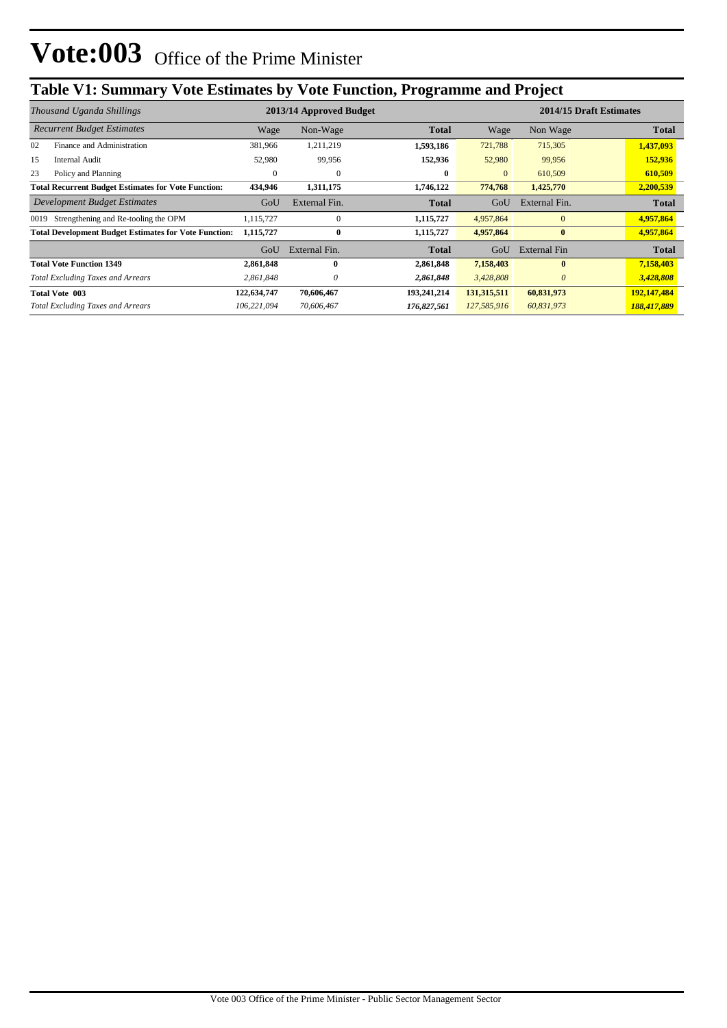# **Table V1: Summary Vote Estimates by Vote Function, Programme and Project**

|      | Thousand Uganda Shillings                                    |             | 2013/14 Approved Budget |              | 2014/15 Draft Estimates |                     |              |  |
|------|--------------------------------------------------------------|-------------|-------------------------|--------------|-------------------------|---------------------|--------------|--|
|      | <b>Recurrent Budget Estimates</b>                            | Wage        | Non-Wage                | <b>Total</b> | Wage                    | Non Wage            | <b>Total</b> |  |
| 02   | Finance and Administration                                   | 381,966     | 1,211,219               | 1,593,186    | 721,788                 | 715,305             | 1,437,093    |  |
| 15   | <b>Internal Audit</b>                                        | 52,980      | 99,956                  | 152,936      | 52,980                  | 99,956              | 152,936      |  |
| 23   | Policy and Planning                                          | 0           | $\mathbf{0}$            | $\bf{0}$     | $\overline{0}$          | 610,509             | 610,509      |  |
|      | <b>Total Recurrent Budget Estimates for Vote Function:</b>   | 434,946     | 1,311,175               | 1,746,122    | 774,768                 | 1,425,770           | 2,200,539    |  |
|      | Development Budget Estimates                                 | GoU         | External Fin.           | <b>Total</b> | GoU                     | External Fin.       | <b>Total</b> |  |
| 0019 | Strengthening and Re-tooling the OPM                         | 1,115,727   | $\mathbf{0}$            | 1,115,727    | 4,957,864               | $\mathbf{0}$        | 4,957,864    |  |
|      | <b>Total Development Budget Estimates for Vote Function:</b> | 1,115,727   | $\bf{0}$                | 1,115,727    | 4,957,864               | $\bf{0}$            | 4,957,864    |  |
|      |                                                              | GoU         | External Fin.           | <b>Total</b> | GoU                     | <b>External Fin</b> | <b>Total</b> |  |
|      | <b>Total Vote Function 1349</b>                              | 2,861,848   | $\mathbf{0}$            | 2,861,848    | 7,158,403               | $\bf{0}$            | 7,158,403    |  |
|      | <b>Total Excluding Taxes and Arrears</b>                     | 2,861,848   | 0                       | 2,861,848    | 3,428,808               | $\theta$            | 3,428,808    |  |
|      | Total Vote 003                                               | 122,634,747 | 70,606,467              | 193,241,214  | 131,315,511             | 60,831,973          | 192,147,484  |  |
|      | <b>Total Excluding Taxes and Arrears</b>                     | 106,221,094 | 70,606,467              | 176,827,561  | 127,585,916             | 60,831,973          | 188,417,889  |  |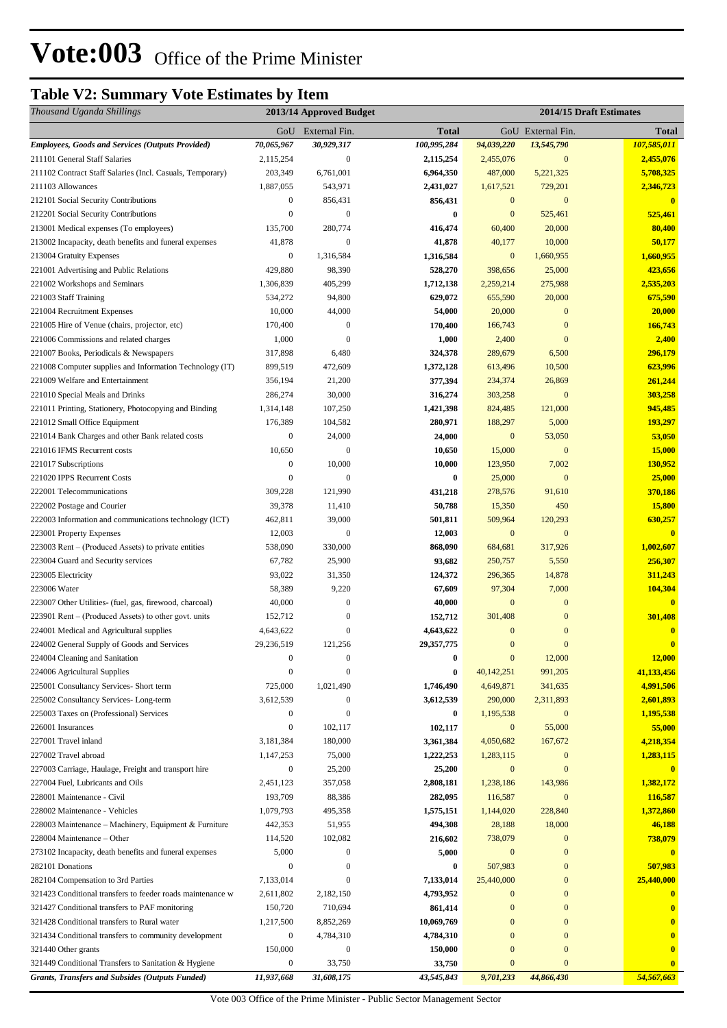## **Table V2: Summary Vote Estimates by Item**

| Thousand Uganda Shillings                                                        |                      | 2013/14 Approved Budget            |                       |                      |                          | 2014/15 Draft Estimates |
|----------------------------------------------------------------------------------|----------------------|------------------------------------|-----------------------|----------------------|--------------------------|-------------------------|
|                                                                                  |                      | GoU External Fin.                  | <b>Total</b>          |                      | GoU External Fin.        | <b>Total</b>            |
| <b>Employees, Goods and Services (Outputs Provided)</b>                          | 70,065,967           | 30,929,317                         | 100,995,284           | 94,039,220           | 13,545,790               | 107,585,011             |
| 211101 General Staff Salaries                                                    | 2,115,254            | $\boldsymbol{0}$                   | 2,115,254             | 2,455,076            | $\overline{0}$           | 2,455,076               |
| 211102 Contract Staff Salaries (Incl. Casuals, Temporary)                        | 203,349              | 6,761,001                          | 6,964,350             | 487,000              | 5,221,325                | 5,708,325               |
| 211103 Allowances                                                                | 1,887,055            | 543,971                            | 2,431,027             | 1,617,521            | 729,201                  | 2,346,723               |
| 212101 Social Security Contributions                                             | $\boldsymbol{0}$     | 856,431                            | 856,431               | $\mathbf{0}$         | $\overline{0}$           | $\overline{\mathbf{0}}$ |
| 212201 Social Security Contributions                                             | $\boldsymbol{0}$     | $\overline{0}$                     | $\bf{0}$              | $\mathbf{0}$         | 525,461                  | 525,461                 |
| 213001 Medical expenses (To employees)                                           | 135,700              | 280,774                            | 416,474               | 60,400               | 20,000                   | 80,400                  |
| 213002 Incapacity, death benefits and funeral expenses                           | 41,878               | $\mathbf{0}$                       | 41,878                | 40,177               | 10,000                   | 50,177                  |
| 213004 Gratuity Expenses                                                         | $\boldsymbol{0}$     | 1,316,584                          | 1,316,584             | $\boldsymbol{0}$     | 1,660,955                | 1,660,955               |
| 221001 Advertising and Public Relations                                          | 429,880              | 98,390                             | 528,270               | 398,656              | 25,000                   | 423,656                 |
| 221002 Workshops and Seminars                                                    | 1,306,839            | 405,299                            | 1,712,138             | 2,259,214            | 275,988                  | 2,535,203               |
| 221003 Staff Training<br>221004 Recruitment Expenses                             | 534,272<br>10,000    | 94,800<br>44,000                   | 629,072<br>54,000     | 655,590<br>20,000    | 20,000<br>$\overline{0}$ | 675,590<br>20,000       |
| 221005 Hire of Venue (chairs, projector, etc)                                    | 170,400              | $\mathbf{0}$                       | 170,400               | 166,743              | $\Omega$                 | 166,743                 |
| 221006 Commissions and related charges                                           | 1,000                | $\mathbf{0}$                       | 1,000                 | 2,400                | $\overline{0}$           | 2,400                   |
| 221007 Books, Periodicals & Newspapers                                           | 317,898              | 6,480                              | 324,378               | 289,679              | 6,500                    | 296,179                 |
| 221008 Computer supplies and Information Technology (IT)                         | 899,519              | 472,609                            | 1,372,128             | 613,496              | 10,500                   | 623,996                 |
| 221009 Welfare and Entertainment                                                 | 356,194              | 21,200                             | 377,394               | 234,374              | 26,869                   | 261,244                 |
| 221010 Special Meals and Drinks                                                  | 286,274              | 30,000                             | 316,274               | 303,258              | $\mathbf{0}$             | 303,258                 |
| 221011 Printing, Stationery, Photocopying and Binding                            | 1,314,148            | 107,250                            | 1,421,398             | 824,485              | 121,000                  | 945,485                 |
| 221012 Small Office Equipment                                                    | 176,389              | 104,582                            | 280,971               | 188,297              | 5,000                    | 193,297                 |
| 221014 Bank Charges and other Bank related costs                                 | $\boldsymbol{0}$     | 24,000                             | 24,000                | $\mathbf{0}$         | 53,050                   | 53,050                  |
| 221016 IFMS Recurrent costs                                                      | 10,650               | $\boldsymbol{0}$                   | 10,650                | 15,000               | $\mathbf{0}$             | 15,000                  |
| 221017 Subscriptions                                                             | $\overline{0}$       | 10,000                             | 10,000                | 123,950              | 7,002                    | 130,952                 |
| 221020 IPPS Recurrent Costs                                                      | $\boldsymbol{0}$     | $\mathbf{0}$                       | $\bf{0}$              | 25,000               | $\mathbf{0}$             | 25,000                  |
| 222001 Telecommunications                                                        | 309,228              | 121,990                            | 431,218               | 278,576              | 91,610                   | 370,186                 |
| 222002 Postage and Courier                                                       | 39,378               | 11,410                             | 50,788                | 15,350               | 450                      | 15,800                  |
| 222003 Information and communications technology (ICT)                           | 462,811              | 39,000                             | 501,811               | 509,964              | 120,293                  | 630,257                 |
| 223001 Property Expenses                                                         | 12,003               | $\boldsymbol{0}$                   | 12,003                | $\boldsymbol{0}$     | $\mathbf{0}$             | $\mathbf{0}$            |
| 223003 Rent – (Produced Assets) to private entities                              | 538,090              | 330,000                            | 868,090               | 684,681              | 317,926                  | 1,002,607               |
| 223004 Guard and Security services                                               | 67,782               | 25,900                             | 93,682                | 250,757              | 5,550                    | 256,307                 |
| 223005 Electricity                                                               | 93,022               | 31,350                             | 124,372               | 296,365              | 14,878                   | 311,243                 |
| 223006 Water                                                                     | 58,389               | 9,220                              | 67,609                | 97,304               | 7,000                    | 104,304                 |
| 223007 Other Utilities- (fuel, gas, firewood, charcoal)                          | 40,000               | $\mathbf{0}$                       | 40,000                | $\mathbf{0}$         | $\mathbf{0}$             | $\overline{\mathbf{0}}$ |
| 223901 Rent – (Produced Assets) to other govt. units                             | 152,712              | $\boldsymbol{0}$                   | 152,712               | 301,408              | $\overline{0}$           | 301,408                 |
| 224001 Medical and Agricultural supplies                                         | 4,643,622            | $\mathbf{0}$                       | 4,643,622             | $\boldsymbol{0}$     | $\mathbf{0}$             | $\mathbf{0}$            |
| 224002 General Supply of Goods and Services                                      | 29,236,519           | 121,256                            | 29,357,775            | $\mathbf{0}$         | $\overline{0}$           | $\bf{0}$                |
| 224004 Cleaning and Sanitation                                                   | $\overline{0}$       | $\boldsymbol{0}$<br>$\overline{0}$ | $\boldsymbol{0}$      | $\boldsymbol{0}$     | 12,000                   | 12,000                  |
| 224006 Agricultural Supplies                                                     | $\mathbf{0}$         | 1,021,490                          | $\bf{0}$              | 40,142,251           | 991,205                  | 41,133,456<br>4,991,506 |
| 225001 Consultancy Services- Short term<br>225002 Consultancy Services-Long-term | 725,000<br>3,612,539 | $\boldsymbol{0}$                   | 1,746,490             | 4,649,871<br>290,000 | 341,635<br>2,311,893     | 2,601,893               |
| 225003 Taxes on (Professional) Services                                          | $\boldsymbol{0}$     | $\mathbf{0}$                       | 3,612,539<br>$\bf{0}$ | 1,195,538            | $\mathbf{0}$             | 1,195,538               |
| 226001 Insurances                                                                | 0                    | 102,117                            | 102,117               | $\boldsymbol{0}$     | 55,000                   | 55,000                  |
| 227001 Travel inland                                                             | 3,181,384            | 180,000                            | 3,361,384             | 4,050,682            | 167,672                  | 4,218,354               |
| 227002 Travel abroad                                                             | 1,147,253            | 75,000                             | 1,222,253             | 1,283,115            | $\bf{0}$                 | 1,283,115               |
| 227003 Carriage, Haulage, Freight and transport hire                             | $\boldsymbol{0}$     | 25,200                             | 25,200                | $\boldsymbol{0}$     | $\overline{0}$           | $\mathbf{0}$            |
| 227004 Fuel, Lubricants and Oils                                                 | 2,451,123            | 357,058                            | 2,808,181             | 1,238,186            | 143,986                  | 1,382,172               |
| 228001 Maintenance - Civil                                                       | 193,709              | 88,386                             | 282,095               | 116,587              | $\mathbf{0}$             | 116,587                 |
| 228002 Maintenance - Vehicles                                                    | 1,079,793            | 495,358                            | 1,575,151             | 1,144,020            | 228,840                  | 1,372,860               |
| 228003 Maintenance – Machinery, Equipment & Furniture                            | 442,353              | 51,955                             | 494,308               | 28,188               | 18,000                   | 46,188                  |
| 228004 Maintenance – Other                                                       | 114,520              | 102,082                            | 216,602               | 738,079              | $\boldsymbol{0}$         | 738,079                 |
| 273102 Incapacity, death benefits and funeral expenses                           | 5,000                | $\mathbf{0}$                       | 5,000                 | $\mathbf{0}$         | $\mathbf{0}$             |                         |
| 282101 Donations                                                                 | $\boldsymbol{0}$     | $\mathbf{0}$                       | $\bf{0}$              | 507,983              | $\mathbf{0}$             | 507,983                 |
| 282104 Compensation to 3rd Parties                                               | 7,133,014            | $\theta$                           | 7,133,014             | 25,440,000           | $\mathbf{0}$             | 25,440,000              |
| 321423 Conditional transfers to feeder roads maintenance w                       | 2,611,802            | 2,182,150                          | 4,793,952             | $\boldsymbol{0}$     | $\mathbf{0}$             |                         |
| 321427 Conditional transfers to PAF monitoring                                   | 150,720              | 710,694                            | 861,414               | $\boldsymbol{0}$     | $\mathbf{0}$             | $\bf{0}$                |
| 321428 Conditional transfers to Rural water                                      | 1,217,500            | 8,852,269                          | 10,069,769            | $\mathbf{0}$         | $\overline{0}$           | $\bf{0}$                |
| 321434 Conditional transfers to community development                            | $\boldsymbol{0}$     | 4,784,310                          | 4,784,310             | $\mathbf{0}$         | $\mathbf{0}$             | $\bf{0}$                |
| 321440 Other grants                                                              | 150,000              | $\boldsymbol{0}$                   | 150,000               | $\mathbf{0}$         | $\mathbf{0}$             | $\bf{0}$                |
| 321449 Conditional Transfers to Sanitation & Hygiene                             | $\boldsymbol{0}$     | 33,750                             | 33,750                | $\mathbf{0}$         | $\overline{0}$           | $\bf{0}$                |
| Grants, Transfers and Subsides (Outputs Funded)                                  | 11,937,668           | 31,608,175                         | 43,545,843            | 9,701,233            | 44,866,430               | 54,567,663              |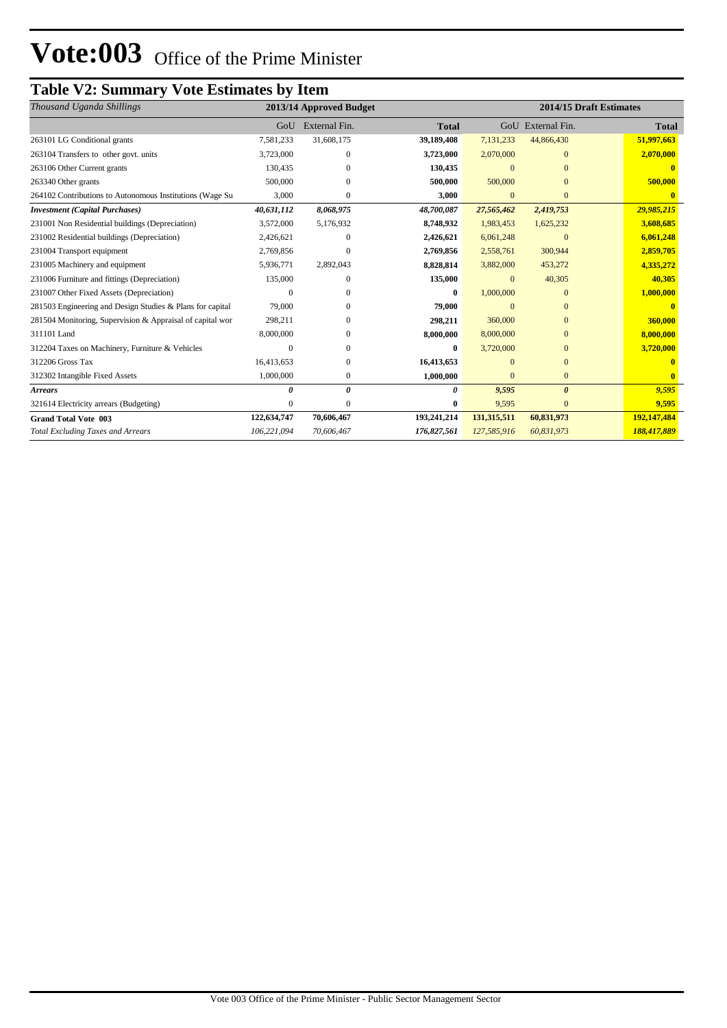## **Table V2: Summary Vote Estimates by Item**

| Thousand Uganda Shillings                                 | 2013/14 Approved Budget |               |              | 2014/15 Draft Estimates |                   |              |  |
|-----------------------------------------------------------|-------------------------|---------------|--------------|-------------------------|-------------------|--------------|--|
|                                                           | GoU                     | External Fin. | <b>Total</b> |                         | GoU External Fin. | <b>Total</b> |  |
| 263101 LG Conditional grants                              | 7,581,233               | 31,608,175    | 39,189,408   | 7,131,233               | 44,866,430        | 51,997,663   |  |
| 263104 Transfers to other govt. units                     | 3,723,000               | $\Omega$      | 3,723,000    | 2,070,000               | $\Omega$          | 2,070,000    |  |
| 263106 Other Current grants                               | 130,435                 | 0             | 130,435      | $\Omega$                | $\Omega$          |              |  |
| 263340 Other grants                                       | 500,000                 | $\Omega$      | 500,000      | 500,000                 | $\Omega$          | 500,000      |  |
| 264102 Contributions to Autonomous Institutions (Wage Su  | 3,000                   | $\Omega$      | 3,000        | $\mathbf{0}$            | $\overline{0}$    |              |  |
| <b>Investment (Capital Purchases)</b>                     | 40,631,112              | 8,068,975     | 48,700,087   | 27,565,462              | 2,419,753         | 29,985,215   |  |
| 231001 Non Residential buildings (Depreciation)           | 3,572,000               | 5,176,932     | 8,748,932    | 1,983,453               | 1,625,232         | 3,608,685    |  |
| 231002 Residential buildings (Depreciation)               | 2,426,621               | $\Omega$      | 2,426,621    | 6,061,248               | $\theta$          | 6,061,248    |  |
| 231004 Transport equipment                                | 2,769,856               | $\Omega$      | 2,769,856    | 2,558,761               | 300,944           | 2,859,705    |  |
| 231005 Machinery and equipment                            | 5,936,771               | 2,892,043     | 8,828,814    | 3,882,000               | 453,272           | 4,335,272    |  |
| 231006 Furniture and fittings (Depreciation)              | 135,000                 | $\Omega$      | 135,000      | $\mathbf{0}$            | 40,305            | 40,305       |  |
| 231007 Other Fixed Assets (Depreciation)                  |                         | $\Omega$      | $\bf{0}$     | 1,000,000               | $\Omega$          | 1,000,000    |  |
| 281503 Engineering and Design Studies & Plans for capital | 79,000                  | $\Omega$      | 79,000       | $\Omega$                | $\Omega$          |              |  |
| 281504 Monitoring, Supervision & Appraisal of capital wor | 298,211                 | $\Omega$      | 298,211      | 360,000                 | $\Omega$          | 360,000      |  |
| 311101 Land                                               | 8,000,000               | $\Omega$      | 8,000,000    | 8,000,000               | $\Omega$          | 8,000,000    |  |
| 312204 Taxes on Machinery, Furniture & Vehicles           |                         | $\Omega$      | 0            | 3,720,000               | $\Omega$          | 3,720,000    |  |
| 312206 Gross Tax                                          | 16,413,653              | $\mathbf{0}$  | 16,413,653   | $\Omega$                | $\Omega$          |              |  |
| 312302 Intangible Fixed Assets                            | 1,000,000               | $\mathbf{0}$  | 1,000,000    | $\mathbf{0}$            | $\mathbf{0}$      |              |  |
| <b>Arrears</b>                                            |                         | 0             | 0            | 9,595                   | $\theta$          | 9,595        |  |
| 321614 Electricity arrears (Budgeting)                    | $\Omega$                | $\Omega$      | $\mathbf{0}$ | 9,595                   | $\overline{0}$    | 9,595        |  |
| <b>Grand Total Vote 003</b>                               | 122,634,747             | 70,606,467    | 193,241,214  | 131,315,511             | 60,831,973        | 192,147,484  |  |
| <b>Total Excluding Taxes and Arrears</b>                  | 106,221,094             | 70,606,467    | 176,827,561  | 127,585,916             | 60,831,973        | 188,417,889  |  |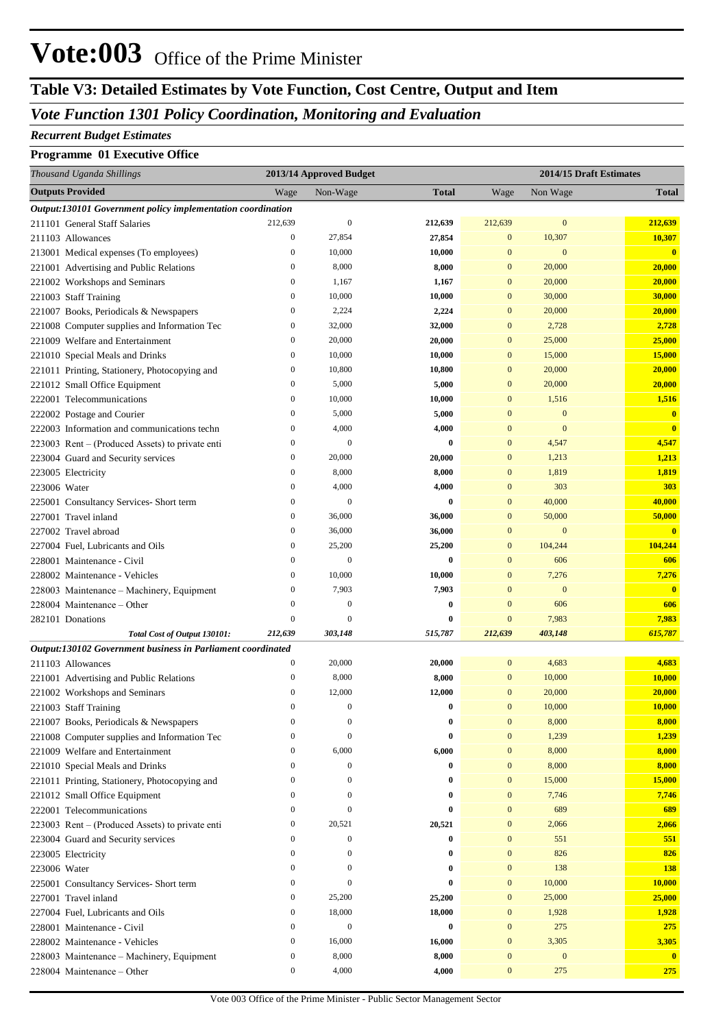# **Table V3: Detailed Estimates by Vote Function, Cost Centre, Output and Item**

## *Vote Function 1301 Policy Coordination, Monitoring and Evaluation*

#### *Recurrent Budget Estimates*

#### **Programme 01 Executive Office**

| Thousand Uganda Shillings                                   |                                                             |                                  | 2013/14 Approved Budget    |                    |                              |                  | 2014/15 Draft Estimates |
|-------------------------------------------------------------|-------------------------------------------------------------|----------------------------------|----------------------------|--------------------|------------------------------|------------------|-------------------------|
| <b>Outputs Provided</b>                                     |                                                             | Wage                             | Non-Wage                   | <b>Total</b>       | Wage                         | Non Wage         | <b>Total</b>            |
|                                                             | Output:130101 Government policy implementation coordination |                                  |                            |                    |                              |                  |                         |
| 211101 General Staff Salaries                               |                                                             | 212,639                          | $\mathbf{0}$               | 212,639            | 212,639                      | $\mathbf{0}$     | 212,639                 |
| 211103 Allowances                                           |                                                             | $\boldsymbol{0}$                 | 27,854                     | 27,854             | $\boldsymbol{0}$             | 10,307           | 10,307                  |
| 213001 Medical expenses (To employees)                      |                                                             | $\boldsymbol{0}$                 | 10,000                     | 10,000             | $\mathbf{0}$                 | $\mathbf{0}$     | $\overline{\mathbf{0}}$ |
| 221001 Advertising and Public Relations                     |                                                             | $\boldsymbol{0}$                 | 8,000                      | 8,000              | $\mathbf{0}$                 | 20,000           | 20,000                  |
| 221002 Workshops and Seminars                               |                                                             | $\boldsymbol{0}$                 | 1,167                      | 1,167              | $\mathbf{0}$                 | 20,000           | 20,000                  |
| 221003 Staff Training                                       |                                                             | $\boldsymbol{0}$                 | 10,000                     | 10,000             | $\mathbf{0}$                 | 30,000           | 30,000                  |
| 221007 Books, Periodicals & Newspapers                      |                                                             | $\boldsymbol{0}$                 | 2,224                      | 2,224              | $\mathbf{0}$                 | 20,000           | 20,000                  |
|                                                             | 221008 Computer supplies and Information Tec                | $\boldsymbol{0}$                 | 32,000                     | 32,000             | $\mathbf{0}$                 | 2,728            | 2,728                   |
| 221009 Welfare and Entertainment                            |                                                             | $\boldsymbol{0}$                 | 20,000                     | 20,000             | $\mathbf{0}$                 | 25,000           | 25,000                  |
| 221010 Special Meals and Drinks                             |                                                             | $\boldsymbol{0}$                 | 10,000                     | 10,000             | $\mathbf{0}$                 | 15,000           | 15,000                  |
|                                                             | 221011 Printing, Stationery, Photocopying and               | $\boldsymbol{0}$                 | 10,800                     | 10,800             | $\mathbf{0}$                 | 20,000           | 20,000                  |
| 221012 Small Office Equipment                               |                                                             | $\boldsymbol{0}$                 | 5,000                      | 5,000              | $\mathbf{0}$                 | 20,000           | 20,000                  |
| 222001 Telecommunications                                   |                                                             | $\boldsymbol{0}$                 | 10,000                     | 10,000             | $\mathbf{0}$                 | 1,516            | 1,516                   |
| 222002 Postage and Courier                                  |                                                             | $\boldsymbol{0}$                 | 5,000                      | 5,000              | $\mathbf{0}$                 | $\mathbf{0}$     | $\bf{0}$                |
|                                                             | 222003 Information and communications techn                 | $\boldsymbol{0}$                 | 4,000                      | 4,000              | $\mathbf{0}$                 | $\mathbf{0}$     | $\overline{\mathbf{0}}$ |
|                                                             | 223003 Rent – (Produced Assets) to private enti             | $\boldsymbol{0}$                 | $\mathbf{0}$               | $\bf{0}$           | $\mathbf{0}$                 | 4,547            | 4,547                   |
| 223004 Guard and Security services                          |                                                             | $\boldsymbol{0}$                 | 20,000                     | 20,000             | $\mathbf{0}$                 | 1,213            | 1,213                   |
| 223005 Electricity                                          |                                                             | $\boldsymbol{0}$                 | 8,000                      | 8,000              | $\mathbf{0}$                 | 1,819            | 1,819                   |
| 223006 Water                                                |                                                             | $\boldsymbol{0}$                 | 4,000                      | 4,000              | $\mathbf{0}$                 | 303              | 303                     |
| 225001 Consultancy Services- Short term                     |                                                             | $\boldsymbol{0}$<br>$\mathbf{0}$ | $\boldsymbol{0}$<br>36,000 | $\bf{0}$           | $\mathbf{0}$<br>$\mathbf{0}$ | 40,000<br>50,000 | 40,000                  |
| 227001 Travel inland                                        |                                                             | $\boldsymbol{0}$                 | 36,000                     | 36,000             | $\mathbf{0}$                 | $\mathbf{0}$     | 50,000                  |
| 227002 Travel abroad                                        |                                                             | $\boldsymbol{0}$                 | 25,200                     | 36,000             | $\mathbf{0}$                 | 104,244          | $\bf{0}$<br>104,244     |
| 227004 Fuel, Lubricants and Oils                            |                                                             | $\mathbf{0}$                     | $\boldsymbol{0}$           | 25,200<br>$\bf{0}$ | $\mathbf{0}$                 | 606              | 606                     |
| 228001 Maintenance - Civil<br>228002 Maintenance - Vehicles |                                                             | $\boldsymbol{0}$                 | 10,000                     | 10,000             | $\mathbf{0}$                 | 7,276            | 7,276                   |
|                                                             | 228003 Maintenance - Machinery, Equipment                   | $\boldsymbol{0}$                 | 7,903                      | 7,903              | $\mathbf{0}$                 | $\mathbf{0}$     | $\mathbf{0}$            |
| 228004 Maintenance - Other                                  |                                                             | $\boldsymbol{0}$                 | $\boldsymbol{0}$           | $\bf{0}$           | $\mathbf{0}$                 | 606              | 606                     |
| 282101 Donations                                            |                                                             | $\boldsymbol{0}$                 | $\overline{0}$             | 0                  | $\mathbf{0}$                 | 7,983            | 7,983                   |
|                                                             | Total Cost of Output 130101:                                | 212,639                          | 303,148                    | 515,787            | 212,639                      | 403,148          | 615,787                 |
|                                                             | Output:130102 Government business in Parliament coordinated |                                  |                            |                    |                              |                  |                         |
| 211103 Allowances                                           |                                                             | $\boldsymbol{0}$                 | 20,000                     | 20,000             | $\bf{0}$                     | 4,683            | 4,683                   |
| 221001 Advertising and Public Relations                     |                                                             | $\boldsymbol{0}$                 | 8,000                      | 8,000              | $\mathbf{0}$                 | 10,000           | 10,000                  |
| 221002 Workshops and Seminars                               |                                                             | $\boldsymbol{0}$                 | 12,000                     | 12,000             | $\bf{0}$                     | 20,000           | 20,000                  |
| 221003 Staff Training                                       |                                                             | $\mathbf{0}$                     | $\mathbf{0}$               | $\bf{0}$           | $\mathbf{0}$                 | 10,000           | 10,000                  |
| 221007 Books, Periodicals & Newspapers                      |                                                             | $\boldsymbol{0}$                 | $\mathbf{0}$               | $\bf{0}$           | $\boldsymbol{0}$             | 8,000            | 8,000                   |
|                                                             | 221008 Computer supplies and Information Tec                | $\boldsymbol{0}$                 | $\theta$                   | $\bf{0}$           | $\mathbf{0}$                 | 1,239            | 1,239                   |
| 221009 Welfare and Entertainment                            |                                                             | $\boldsymbol{0}$                 | 6,000                      | 6,000              | $\boldsymbol{0}$             | 8,000            | 8,000                   |
| 221010 Special Meals and Drinks                             |                                                             | $\boldsymbol{0}$                 | $\boldsymbol{0}$           | $\bf{0}$           | $\boldsymbol{0}$             | 8,000            | 8,000                   |
|                                                             | 221011 Printing, Stationery, Photocopying and               | $\boldsymbol{0}$                 | $\mathbf{0}$               | 0                  | $\boldsymbol{0}$             | 15,000           | <b>15,000</b>           |
| 221012 Small Office Equipment                               |                                                             | $\boldsymbol{0}$                 | $\mathbf{0}$               | $\bf{0}$           | $\boldsymbol{0}$             | 7,746            | 7,746                   |
| 222001 Telecommunications                                   |                                                             | $\boldsymbol{0}$                 | $\theta$                   | $\bf{0}$           | $\boldsymbol{0}$             | 689              | 689                     |
|                                                             | 223003 Rent - (Produced Assets) to private enti             | $\boldsymbol{0}$                 | 20,521                     | 20,521             | $\boldsymbol{0}$             | 2,066            | 2,066                   |
| 223004 Guard and Security services                          |                                                             | $\boldsymbol{0}$                 | $\boldsymbol{0}$           | $\bf{0}$           | $\boldsymbol{0}$             | 551              | 551                     |
| 223005 Electricity                                          |                                                             | $\boldsymbol{0}$                 | $\mathbf{0}$               | 0                  | $\boldsymbol{0}$             | 826              | 826                     |
| 223006 Water                                                |                                                             | $\boldsymbol{0}$                 | $\mathbf{0}$               | $\bf{0}$           | $\boldsymbol{0}$             | 138              | <b>138</b>              |
| 225001 Consultancy Services- Short term                     |                                                             | $\boldsymbol{0}$                 | $\theta$                   | $\bf{0}$           | $\boldsymbol{0}$             | 10,000           | 10,000                  |
| 227001 Travel inland                                        |                                                             | $\boldsymbol{0}$                 | 25,200                     | 25,200             | $\boldsymbol{0}$             | 25,000           | 25,000                  |
| 227004 Fuel, Lubricants and Oils                            |                                                             | $\boldsymbol{0}$                 | 18,000                     | 18,000             | $\boldsymbol{0}$             | 1,928            | 1,928                   |
| 228001 Maintenance - Civil                                  |                                                             | $\boldsymbol{0}$                 | $\boldsymbol{0}$           | $\bf{0}$           | $\boldsymbol{0}$             | 275              | <b>275</b>              |
| 228002 Maintenance - Vehicles                               |                                                             | $\boldsymbol{0}$                 | 16,000                     | 16,000             | $\boldsymbol{0}$             | 3,305            | 3,305                   |
|                                                             | 228003 Maintenance - Machinery, Equipment                   | $\boldsymbol{0}$                 | 8,000                      | 8,000              | $\boldsymbol{0}$             | $\mathbf{0}$     | $\mathbf{0}$            |
| 228004 Maintenance - Other                                  |                                                             | $\boldsymbol{0}$                 | 4,000                      | 4,000              | $\boldsymbol{0}$             | 275              | 275                     |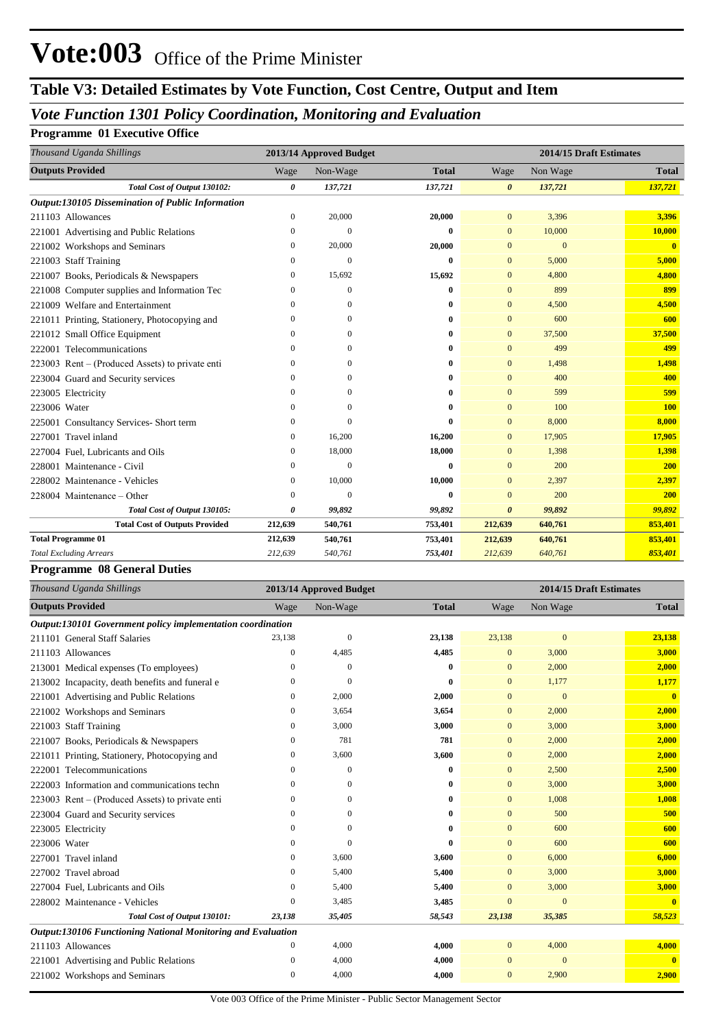## **Table V3: Detailed Estimates by Vote Function, Cost Centre, Output and Item**

## *Vote Function 1301 Policy Coordination, Monitoring and Evaluation*

### **Programme 01 Executive Office**

| Thousand Uganda Shillings                         |              | 2013/14 Approved Budget |              | 2014/15 Draft Estimates |                |              |  |
|---------------------------------------------------|--------------|-------------------------|--------------|-------------------------|----------------|--------------|--|
| <b>Outputs Provided</b>                           | Wage         | Non-Wage                | <b>Total</b> | Wage                    | Non Wage       | <b>Total</b> |  |
| Total Cost of Output 130102:                      | 0            | 137,721                 | 137,721      | $\boldsymbol{\theta}$   | 137,721        | 137,721      |  |
| Output:130105 Dissemination of Public Information |              |                         |              |                         |                |              |  |
| 211103 Allowances                                 | $\Omega$     | 20,000                  | 20,000       | $\mathbf{0}$            | 3,396          | 3,396        |  |
| 221001 Advertising and Public Relations           | $\mathbf{0}$ | $\mathbf{0}$            | 0            | $\mathbf{0}$            | 10,000         | 10,000       |  |
| 221002 Workshops and Seminars                     | 0            | 20,000                  | 20,000       | $\mathbf{0}$            | $\overline{0}$ | $\bf{0}$     |  |
| 221003 Staff Training                             | $\Omega$     | $\mathbf{0}$            | 0            | $\mathbf{0}$            | 5,000          | 5,000        |  |
| 221007 Books, Periodicals & Newspapers            | $\mathbf{0}$ | 15,692                  | 15,692       | $\overline{0}$          | 4,800          | 4,800        |  |
| 221008 Computer supplies and Information Tec      | $\Omega$     | $\theta$                | 0            | $\Omega$                | 899            | 899          |  |
| 221009 Welfare and Entertainment                  | $\Omega$     | 0                       | 0            | $\mathbf{0}$            | 4,500          | 4,500        |  |
| 221011 Printing, Stationery, Photocopying and     | $\Omega$     | $\Omega$                | 0            | $\mathbf{0}$            | 600            | 600          |  |
| 221012 Small Office Equipment                     | $\Omega$     | $\Omega$                | 0            | $\mathbf{0}$            | 37,500         | 37,500       |  |
| 222001 Telecommunications                         | $\Omega$     | $\Omega$                | 0            | $\overline{0}$          | 499            | 499          |  |
| 223003 Rent – (Produced Assets) to private enti-  | $\Omega$     | $\Omega$                | 0            | $\mathbf{0}$            | 1,498          | 1,498        |  |
| 223004 Guard and Security services                | $\Omega$     | 0                       | 0            | $\mathbf{0}$            | 400            | 400          |  |
| 223005 Electricity                                | $\Omega$     | 0                       | 0            | $\Omega$                | 599            | 599          |  |
| 223006 Water                                      | $\Omega$     | $\Omega$                | 0            | $\mathbf{0}$            | 100            | <b>100</b>   |  |
| 225001 Consultancy Services- Short term           | $\mathbf{0}$ | $\theta$                | 0            | $\mathbf{0}$            | 8,000          | 8,000        |  |
| 227001 Travel inland                              | 0            | 16,200                  | 16,200       | $\mathbf{0}$            | 17,905         | 17,905       |  |
| 227004 Fuel, Lubricants and Oils                  | $\Omega$     | 18,000                  | 18,000       | $\Omega$                | 1,398          | 1,398        |  |
| 228001 Maintenance - Civil                        | $\mathbf{0}$ | $\mathbf{0}$            | 0            | $\mathbf{0}$            | 200            | <b>200</b>   |  |
| 228002 Maintenance - Vehicles                     | $\mathbf{0}$ | 10,000                  | 10,000       | $\mathbf{0}$            | 2,397          | 2,397        |  |
| 228004 Maintenance – Other                        | $\Omega$     | $\theta$                | 0            | $\overline{0}$          | 200            | 200          |  |
| Total Cost of Output 130105:                      | 0            | 99,892                  | 99,892       | $\boldsymbol{\theta}$   | 99,892         | 99,892       |  |
| <b>Total Cost of Outputs Provided</b>             | 212,639      | 540,761                 | 753,401      | 212,639                 | 640,761        | 853,401      |  |
| <b>Total Programme 01</b>                         | 212,639      | 540,761                 | 753,401      | 212,639                 | 640,761        | 853,401      |  |
| <b>Total Excluding Arrears</b>                    | 212,639      | 540,761                 | 753,401      | 212,639                 | 640,761        | 853,401      |  |

#### **Programme 08 General Duties**

| Thousand Uganda Shillings                                    | 2013/14 Approved Budget |                |              | 2014/15 Draft Estimates |                |                         |  |
|--------------------------------------------------------------|-------------------------|----------------|--------------|-------------------------|----------------|-------------------------|--|
| <b>Outputs Provided</b>                                      | Wage                    | Non-Wage       | <b>Total</b> | Wage                    | Non Wage       | <b>Total</b>            |  |
| Output:130101 Government policy implementation coordination  |                         |                |              |                         |                |                         |  |
| 211101 General Staff Salaries                                | 23,138                  | $\mathbf{0}$   | 23,138       | 23,138                  | $\mathbf{0}$   | 23,138                  |  |
| 211103 Allowances                                            | 0                       | 4,485          | 4,485        | $\Omega$                | 3,000          | 3,000                   |  |
| 213001 Medical expenses (To employees)                       | $\Omega$                | $\mathbf{0}$   | 0            | $\mathbf{0}$            | 2,000          | 2,000                   |  |
| 213002 Incapacity, death benefits and funeral e              | 0                       | $\overline{0}$ | 0            | $\mathbf{0}$            | 1,177          | 1,177                   |  |
| 221001 Advertising and Public Relations                      | 0                       | 2,000          | 2,000        | $\mathbf{0}$            | $\overline{0}$ | $\mathbf{0}$            |  |
| 221002 Workshops and Seminars                                | $\mathbf{0}$            | 3,654          | 3,654        | $\mathbf{0}$            | 2,000          | 2,000                   |  |
| 221003 Staff Training                                        | 0                       | 3,000          | 3,000        | $\mathbf{0}$            | 3,000          | 3,000                   |  |
| 221007 Books, Periodicals & Newspapers                       | $\mathbf{0}$            | 781            | 781          | $\mathbf{0}$            | 2,000          | 2,000                   |  |
| 221011 Printing, Stationery, Photocopying and                | $\mathbf{0}$            | 3,600          | 3,600        | $\mathbf{0}$            | 2,000          | 2,000                   |  |
| 222001 Telecommunications                                    | $\Omega$                | $\mathbf{0}$   | 0            | $\mathbf{0}$            | 2,500          | 2,500                   |  |
| 222003 Information and communications techn                  | $\Omega$                | $\mathbf{0}$   | 0            | $\mathbf{0}$            | 3,000          | 3,000                   |  |
| 223003 Rent – (Produced Assets) to private enti              | $\Omega$                | $\Omega$       | 0            | $\mathbf{0}$            | 1,008          | 1,008                   |  |
| 223004 Guard and Security services                           | 0                       | $\mathbf{0}$   | 0            | $\mathbf{0}$            | 500            | 500                     |  |
| 223005 Electricity                                           | $\Omega$                | $\Omega$       | 0            | $\Omega$                | 600            | 600                     |  |
| 223006 Water                                                 | 0                       | $\theta$       | 0            | $\mathbf{0}$            | 600            | 600                     |  |
| 227001 Travel inland                                         | $\mathbf{0}$            | 3,600          | 3,600        | $\Omega$                | 6,000          | 6,000                   |  |
| 227002 Travel abroad                                         | $\Omega$                | 5,400          | 5,400        | $\mathbf{0}$            | 3,000          | 3,000                   |  |
| 227004 Fuel, Lubricants and Oils                             | $\Omega$                | 5,400          | 5,400        | $\mathbf{0}$            | 3,000          | 3,000                   |  |
| 228002 Maintenance - Vehicles                                | $\mathbf{0}$            | 3,485          | 3,485        | $\mathbf{0}$            | $\mathbf{0}$   | $\overline{\mathbf{0}}$ |  |
| Total Cost of Output 130101:                                 | 23,138                  | 35,405         | 58,543       | 23,138                  | 35,385         | 58,523                  |  |
| Output:130106 Functioning National Monitoring and Evaluation |                         |                |              |                         |                |                         |  |
| 211103 Allowances                                            | 0                       | 4,000          | 4,000        | $\overline{0}$          | 4,000          | 4,000                   |  |
| 221001 Advertising and Public Relations                      | 0                       | 4,000          | 4,000        | $\Omega$                | $\overline{0}$ | $\mathbf{0}$            |  |
| 221002 Workshops and Seminars                                | $\mathbf{0}$            | 4,000          | 4,000        | $\mathbf{0}$            | 2,900          | 2,900                   |  |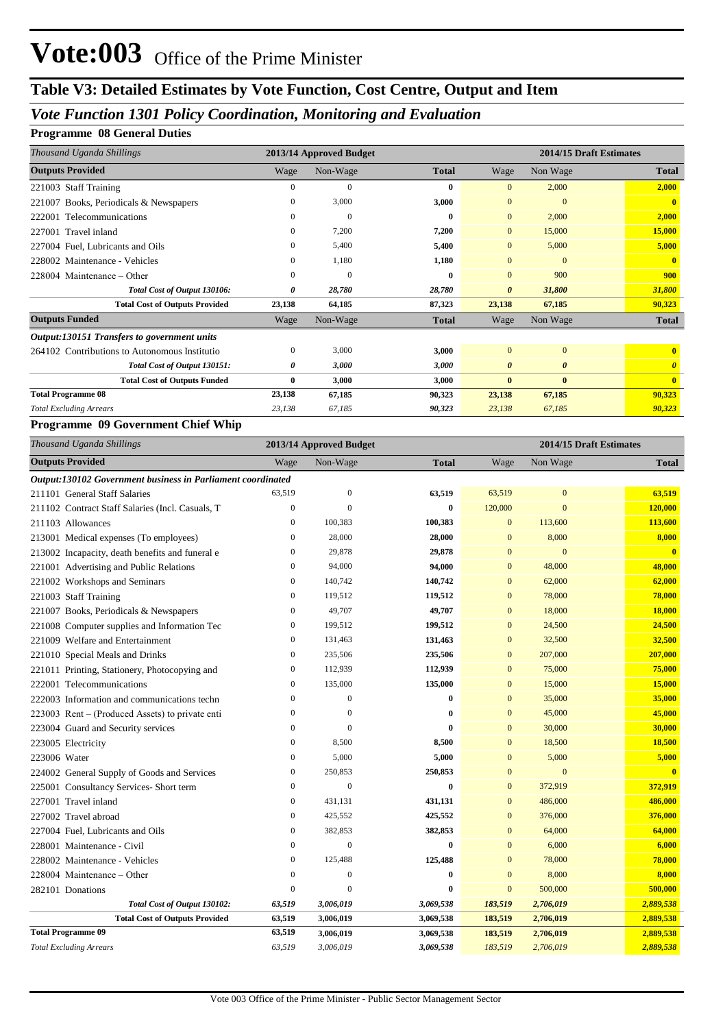## **Table V3: Detailed Estimates by Vote Function, Cost Centre, Output and Item**

### *Vote Function 1301 Policy Coordination, Monitoring and Evaluation*

### **Programme 08 General Duties**

| Thousand Uganda Shillings                     | 2013/14 Approved Budget |          |              | 2014/15 Draft Estimates |                       |                       |  |
|-----------------------------------------------|-------------------------|----------|--------------|-------------------------|-----------------------|-----------------------|--|
| <b>Outputs Provided</b>                       | Wage                    | Non-Wage | <b>Total</b> | Wage                    | Non Wage              | <b>Total</b>          |  |
| 221003 Staff Training                         | $\Omega$                | $\Omega$ | 0            | $\Omega$                | 2,000                 | 2,000                 |  |
| Books, Periodicals & Newspapers<br>221007     | $\mathbf{0}$            | 3,000    | 3,000        | $\mathbf{0}$            | $\mathbf{0}$          | $\mathbf{0}$          |  |
| Telecommunications<br>222001                  | $\theta$                | $\Omega$ | 0            | $\mathbf{0}$            | 2,000                 | 2,000                 |  |
| Travel inland<br>227001                       | $\mathbf{0}$            | 7,200    | 7,200        | $\mathbf{0}$            | 15,000                | 15,000                |  |
| 227004 Fuel, Lubricants and Oils              | $\mathbf{0}$            | 5,400    | 5,400        | $\mathbf{0}$            | 5,000                 | 5,000                 |  |
| 228002 Maintenance - Vehicles                 | $\mathbf{0}$            | 1,180    | 1,180        | $\mathbf{0}$            | $\Omega$              | $\mathbf{0}$          |  |
| 228004 Maintenance – Other                    | $\Omega$                | $\Omega$ | 0            | $\Omega$                | 900                   | 900                   |  |
| Total Cost of Output 130106:                  | 0                       | 28,780   | 28,780       | $\boldsymbol{\theta}$   | 31,800                | 31,800                |  |
| <b>Total Cost of Outputs Provided</b>         | 23,138                  | 64,185   | 87,323       | 23,138                  | 67,185                | 90,323                |  |
| <b>Outputs Funded</b>                         | Wage                    | Non-Wage | <b>Total</b> | Wage                    | Non Wage              | <b>Total</b>          |  |
| Output:130151 Transfers to government units   |                         |          |              |                         |                       |                       |  |
| 264102 Contributions to Autonomous Institutio | $\mathbf{0}$            | 3,000    | 3,000        | $\Omega$                | $\Omega$              |                       |  |
| Total Cost of Output 130151:                  | 0                       | 3,000    | 3,000        | $\boldsymbol{\theta}$   | $\boldsymbol{\theta}$ | $\boldsymbol{\theta}$ |  |
| <b>Total Cost of Outputs Funded</b>           | $\bf{0}$                | 3,000    | 3,000        | $\mathbf{0}$            | $\mathbf{0}$          | $\mathbf{0}$          |  |
| <b>Total Programme 08</b>                     | 23,138                  | 67,185   | 90,323       | 23,138                  | 67,185                | 90,323                |  |
| <b>Total Excluding Arrears</b>                | 23,138                  | 67,185   | 90,323       | 23,138                  | 67,185                | 90,323                |  |

#### **Programme 09 Government Chief Whip**

| Thousand Uganda Shillings                                   |                  | 2013/14 Approved Budget |              | 2014/15 Draft Estimates |                |                         |  |
|-------------------------------------------------------------|------------------|-------------------------|--------------|-------------------------|----------------|-------------------------|--|
| <b>Outputs Provided</b>                                     | Wage             | Non-Wage                | <b>Total</b> | Wage                    | Non Wage       | <b>Total</b>            |  |
| Output:130102 Government business in Parliament coordinated |                  |                         |              |                         |                |                         |  |
| 211101 General Staff Salaries                               | 63,519           | $\boldsymbol{0}$        | 63,519       | 63,519                  | $\mathbf{0}$   | 63,519                  |  |
| 211102 Contract Staff Salaries (Incl. Casuals, T            | $\overline{0}$   | $\theta$                | $\bf{0}$     | 120,000                 | $\overline{0}$ | 120,000                 |  |
| 211103 Allowances                                           | $\boldsymbol{0}$ | 100,383                 | 100,383      | $\mathbf{0}$            | 113,600        | 113,600                 |  |
| 213001 Medical expenses (To employees)                      | $\mathbf{0}$     | 28,000                  | 28,000       | $\mathbf{0}$            | 8,000          | 8,000                   |  |
| 213002 Incapacity, death benefits and funeral e             | $\overline{0}$   | 29,878                  | 29,878       | $\overline{0}$          | $\mathbf{0}$   | $\overline{\mathbf{0}}$ |  |
| 221001 Advertising and Public Relations                     | $\mathbf{0}$     | 94,000                  | 94,000       | $\bf{0}$                | 48,000         | 48,000                  |  |
| 221002 Workshops and Seminars                               | $\mathbf{0}$     | 140,742                 | 140,742      | $\mathbf{0}$            | 62,000         | 62,000                  |  |
| 221003 Staff Training                                       | $\boldsymbol{0}$ | 119,512                 | 119,512      | $\mathbf{0}$            | 78,000         | 78,000                  |  |
| 221007 Books, Periodicals & Newspapers                      | $\mathbf{0}$     | 49,707                  | 49,707       | $\mathbf{0}$            | 18,000         | 18,000                  |  |
| 221008 Computer supplies and Information Tec                | $\overline{0}$   | 199,512                 | 199,512      | $\overline{0}$          | 24,500         | 24,500                  |  |
| 221009 Welfare and Entertainment                            | $\mathbf{0}$     | 131,463                 | 131,463      | $\mathbf{0}$            | 32,500         | 32,500                  |  |
| 221010 Special Meals and Drinks                             | $\mathbf{0}$     | 235,506                 | 235,506      | $\overline{0}$          | 207,000        | 207,000                 |  |
| 221011 Printing, Stationery, Photocopying and               | 0                | 112,939                 | 112,939      | $\mathbf{0}$            | 75,000         | 75,000                  |  |
| 222001 Telecommunications                                   | $\mathbf{0}$     | 135,000                 | 135,000      | $\overline{0}$          | 15,000         | 15,000                  |  |
| 222003 Information and communications techn                 | $\mathbf{0}$     | $\mathbf{0}$            | $\bf{0}$     | $\mathbf{0}$            | 35,000         | 35,000                  |  |
| 223003 Rent – (Produced Assets) to private enti             | $\mathbf{0}$     | $\overline{0}$          | $\bf{0}$     | $\overline{0}$          | 45,000         | 45,000                  |  |
| 223004 Guard and Security services                          | $\mathbf{0}$     | $\mathbf{0}$            | $\bf{0}$     | $\mathbf{0}$            | 30,000         | 30,000                  |  |
| 223005 Electricity                                          | $\mathbf{0}$     | 8,500                   | 8,500        | $\mathbf{0}$            | 18,500         | 18,500                  |  |
| 223006 Water                                                | $\overline{0}$   | 5,000                   | 5,000        | $\overline{0}$          | 5,000          | 5,000                   |  |
| 224002 General Supply of Goods and Services                 | 0                | 250,853                 | 250,853      | $\mathbf{0}$            | $\mathbf{0}$   | $\mathbf{0}$            |  |
| 225001 Consultancy Services- Short term                     | $\mathbf{0}$     | $\overline{0}$          | $\bf{0}$     | $\overline{0}$          | 372,919        | 372,919                 |  |
| 227001 Travel inland                                        | $\boldsymbol{0}$ | 431,131                 | 431,131      | $\overline{0}$          | 486,000        | 486,000                 |  |
| 227002 Travel abroad                                        | $\mathbf{0}$     | 425,552                 | 425,552      | $\mathbf{0}$            | 376,000        | 376,000                 |  |
| 227004 Fuel, Lubricants and Oils                            | $\boldsymbol{0}$ | 382,853                 | 382,853      | $\mathbf{0}$            | 64,000         | 64,000                  |  |
| 228001 Maintenance - Civil                                  | $\mathbf{0}$     | $\overline{0}$          | $\bf{0}$     | $\overline{0}$          | 6,000          | 6,000                   |  |
| 228002 Maintenance - Vehicles                               | $\mathbf{0}$     | 125,488                 | 125,488      | $\overline{0}$          | 78,000         | 78,000                  |  |
| 228004 Maintenance - Other                                  | $\mathbf{0}$     | $\mathbf{0}$            | $\bf{0}$     | $\boldsymbol{0}$        | 8,000          | 8,000                   |  |
| 282101 Donations                                            | $\mathbf{0}$     | $\overline{0}$          | $\bf{0}$     | $\overline{0}$          | 500,000        | 500,000                 |  |
| Total Cost of Output 130102:                                | 63,519           | 3,006,019               | 3,069,538    | 183,519                 | 2,706,019      | 2,889,538               |  |
| <b>Total Cost of Outputs Provided</b>                       | 63,519           | 3,006,019               | 3,069,538    | 183,519                 | 2,706,019      | 2,889,538               |  |
| <b>Total Programme 09</b>                                   | 63,519           | 3,006,019               | 3,069,538    | 183,519                 | 2,706,019      | 2,889,538               |  |
| <b>Total Excluding Arrears</b>                              | 63,519           | 3,006,019               | 3,069,538    | 183,519                 | 2,706,019      | 2,889,538               |  |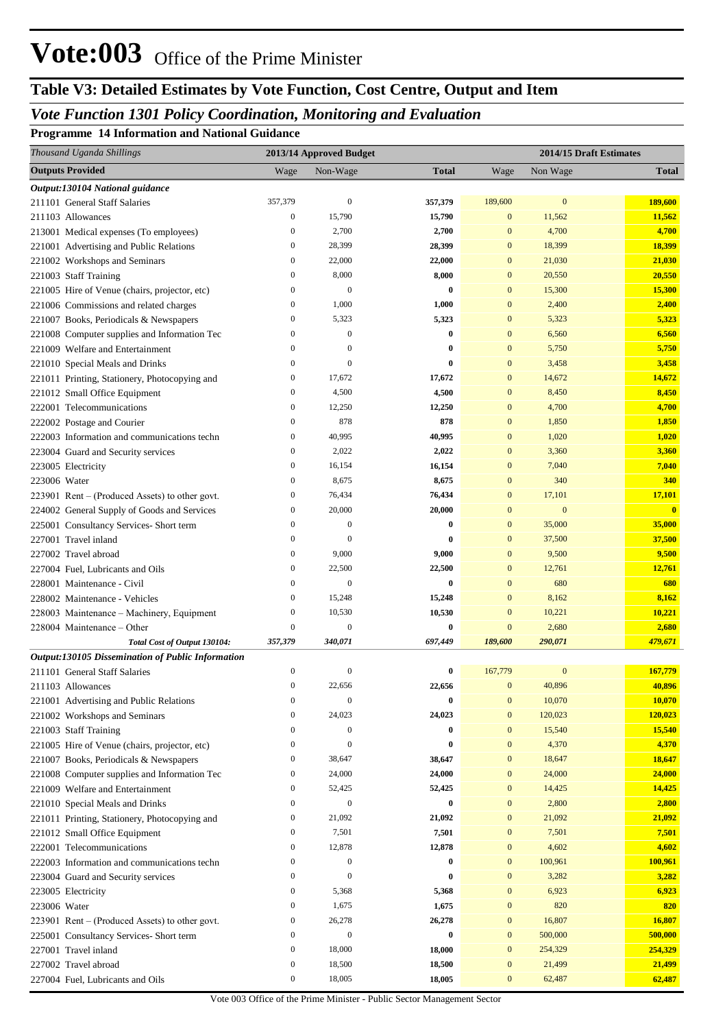# **Table V3: Detailed Estimates by Vote Function, Cost Centre, Output and Item**

# *Vote Function 1301 Policy Coordination, Monitoring and Evaluation*

**Programme 14 Information and National Guidance**

| Thousand Uganda Shillings                                                         |                                      | 2013/14 Approved Budget |                 | 2014/15 Draft Estimates |                  |                         |  |
|-----------------------------------------------------------------------------------|--------------------------------------|-------------------------|-----------------|-------------------------|------------------|-------------------------|--|
| <b>Outputs Provided</b>                                                           | Wage                                 | Non-Wage                | <b>Total</b>    | Wage                    | Non Wage         | <b>Total</b>            |  |
| Output:130104 National guidance                                                   |                                      |                         |                 |                         |                  |                         |  |
| 211101 General Staff Salaries                                                     | 357,379                              | $\boldsymbol{0}$        | 357,379         | 189,600                 | $\boldsymbol{0}$ | 189,600                 |  |
| 211103 Allowances                                                                 | $\boldsymbol{0}$                     | 15,790                  | 15,790          | $\bf{0}$                | 11,562           | 11,562                  |  |
| 213001 Medical expenses (To employees)                                            | $\boldsymbol{0}$                     | 2,700                   | 2,700           | $\bf{0}$                | 4,700            | 4,700                   |  |
| 221001 Advertising and Public Relations                                           | $\boldsymbol{0}$                     | 28,399                  | 28,399          | $\bf{0}$                | 18,399           | 18,399                  |  |
| 221002 Workshops and Seminars                                                     | $\boldsymbol{0}$                     | 22,000                  | 22,000          | $\bf{0}$                | 21,030           | 21,030                  |  |
| 221003 Staff Training                                                             | $\boldsymbol{0}$                     | 8,000                   | 8,000           | $\bf{0}$                | 20,550           | 20,550                  |  |
| 221005 Hire of Venue (chairs, projector, etc)                                     | $\boldsymbol{0}$                     | $\mathbf{0}$            | 0               | $\bf{0}$                | 15,300           | 15,300                  |  |
| 221006 Commissions and related charges                                            | $\boldsymbol{0}$                     | 1,000                   | 1,000           | $\bf{0}$                | 2,400            | 2,400                   |  |
| 221007 Books, Periodicals & Newspapers                                            | $\boldsymbol{0}$                     | 5,323                   | 5,323           | $\bf{0}$                | 5,323            | 5,323                   |  |
| 221008 Computer supplies and Information Tec                                      | $\boldsymbol{0}$                     | $\boldsymbol{0}$        | $\bf{0}$        | $\bf{0}$                | 6,560            | 6,560                   |  |
| 221009 Welfare and Entertainment                                                  | $\boldsymbol{0}$                     | $\boldsymbol{0}$        | 0               | $\bf{0}$                | 5,750            | 5,750                   |  |
| 221010 Special Meals and Drinks                                                   | $\boldsymbol{0}$                     | $\boldsymbol{0}$        | 0               | $\boldsymbol{0}$        | 3,458            | 3,458                   |  |
| 221011 Printing, Stationery, Photocopying and                                     | $\boldsymbol{0}$                     | 17,672                  | 17,672          | $\bf{0}$                | 14,672           | 14,672                  |  |
| 221012 Small Office Equipment                                                     | $\boldsymbol{0}$                     | 4,500                   | 4,500           | $\bf{0}$                | 8,450            | 8,450                   |  |
| 222001 Telecommunications                                                         | $\boldsymbol{0}$                     | 12,250                  | 12,250          | $\bf{0}$                | 4,700            | 4,700                   |  |
| 222002 Postage and Courier                                                        | $\boldsymbol{0}$                     | 878                     | 878             | $\bf{0}$                | 1,850            | 1,850                   |  |
| 222003 Information and communications techn                                       | $\boldsymbol{0}$                     | 40,995                  | 40,995          | $\boldsymbol{0}$        | 1,020            | 1,020                   |  |
| 223004 Guard and Security services                                                | $\boldsymbol{0}$                     | 2,022                   | 2,022           | $\bf{0}$                | 3,360            | 3,360                   |  |
| 223005 Electricity                                                                | $\boldsymbol{0}$                     | 16,154                  | 16,154          | $\bf{0}$                | 7,040            | 7,040                   |  |
| 223006 Water                                                                      | $\boldsymbol{0}$                     | 8,675                   | 8,675           | $\bf{0}$                | 340              | 340                     |  |
| $223901$ Rent – (Produced Assets) to other govt.                                  | $\boldsymbol{0}$                     | 76,434                  | 76,434          | $\boldsymbol{0}$        | 17,101           | 17,101                  |  |
| 224002 General Supply of Goods and Services                                       | $\boldsymbol{0}$                     | 20,000                  | 20,000          | $\bf{0}$                | $\boldsymbol{0}$ | $\overline{\mathbf{0}}$ |  |
| 225001 Consultancy Services- Short term                                           | $\boldsymbol{0}$                     | $\mathbf{0}$            | 0               | $\bf{0}$                | 35,000           | 35,000                  |  |
| 227001 Travel inland                                                              | $\boldsymbol{0}$                     | 0                       | 0               | $\bf{0}$                | 37,500           | 37,500                  |  |
| 227002 Travel abroad                                                              | $\boldsymbol{0}$                     | 9,000                   | 9,000           | $\mathbf{0}$            | 9,500            | 9,500                   |  |
| 227004 Fuel, Lubricants and Oils                                                  | $\boldsymbol{0}$                     | 22,500                  | 22,500          | $\bf{0}$                | 12,761           | 12,761                  |  |
| 228001 Maintenance - Civil                                                        | $\boldsymbol{0}$                     | $\mathbf{0}$            | $\bf{0}$        | $\mathbf{0}$            | 680              | 680                     |  |
| 228002 Maintenance - Vehicles                                                     | $\mathbf{0}$                         | 15,248                  | 15,248          | $\mathbf{0}$            | 8,162            | 8,162                   |  |
| 228003 Maintenance – Machinery, Equipment                                         | $\boldsymbol{0}$                     | 10,530                  | 10,530          | $\bf{0}$                | 10,221           | 10,221                  |  |
| 228004 Maintenance – Other                                                        | $\overline{0}$                       | $\boldsymbol{0}$        | $\bf{0}$        | $\bf{0}$                | 2,680            | 2,680                   |  |
| Total Cost of Output 130104:                                                      | 357,379                              | 340,071                 | 697,449         | 189,600                 | 290,071          | 479,671                 |  |
| Output:130105 Dissemination of Public Information                                 |                                      |                         |                 |                         |                  |                         |  |
| 211101 General Staff Salaries                                                     | $\boldsymbol{0}$                     | $\mathbf{0}$            | 0               | 167,779                 | $\mathbf{0}$     | 167,779                 |  |
| 211103 Allowances                                                                 | $\boldsymbol{0}$                     | 22,656                  | 22,656          | $\mathbf{0}$            | 40,896           | 40,896                  |  |
| 221001 Advertising and Public Relations                                           | $\boldsymbol{0}$                     | $\boldsymbol{0}$        | $\bf{0}$        | $\mathbf{0}$            | 10,070           | 10,070                  |  |
| 221002 Workshops and Seminars                                                     | $\mathbf{0}$                         | 24,023                  | 24,023          | $\mathbf{0}$            | 120,023          | 120,023                 |  |
| 221003 Staff Training                                                             | $\boldsymbol{0}$                     | 0                       | 0               | $\bf{0}$                | 15,540           | 15,540                  |  |
| 221005 Hire of Venue (chairs, projector, etc)                                     | $\boldsymbol{0}$                     | $\overline{0}$          | 0               | $\bf{0}$                | 4,370            | 4,370                   |  |
| 221007 Books, Periodicals & Newspapers                                            | $\boldsymbol{0}$                     | 38,647                  | 38,647          | $\bf{0}$                | 18,647           | 18,647                  |  |
| 221008 Computer supplies and Information Tec                                      | $\boldsymbol{0}$                     | 24,000                  | 24,000          | $\bf{0}$                | 24,000           | 24,000                  |  |
| 221009 Welfare and Entertainment                                                  | $\boldsymbol{0}$                     | 52,425                  | 52,425          | $\bf{0}$                | 14,425           | 14,425                  |  |
| 221010 Special Meals and Drinks                                                   | $\boldsymbol{0}$                     | $\mathbf{0}$            | 0               | $\bf{0}$<br>$\bf{0}$    | 2,800            | 2,800                   |  |
| 221011 Printing, Stationery, Photocopying and<br>221012 Small Office Equipment    | $\boldsymbol{0}$<br>$\boldsymbol{0}$ | 21,092<br>7,501         | 21,092<br>7,501 | $\bf{0}$                | 21,092<br>7,501  | 21,092<br>7,501         |  |
| 222001 Telecommunications                                                         | $\boldsymbol{0}$                     | 12,878                  | 12,878          | $\bf{0}$                | 4,602            | 4,602                   |  |
|                                                                                   | $\boldsymbol{0}$                     | $\boldsymbol{0}$        | 0               | $\bf{0}$                | 100,961          | 100,961                 |  |
| 222003 Information and communications techn<br>223004 Guard and Security services | $\boldsymbol{0}$                     | $\overline{0}$          | 0               | $\bf{0}$                | 3,282            | 3,282                   |  |
| 223005 Electricity                                                                | $\boldsymbol{0}$                     | 5,368                   | 5,368           | $\bf{0}$                | 6,923            | 6,923                   |  |
| 223006 Water                                                                      | $\boldsymbol{0}$                     | 1,675                   | 1,675           | $\bf{0}$                | 820              | 820                     |  |
| $223901$ Rent – (Produced Assets) to other govt.                                  | $\boldsymbol{0}$                     | 26,278                  | 26,278          | $\bf{0}$                | 16,807           | 16,807                  |  |
| 225001 Consultancy Services- Short term                                           | $\boldsymbol{0}$                     | $\boldsymbol{0}$        | 0               | $\bf{0}$                | 500,000          | 500,000                 |  |
| 227001 Travel inland                                                              | $\boldsymbol{0}$                     | 18,000                  | 18,000          | $\bf{0}$                | 254,329          | 254,329                 |  |
| 227002 Travel abroad                                                              | $\boldsymbol{0}$                     | 18,500                  | 18,500          | $\bf{0}$                | 21,499           | 21,499                  |  |
| 227004 Fuel, Lubricants and Oils                                                  | $\boldsymbol{0}$                     | 18,005                  | 18,005          | $\boldsymbol{0}$        | 62,487           | 62,487                  |  |
|                                                                                   |                                      |                         |                 |                         |                  |                         |  |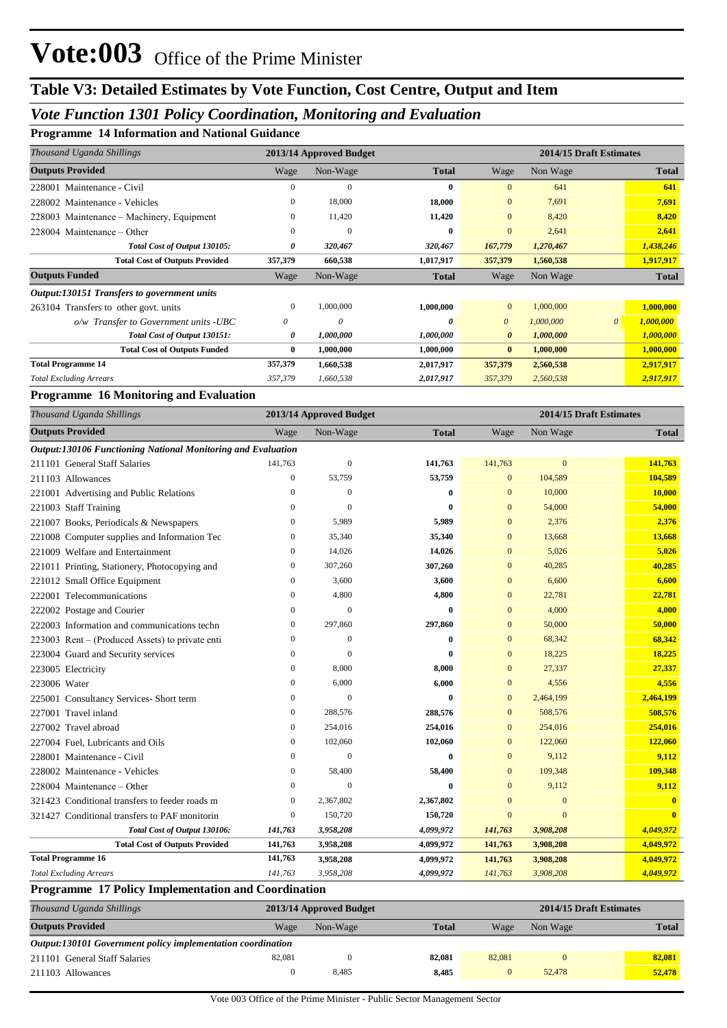### *Vote Function 1301 Policy Coordination, Monitoring and Evaluation*

**Programme 14 Information and National Guidance**

| Thousand Uganda Shillings                   |              | 2013/14 Approved Budget |              |                |           | 2014/15 Draft Estimates |              |  |
|---------------------------------------------|--------------|-------------------------|--------------|----------------|-----------|-------------------------|--------------|--|
| <b>Outputs Provided</b>                     | Wage         | Non-Wage                | <b>Total</b> | Wage           | Non Wage  |                         | <b>Total</b> |  |
| 228001 Maintenance - Civil                  | 0            | $\mathbf{0}$            | $\bf{0}$     | $\mathbf{0}$   | 641       |                         | 641          |  |
| 228002 Maintenance - Vehicles               | $\mathbf{0}$ | 18,000                  | 18,000       | $\overline{0}$ | 7,691     |                         | 7,691        |  |
| 228003 Maintenance – Machinery, Equipment   | $\Omega$     | 11,420                  | 11,420       | $\overline{0}$ | 8,420     |                         | 8,420        |  |
| $228004$ Maintenance – Other                | $\Omega$     | $\Omega$                | $\mathbf{0}$ | $\Omega$       | 2,641     |                         | 2,641        |  |
| Total Cost of Output 130105:                | 0            | 320,467                 | 320,467      | 167,779        | 1,270,467 |                         | 1,438,246    |  |
| <b>Total Cost of Outputs Provided</b>       | 357,379      | 660,538                 | 1,017,917    | 357,379        | 1,560,538 |                         | 1,917,917    |  |
| <b>Outputs Funded</b>                       | Wage         | Non-Wage                | <b>Total</b> | Wage           | Non Wage  |                         | <b>Total</b> |  |
| Output:130151 Transfers to government units |              |                         |              |                |           |                         |              |  |
| 263104 Transfers to other govt. units       | $\mathbf{0}$ | 1,000,000               | 1,000,000    | $\overline{0}$ | 1,000,000 |                         | 1,000,000    |  |
| $o/w$ Transfer to Government units -UBC     | 0            | 0                       | 0            | $\theta$       | 1,000,000 | $\theta$                | 1,000,000    |  |
| Total Cost of Output 130151:                | 0            | 1,000,000               | 1,000,000    | $\theta$       | 1,000,000 |                         | 1,000,000    |  |
| <b>Total Cost of Outputs Funded</b>         | $\bf{0}$     | 1,000,000               | 1,000,000    | $\bf{0}$       | 1,000,000 |                         | 1,000,000    |  |
| <b>Total Programme 14</b>                   | 357,379      | 1,660,538               | 2,017,917    | 357,379        | 2,560,538 |                         | 2,917,917    |  |
| <b>Total Excluding Arrears</b>              | 357,379      | 1,660,538               | 2,017,917    | 357,379        | 2,560,538 |                         | 2,917,917    |  |

#### **Programme 16 Monitoring and Evaluation**

| Thousand Uganda Shillings                                    | 2013/14 Approved Budget |                  |              | 2014/15 Draft Estimates |                |              |  |
|--------------------------------------------------------------|-------------------------|------------------|--------------|-------------------------|----------------|--------------|--|
| <b>Outputs Provided</b>                                      | Wage                    | Non-Wage         | <b>Total</b> | Wage                    | Non Wage       | <b>Total</b> |  |
| Output:130106 Functioning National Monitoring and Evaluation |                         |                  |              |                         |                |              |  |
| 211101 General Staff Salaries                                | 141,763                 | $\mathbf{0}$     | 141,763      | 141,763                 | $\mathbf{0}$   | 141,763      |  |
| 211103 Allowances                                            | $\overline{0}$          | 53,759           | 53,759       | $\Omega$                | 104,589        | 104,589      |  |
| 221001 Advertising and Public Relations                      | 0                       | $\mathbf{0}$     | $\bf{0}$     | $\mathbf{0}$            | 10,000         | 10,000       |  |
| 221003 Staff Training                                        | 0                       | $\boldsymbol{0}$ | 0            | $\mathbf{0}$            | 54,000         | 54,000       |  |
| 221007 Books, Periodicals & Newspapers                       | 0                       | 5,989            | 5,989        | $\mathbf{0}$            | 2,376          | 2,376        |  |
| 221008 Computer supplies and Information Tec                 | 0                       | 35,340           | 35,340       | $\mathbf{0}$            | 13,668         | 13,668       |  |
| 221009 Welfare and Entertainment                             | $\Omega$                | 14,026           | 14,026       | $\mathbf{0}$            | 5,026          | 5,026        |  |
| 221011 Printing, Stationery, Photocopying and                | 0                       | 307,260          | 307,260      | $\mathbf{0}$            | 40,285         | 40,285       |  |
| 221012 Small Office Equipment                                | 0                       | 3,600            | 3,600        | $\mathbf{0}$            | 6,600          | 6,600        |  |
| 222001 Telecommunications                                    | 0                       | 4,800            | 4,800        | $\mathbf{0}$            | 22,781         | 22,781       |  |
| 222002 Postage and Courier                                   | $\overline{0}$          | $\mathbf{0}$     | $\bf{0}$     | $\mathbf{0}$            | 4,000          | 4,000        |  |
| 222003 Information and communications techn                  | $\overline{0}$          | 297,860          | 297,860      | $\mathbf{0}$            | 50,000         | 50,000       |  |
| 223003 Rent – (Produced Assets) to private enti              | 0                       | $\boldsymbol{0}$ | 0            | $\mathbf{0}$            | 68,342         | 68,342       |  |
| 223004 Guard and Security services                           | 0                       | $\mathbf{0}$     | 0            | $\mathbf{0}$            | 18,225         | 18,225       |  |
| 223005 Electricity                                           | 0                       | 8,000            | 8,000        | $\Omega$                | 27,337         | 27,337       |  |
| 223006 Water                                                 | $\overline{0}$          | 6,000            | 6,000        | $\mathbf{0}$            | 4,556          | 4,556        |  |
| 225001 Consultancy Services- Short term                      | $\overline{0}$          | $\mathbf{0}$     | $\bf{0}$     | $\mathbf{0}$            | 2,464,199      | 2,464,199    |  |
| 227001 Travel inland                                         | 0                       | 288,576          | 288,576      | $\mathbf{0}$            | 508,576        | 508,576      |  |
| 227002 Travel abroad                                         | 0                       | 254,016          | 254,016      | $\mathbf{0}$            | 254,016        | 254,016      |  |
| 227004 Fuel, Lubricants and Oils                             | 0                       | 102,060          | 102,060      | $\mathbf{0}$            | 122,060        | 122,060      |  |
| 228001 Maintenance - Civil                                   | $\Omega$                | $\Omega$         | $\bf{0}$     | $\mathbf{0}$            | 9,112          | 9,112        |  |
| 228002 Maintenance - Vehicles                                | 0                       | 58,400           | 58,400       | $\mathbf{0}$            | 109,348        | 109,348      |  |
| 228004 Maintenance – Other                                   | $\overline{0}$          | $\boldsymbol{0}$ | $\bf{0}$     | $\mathbf{0}$            | 9,112          | 9,112        |  |
| 321423 Conditional transfers to feeder roads m               | 0                       | 2,367,802        | 2,367,802    | $\overline{0}$          | $\mathbf{0}$   | $\bf{0}$     |  |
| 321427 Conditional transfers to PAF monitorin                | 0                       | 150,720          | 150,720      | $\mathbf{0}$            | $\overline{0}$ | $\mathbf{0}$ |  |
| Total Cost of Output 130106:                                 | 141,763                 | 3,958,208        | 4,099,972    | 141,763                 | 3,908,208      | 4,049,972    |  |
| <b>Total Cost of Outputs Provided</b>                        | 141,763                 | 3,958,208        | 4,099,972    | 141,763                 | 3,908,208      | 4,049,972    |  |
| <b>Total Programme 16</b>                                    | 141,763                 | 3,958,208        | 4,099,972    | 141,763                 | 3,908,208      | 4,049,972    |  |
| <b>Total Excluding Arrears</b>                               | 141,763                 | 3,958,208        | 4,099,972    | 141,763                 | 3,908,208      | 4,049,972    |  |

#### **Programme 17 Policy Implementation and Coordination**

| Thousand Uganda Shillings                                   | 2013/14 Approved Budget |          |              |        | 2014/15 Draft Estimates |              |  |
|-------------------------------------------------------------|-------------------------|----------|--------------|--------|-------------------------|--------------|--|
| <b>Outputs Provided</b>                                     | Wage                    | Non-Wage | <b>Total</b> | Wage   | Non Wage                | <b>Total</b> |  |
| Output:130101 Government policy implementation coordination |                         |          |              |        |                         |              |  |
| 211101 General Staff Salaries                               | 82,081                  |          | 82,081       | 82,081 |                         | 82,081       |  |
| 211103 Allowances                                           |                         | 8.485    | 8,485        |        | 52,478                  | 52,478       |  |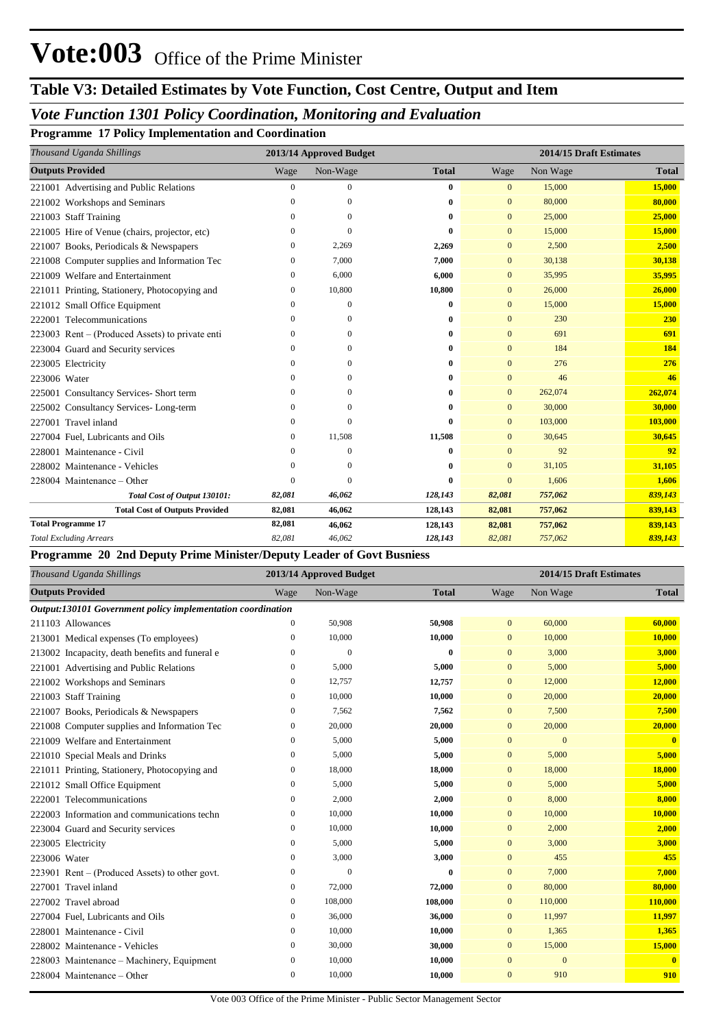## **Table V3: Detailed Estimates by Vote Function, Cost Centre, Output and Item**

### *Vote Function 1301 Policy Coordination, Monitoring and Evaluation*

**Programme 17 Policy Implementation and Coordination**

| Thousand Uganda Shillings                       |              | 2013/14 Approved Budget |              |                | 2014/15 Draft Estimates |              |  |
|-------------------------------------------------|--------------|-------------------------|--------------|----------------|-------------------------|--------------|--|
| <b>Outputs Provided</b>                         | Wage         | Non-Wage                | <b>Total</b> | Wage           | Non Wage                | <b>Total</b> |  |
| 221001 Advertising and Public Relations         | $\mathbf{0}$ | $\mathbf{0}$            | 0            | $\overline{0}$ | 15,000                  | 15,000       |  |
| 221002 Workshops and Seminars                   | $\Omega$     | $\Omega$                | 0            | $\mathbf{0}$   | 80,000                  | 80,000       |  |
| 221003 Staff Training                           | $\mathbf{0}$ | $\Omega$                | 0            | $\mathbf{0}$   | 25,000                  | 25,000       |  |
| 221005 Hire of Venue (chairs, projector, etc)   | $\Omega$     | $\Omega$                | 0            | $\mathbf{0}$   | 15,000                  | 15,000       |  |
| 221007 Books, Periodicals & Newspapers          | $\mathbf{0}$ | 2,269                   | 2,269        | $\mathbf{0}$   | 2,500                   | 2,500        |  |
| 221008 Computer supplies and Information Tec    | 0            | 7,000                   | 7,000        | $\mathbf{0}$   | 30,138                  | 30,138       |  |
| 221009 Welfare and Entertainment                | $\mathbf{0}$ | 6,000                   | 6,000        | $\mathbf{0}$   | 35,995                  | 35,995       |  |
| 221011 Printing, Stationery, Photocopying and   | $\mathbf{0}$ | 10,800                  | 10,800       | $\mathbf{0}$   | 26,000                  | 26,000       |  |
| 221012 Small Office Equipment                   | $\Omega$     | $\mathbf{0}$            | 0            | $\mathbf{0}$   | 15,000                  | 15,000       |  |
| 222001 Telecommunications                       | $\Omega$     | $\Omega$                | 0            | $\mathbf{0}$   | 230                     | 230          |  |
| 223003 Rent – (Produced Assets) to private enti | $\mathbf{0}$ | $\Omega$                | 0            | $\mathbf{0}$   | 691                     | 691          |  |
| 223004 Guard and Security services              | $\Omega$     | $\Omega$                | 0            | $\Omega$       | 184                     | 184          |  |
| 223005 Electricity                              | 0            | $\Omega$                | 0            | $\mathbf{0}$   | 276                     | 276          |  |
| 223006 Water                                    | $\Omega$     | $\Omega$                | 0            | $\mathbf{0}$   | 46                      | 46           |  |
| 225001 Consultancy Services- Short term         | $\Omega$     | $\Omega$                | 0            | $\mathbf{0}$   | 262,074                 | 262,074      |  |
| 225002 Consultancy Services-Long-term           | $\Omega$     | $\Omega$                | 0            | $\mathbf{0}$   | 30,000                  | 30,000       |  |
| 227001 Travel inland                            | $\Omega$     | $\Omega$                | $\mathbf{0}$ | $\mathbf{0}$   | 103,000                 | 103,000      |  |
| 227004 Fuel. Lubricants and Oils                | $\Omega$     | 11,508                  | 11,508       | $\mathbf{0}$   | 30,645                  | 30,645       |  |
| 228001 Maintenance - Civil                      | $\Omega$     | $\Omega$                | 0            | $\Omega$       | 92                      | 92           |  |
| 228002 Maintenance - Vehicles                   | $\Omega$     | $\Omega$                | 0            | $\mathbf{0}$   | 31,105                  | 31,105       |  |
| 228004 Maintenance – Other                      | $\theta$     | $\Omega$                | $\bf{0}$     | $\overline{0}$ | 1,606                   | 1,606        |  |
| Total Cost of Output 130101:                    | 82,081       | 46,062                  | 128,143      | 82,081         | 757,062                 | 839,143      |  |
| <b>Total Cost of Outputs Provided</b>           | 82,081       | 46,062                  | 128,143      | 82,081         | 757,062                 | 839,143      |  |
| <b>Total Programme 17</b>                       | 82,081       | 46,062                  | 128,143      | 82,081         | 757,062                 | 839,143      |  |
| <b>Total Excluding Arrears</b>                  | 82,081       | 46,062                  | 128,143      | 82,081         | 757,062                 | 839,143      |  |

#### **Programme 20 2nd Deputy Prime Minister/Deputy Leader of Govt Busniess**

| Thousand Uganda Shillings                                   |              | 2013/14 Approved Budget |              |              | 2014/15 Draft Estimates |              |  |  |
|-------------------------------------------------------------|--------------|-------------------------|--------------|--------------|-------------------------|--------------|--|--|
| <b>Outputs Provided</b>                                     | Wage         | Non-Wage                | <b>Total</b> | Wage         | Non Wage                | <b>Total</b> |  |  |
| Output:130101 Government policy implementation coordination |              |                         |              |              |                         |              |  |  |
| 211103 Allowances                                           | 0            | 50,908                  | 50,908       | $\mathbf{0}$ | 60,000                  | 60,000       |  |  |
| 213001 Medical expenses (To employees)                      | $\mathbf{0}$ | 10,000                  | 10,000       | $\mathbf{0}$ | 10,000                  | 10,000       |  |  |
| 213002 Incapacity, death benefits and funeral e             | 0            | $\overline{0}$          | $\bf{0}$     | $\mathbf{0}$ | 3,000                   | 3,000        |  |  |
| 221001 Advertising and Public Relations                     | $\mathbf{0}$ | 5,000                   | 5,000        | $\mathbf{0}$ | 5,000                   | 5,000        |  |  |
| 221002 Workshops and Seminars                               | $\mathbf{0}$ | 12,757                  | 12,757       | $\mathbf{0}$ | 12,000                  | 12,000       |  |  |
| 221003 Staff Training                                       | $\mathbf{0}$ | 10,000                  | 10,000       | $\mathbf{0}$ | 20,000                  | 20,000       |  |  |
| 221007 Books, Periodicals & Newspapers                      | 0            | 7,562                   | 7,562        | $\mathbf{0}$ | 7,500                   | 7,500        |  |  |
| 221008 Computer supplies and Information Tec                | $\Omega$     | 20,000                  | 20,000       | $\mathbf{0}$ | 20,000                  | 20,000       |  |  |
| 221009 Welfare and Entertainment                            | $\Omega$     | 5,000                   | 5,000        | $\mathbf{0}$ | $\mathbf{0}$            | $\mathbf{0}$ |  |  |
| 221010 Special Meals and Drinks                             | $\mathbf{0}$ | 5.000                   | 5,000        | $\mathbf{0}$ | 5,000                   | 5,000        |  |  |
| 221011 Printing, Stationery, Photocopying and               | 0            | 18,000                  | 18,000       | $\mathbf{0}$ | 18,000                  | 18,000       |  |  |
| 221012 Small Office Equipment                               | $\Omega$     | 5,000                   | 5,000        | $\mathbf{0}$ | 5,000                   | 5,000        |  |  |
| 222001 Telecommunications                                   | $\Omega$     | 2,000                   | 2,000        | $\Omega$     | 8,000                   | 8,000        |  |  |
| 222003 Information and communications techn                 | $\mathbf{0}$ | 10,000                  | 10,000       | $\mathbf{0}$ | 10,000                  | 10,000       |  |  |
| 223004 Guard and Security services                          | $\mathbf{0}$ | 10,000                  | 10,000       | $\mathbf{0}$ | 2,000                   | 2,000        |  |  |
| 223005 Electricity                                          | $\mathbf{0}$ | 5,000                   | 5,000        | $\mathbf{0}$ | 3,000                   | 3,000        |  |  |
| 223006 Water                                                | $\Omega$     | 3,000                   | 3,000        | $\mathbf{0}$ | 455                     | 455          |  |  |
| 223901 Rent – (Produced Assets) to other govt.              | $\Omega$     | $\theta$                | $\bf{0}$     | $\mathbf{0}$ | 7,000                   | 7,000        |  |  |
| 227001 Travel inland                                        | $\mathbf{0}$ | 72,000                  | 72,000       | $\mathbf{0}$ | 80,000                  | 80,000       |  |  |
| 227002 Travel abroad                                        | 0            | 108,000                 | 108,000      | $\mathbf{0}$ | 110,000                 | 110,000      |  |  |
| 227004 Fuel, Lubricants and Oils                            | 0            | 36,000                  | 36,000       | $\mathbf{0}$ | 11,997                  | 11,997       |  |  |
| 228001 Maintenance - Civil                                  | $\mathbf{0}$ | 10,000                  | 10,000       | $\mathbf{0}$ | 1,365                   | 1,365        |  |  |
| 228002 Maintenance - Vehicles                               | $\mathbf{0}$ | 30,000                  | 30,000       | $\mathbf{0}$ | 15,000                  | 15,000       |  |  |
| 228003 Maintenance – Machinery, Equipment                   | $\mathbf{0}$ | 10,000                  | 10,000       | $\mathbf{0}$ | $\mathbf{0}$            | $\mathbf{0}$ |  |  |
| 228004 Maintenance - Other                                  | 0            | 10,000                  | 10.000       | $\mathbf{0}$ | 910                     | 910          |  |  |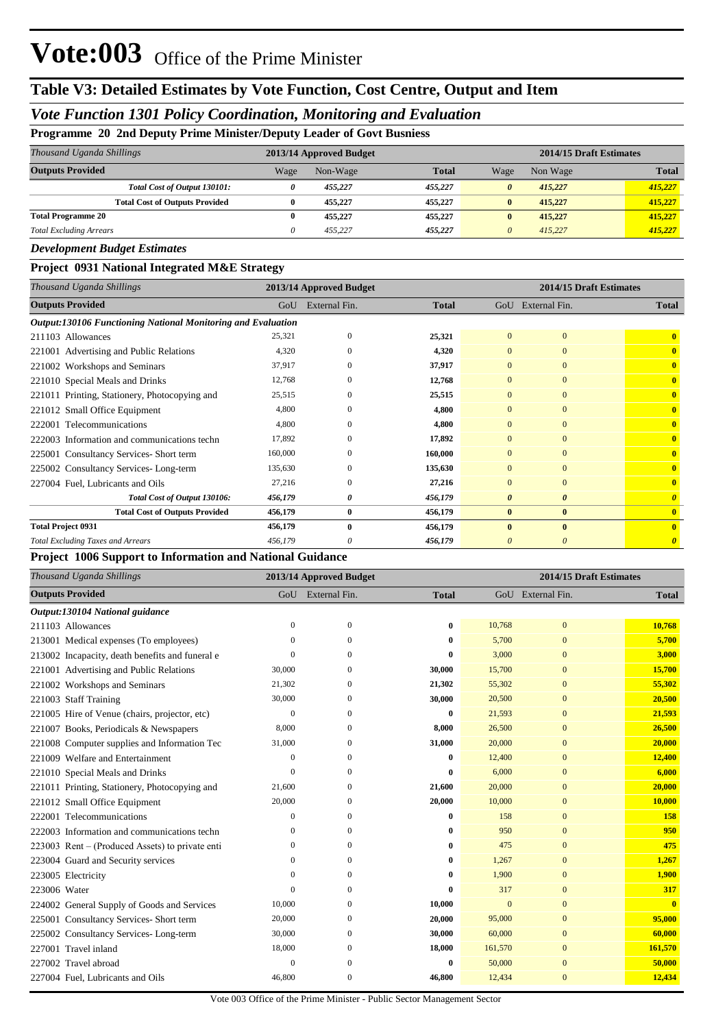## **Table V3: Detailed Estimates by Vote Function, Cost Centre, Output and Item**

### *Vote Function 1301 Policy Coordination, Monitoring and Evaluation*

#### **Programme 20 2nd Deputy Prime Minister/Deputy Leader of Govt Busniess**

| Thousand Uganda Shillings      |                                       |      | 2013/14 Approved Budget |              |                       | 2014/15 Draft Estimates |              |  |  |
|--------------------------------|---------------------------------------|------|-------------------------|--------------|-----------------------|-------------------------|--------------|--|--|
| <b>Outputs Provided</b>        |                                       | Wage | Non-Wage                | <b>Total</b> | Wage                  | Non Wage                | <b>Total</b> |  |  |
|                                | Total Cost of Output 130101:          | 0    | 455,227                 | 455,227      | $\boldsymbol{\theta}$ | 415,227                 | 415,227      |  |  |
|                                | <b>Total Cost of Outputs Provided</b> |      | 455,227                 | 455,227      | $\mathbf{0}$          | 415,227                 | 415,227      |  |  |
| <b>Total Programme 20</b>      |                                       | 0    | 455,227                 | 455,227      | $\mathbf{0}$          | 415,227                 | 415,227      |  |  |
| <b>Total Excluding Arrears</b> |                                       |      | 455.227                 | 455,227      | $\theta$              | 415.227                 | 415,227      |  |  |

#### *Development Budget Estimates*

#### **Project 0931 National Integrated M&E Strategy**

| Thousand Uganda Shillings                                    |         | 2013/14 Approved Budget |              | 2014/15 Draft Estimates |                       |                       |
|--------------------------------------------------------------|---------|-------------------------|--------------|-------------------------|-----------------------|-----------------------|
| <b>Outputs Provided</b>                                      | GoU     | External Fin.           | <b>Total</b> | GoU                     | External Fin.         | <b>Total</b>          |
| Output:130106 Functioning National Monitoring and Evaluation |         |                         |              |                         |                       |                       |
| 211103 Allowances                                            | 25,321  | $\mathbf{0}$            | 25,321       | $\overline{0}$          | $\overline{0}$        | $\mathbf{0}$          |
| 221001 Advertising and Public Relations                      | 4,320   | $\Omega$                | 4,320        | $\overline{0}$          | $\mathbf{0}$          | $\mathbf{0}$          |
| 221002 Workshops and Seminars                                | 37,917  | $\Omega$                | 37,917       | $\overline{0}$          | $\mathbf{0}$          | $\mathbf{0}$          |
| 221010 Special Meals and Drinks                              | 12,768  | $\Omega$                | 12,768       | $\Omega$                | $\overline{0}$        | $\mathbf{0}$          |
| 221011 Printing, Stationery, Photocopying and                | 25,515  | 0                       | 25,515       | $\overline{0}$          | $\mathbf{0}$          | $\mathbf{0}$          |
| 221012 Small Office Equipment                                | 4,800   | $\Omega$                | 4,800        | $\overline{0}$          | $\mathbf{0}$          | $\mathbf{0}$          |
| Telecommunications<br>222001                                 | 4,800   | $\Omega$                | 4,800        | $\Omega$                | $\Omega$              | $\mathbf{0}$          |
| 222003 Information and communications techn                  | 17,892  | 0                       | 17,892       | 0                       | $\mathbf{0}$          | $\mathbf{0}$          |
| 225001 Consultancy Services-Short term                       | 160,000 | $\Omega$                | 160,000      | $\Omega$                | $\mathbf{0}$          | $\mathbf{0}$          |
| 225002 Consultancy Services-Long-term                        | 135,630 | $\Omega$                | 135,630      | 0                       | $\mathbf{0}$          | $\mathbf{0}$          |
| 227004 Fuel, Lubricants and Oils                             | 27,216  | $\Omega$                | 27,216       | $\overline{0}$          | $\mathbf{0}$          | $\mathbf{0}$          |
| Total Cost of Output 130106:                                 | 456,179 | 0                       | 456,179      | $\boldsymbol{\theta}$   | $\boldsymbol{\theta}$ | $\boldsymbol{\theta}$ |
| <b>Total Cost of Outputs Provided</b>                        | 456,179 | $\bf{0}$                | 456,179      | $\bf{0}$                | $\bf{0}$              | $\mathbf{0}$          |
| <b>Total Project 0931</b>                                    | 456,179 | $\bf{0}$                | 456,179      | $\mathbf{0}$            | $\bf{0}$              | $\mathbf{0}$          |
| <b>Total Excluding Taxes and Arrears</b>                     | 456,179 | 0                       | 456,179      | 0                       | $\boldsymbol{\theta}$ |                       |

#### **Project 1006 Support to Information and National Guidance**

| Thousand Uganda Shillings                       |              | 2013/14 Approved Budget |              |                | 2014/15 Draft Estimates |              |  |
|-------------------------------------------------|--------------|-------------------------|--------------|----------------|-------------------------|--------------|--|
| <b>Outputs Provided</b>                         |              | GoU External Fin.       | <b>Total</b> |                | GoU External Fin.       | <b>Total</b> |  |
| Output:130104 National guidance                 |              |                         |              |                |                         |              |  |
| 211103 Allowances                               | $\mathbf{0}$ | $\mathbf{0}$            | $\bf{0}$     | 10,768         | $\overline{0}$          | 10,768       |  |
| 213001 Medical expenses (To employees)          | $\Omega$     | $\theta$                | 0            | 5,700          | $\overline{0}$          | 5,700        |  |
| 213002 Incapacity, death benefits and funeral e | $\Omega$     | $\Omega$                | 0            | 3.000          | $\Omega$                | 3,000        |  |
| 221001 Advertising and Public Relations         | 30,000       | $\Omega$                | 30,000       | 15,700         | $\overline{0}$          | 15,700       |  |
| 221002 Workshops and Seminars                   | 21,302       | $\Omega$                | 21,302       | 55,302         | $\overline{0}$          | 55,302       |  |
| 221003 Staff Training                           | 30,000       | $\Omega$                | 30,000       | 20,500         | $\overline{0}$          | 20,500       |  |
| 221005 Hire of Venue (chairs, projector, etc)   | $\mathbf{0}$ | $\Omega$                | $\bf{0}$     | 21,593         | $\overline{0}$          | 21,593       |  |
| 221007 Books, Periodicals & Newspapers          | 8,000        | $\Omega$                | 8,000        | 26,500         | $\overline{0}$          | 26,500       |  |
| 221008 Computer supplies and Information Tec    | 31,000       | $\Omega$                | 31,000       | 20,000         | $\overline{0}$          | 20,000       |  |
| 221009 Welfare and Entertainment                | $\mathbf{0}$ | $\theta$                | $\bf{0}$     | 12,400         | $\boldsymbol{0}$        | 12,400       |  |
| 221010 Special Meals and Drinks                 | $\Omega$     | $\Omega$                | 0            | 6,000          | $\Omega$                | 6,000        |  |
| 221011 Printing, Stationery, Photocopying and   | 21,600       | $\Omega$                | 21,600       | 20,000         | $\mathbf{0}$            | 20,000       |  |
| 221012 Small Office Equipment                   | 20,000       | $\Omega$                | 20,000       | 10,000         | $\overline{0}$          | 10,000       |  |
| 222001 Telecommunications                       | $\mathbf{0}$ | $\Omega$                | 0            | 158            | $\mathbf{0}$            | 158          |  |
| 222003 Information and communications techn     | $\Omega$     | $\Omega$                | 0            | 950            | $\overline{0}$          | 950          |  |
| 223003 Rent – (Produced Assets) to private enti | $\mathbf{0}$ | $\mathbf{0}$            | 0            | 475            | $\overline{0}$          | 475          |  |
| 223004 Guard and Security services              | $\mathbf{0}$ | $\theta$                | $\bf{0}$     | 1,267          | $\overline{0}$          | 1,267        |  |
| 223005 Electricity                              | $\Omega$     | $\Omega$                | 0            | 1.900          | $\Omega$                | 1,900        |  |
| 223006 Water                                    | $\Omega$     | $\Omega$                | 0            | 317            | $\overline{0}$          | 317          |  |
| 224002 General Supply of Goods and Services     | 10,000       | $\overline{0}$          | 10,000       | $\overline{0}$ | $\overline{0}$          | $\mathbf{0}$ |  |
| 225001 Consultancy Services- Short term         | 20,000       | $\Omega$                | 20,000       | 95,000         | $\mathbf{0}$            | 95,000       |  |
| 225002 Consultancy Services-Long-term           | 30,000       | $\theta$                | 30,000       | 60,000         | $\overline{0}$          | 60,000       |  |
| 227001 Travel inland                            | 18,000       | $\theta$                | 18,000       | 161,570        | $\overline{0}$          | 161,570      |  |
| 227002 Travel abroad                            | $\theta$     | $\Omega$                | $\bf{0}$     | 50,000         | $\overline{0}$          | 50,000       |  |
| 227004 Fuel, Lubricants and Oils                | 46,800       | $\theta$                | 46,800       | 12,434         | $\mathbf{0}$            | 12,434       |  |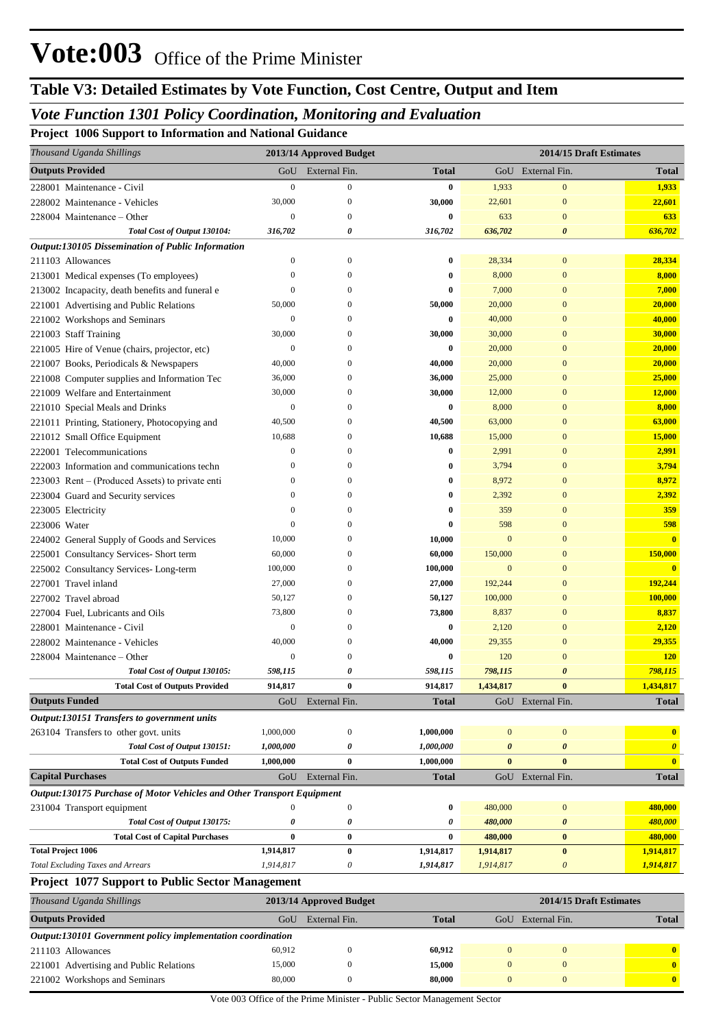## *Vote Function 1301 Policy Coordination, Monitoring and Evaluation*

**Project 1006 Support to Information and National Guidance**

| Thousand Uganda Shillings                                              |                  | 2013/14 Approved Budget |              |                       | 2014/15 Draft Estimates   |                         |
|------------------------------------------------------------------------|------------------|-------------------------|--------------|-----------------------|---------------------------|-------------------------|
| <b>Outputs Provided</b>                                                | GoU              | External Fin.           | <b>Total</b> |                       | GoU External Fin.         | <b>Total</b>            |
| 228001 Maintenance - Civil                                             | $\overline{0}$   | $\boldsymbol{0}$        | 0            | 1,933                 | $\mathbf{0}$              | 1,933                   |
| 228002 Maintenance - Vehicles                                          | 30,000           | $\mathbf{0}$            | 30,000       | 22,601                | $\mathbf{0}$              | 22,601                  |
| 228004 Maintenance – Other                                             | $\mathbf{0}$     | $\Omega$                | 0            | 633                   | $\mathbf{0}$              | 633                     |
| Total Cost of Output 130104:                                           | 316,702          | 0                       | 316,702      | 636,702               | 0                         | 636,702                 |
| Output:130105 Dissemination of Public Information                      |                  |                         |              |                       |                           |                         |
| 211103 Allowances                                                      | $\mathbf{0}$     | $\mathbf{0}$            | $\bf{0}$     | 28,334                | $\mathbf{0}$              | 28,334                  |
| 213001 Medical expenses (To employees)                                 | $\Omega$         | $\Omega$                | 0            | 8,000                 | $\mathbf{0}$              | 8,000                   |
| 213002 Incapacity, death benefits and funeral e                        | $\overline{0}$   | $\Omega$                | 0            | 7,000                 | $\mathbf{0}$              | 7,000                   |
| 221001 Advertising and Public Relations                                | 50,000           | $\Omega$                | 50,000       | 20,000                | $\mathbf{0}$              | 20,000                  |
| 221002 Workshops and Seminars                                          | $\overline{0}$   | $\Omega$                | 0            | 40,000                | $\mathbf{0}$              | 40,000                  |
| 221003 Staff Training                                                  | 30,000           | $\Omega$                | 30,000       | 30,000                | $\mathbf{0}$              | 30,000                  |
| 221005 Hire of Venue (chairs, projector, etc)                          | $\boldsymbol{0}$ | $\Omega$                | 0            | 20,000                | $\mathbf{0}$              | 20,000                  |
| 221007 Books, Periodicals & Newspapers                                 | 40,000           | $\Omega$                | 40,000       | 20,000                | $\mathbf{0}$              | 20,000                  |
| 221008 Computer supplies and Information Tec                           | 36,000           | $\Omega$                | 36,000       | 25,000                | $\mathbf{0}$              | 25,000                  |
| 221009 Welfare and Entertainment                                       | 30,000           | $\Omega$                | 30,000       | 12,000                | $\mathbf{0}$              | 12,000                  |
| 221010 Special Meals and Drinks                                        | $\boldsymbol{0}$ | $\Omega$                | 0            | 8,000                 | $\mathbf{0}$              | 8,000                   |
| 221011 Printing, Stationery, Photocopying and                          | 40,500           | $\Omega$                | 40,500       | 63,000                | $\mathbf{0}$              | 63,000                  |
| 221012 Small Office Equipment                                          | 10,688           | $\Omega$                | 10,688       | 15,000                | $\bf{0}$                  | 15,000                  |
| 222001 Telecommunications                                              | $\mathbf{0}$     | $\Omega$                | 0            | 2,991                 | $\mathbf{0}$              | 2,991                   |
| 222003 Information and communications techn                            | $\Omega$         | $\Omega$                | 0            | 3,794                 | $\mathbf{0}$              | 3,794                   |
| 223003 Rent – (Produced Assets) to private enti                        | $\mathbf{0}$     | $\Omega$                | $\bf{0}$     | 8,972                 | $\mathbf{0}$              | 8,972                   |
| 223004 Guard and Security services                                     | $\Omega$         | $\Omega$                | $\bf{0}$     | 2,392                 | $\bf{0}$                  | 2,392                   |
| 223005 Electricity                                                     | $\Omega$         | $\Omega$                | 0            | 359                   | $\mathbf{0}$              | 359                     |
| 223006 Water                                                           | $\Omega$         | $\Omega$                | 0            | 598                   | $\mathbf{0}$              | 598                     |
| 224002 General Supply of Goods and Services                            | 10,000           | $\Omega$                | 10,000       | $\mathbf{0}$          | $\mathbf{0}$              | $\overline{\mathbf{0}}$ |
| 225001 Consultancy Services- Short term                                | 60,000           | $\Omega$                | 60,000       | 150,000               | $\bf{0}$                  | 150,000                 |
| 225002 Consultancy Services-Long-term                                  | 100,000          | $\Omega$                | 100,000      | $\mathbf{0}$          | $\mathbf{0}$              | $\mathbf{0}$            |
| 227001 Travel inland                                                   | 27,000           | $\Omega$                | 27,000       | 192,244               | $\mathbf{0}$              | 192,244                 |
| 227002 Travel abroad                                                   | 50,127           | $\Omega$                | 50,127       | 100,000               | $\mathbf{0}$              | 100,000                 |
| 227004 Fuel, Lubricants and Oils                                       | 73,800           | $\Omega$                | 73,800       | 8,837                 | $\mathbf{0}$              | 8,837                   |
| 228001 Maintenance - Civil                                             | $\overline{0}$   | $\Omega$                | 0            | 2,120                 | $\bf{0}$                  | 2,120                   |
| 228002 Maintenance - Vehicles                                          | 40,000           | $\Omega$                | 40,000       | 29,355                | $\mathbf{0}$              | 29,355                  |
| 228004 Maintenance - Other                                             | $\boldsymbol{0}$ | 0                       | 0            | 120                   | $\mathbf{0}$              | <b>120</b>              |
| Total Cost of Output 130105:                                           | 598,115          | 0                       | 598,115      | 798,115               | $\boldsymbol{\theta}$     | 798,115                 |
| <b>Total Cost of Outputs Provided</b>                                  | 914,817          | 0                       | 914,817      | 1,434,817             | $\bf{0}$                  | 1,434,817               |
| <b>Outputs Funded</b>                                                  | GoU              | External Fin.           | Total        |                       | GoU External Fin.         | <b>Total</b>            |
| Output:130151 Transfers to government units                            |                  |                         |              |                       |                           |                         |
| 263104 Transfers to other govt. units                                  | 1,000,000        | $\boldsymbol{0}$        | 1,000,000    | $\mathbf{0}$          | $\boldsymbol{0}$          | $\bf{0}$                |
| Total Cost of Output 130151:                                           | 1,000,000        | 0                       | 1,000,000    | $\boldsymbol{\theta}$ | $\boldsymbol{\theta}$     | $\boldsymbol{\theta}$   |
| <b>Total Cost of Outputs Funded</b>                                    | 1,000,000        | 0                       | 1,000,000    | $\bf{0}$              | $\bf{0}$                  | $\mathbf{0}$            |
| <b>Capital Purchases</b>                                               | GoU              | External Fin.           | <b>Total</b> |                       | GoU External Fin.         | <b>Total</b>            |
| Output:130175 Purchase of Motor Vehicles and Other Transport Equipment |                  |                         |              |                       |                           |                         |
| 231004 Transport equipment                                             | $\mathbf{0}$     | $\boldsymbol{0}$        | $\bf{0}$     | 480,000               | $\boldsymbol{0}$          | 480,000                 |
| Total Cost of Output 130175:                                           | 0                | 0                       | 0            | 480,000               | 0                         | 480,000                 |
| <b>Total Cost of Capital Purchases</b>                                 | $\bf{0}$         | $\bf{0}$                | 0            | 480,000               | $\bf{0}$                  | 480,000                 |
| <b>Total Project 1006</b>                                              | 1,914,817        | $\bf{0}$                | 1,914,817    | 1,914,817             | $\bf{0}$                  | 1,914,817               |
| <b>Total Excluding Taxes and Arrears</b>                               | 1,914,817        | 0                       | 1,914,817    | 1,914,817             | $\boldsymbol{\mathit{0}}$ | 1,914,817               |
| <b>Project 1077 Support to Public Sector Management</b>                |                  |                         |              |                       |                           |                         |
| Thousand Uganda Shillings                                              |                  | 2013/14 Approved Budget |              |                       | 2014/15 Draft Estimates   |                         |
| <b>Outputs Provided</b>                                                | GoU              | External Fin.           | <b>Total</b> |                       | GoU External Fin.         | <b>Total</b>            |
| Output:130101 Government policy implementation coordination            |                  |                         |              |                       |                           |                         |
| 211103 Allowances                                                      | 60,912           | $\boldsymbol{0}$        | 60,912       | $\mathbf{0}$          | $\boldsymbol{0}$          | $\mathbf{0}$            |
| 221001 Advertising and Public Relations                                | 15,000           | $\boldsymbol{0}$        | 15,000       | $\mathbf{0}$          | $\mathbf{0}$              | $\overline{\mathbf{0}}$ |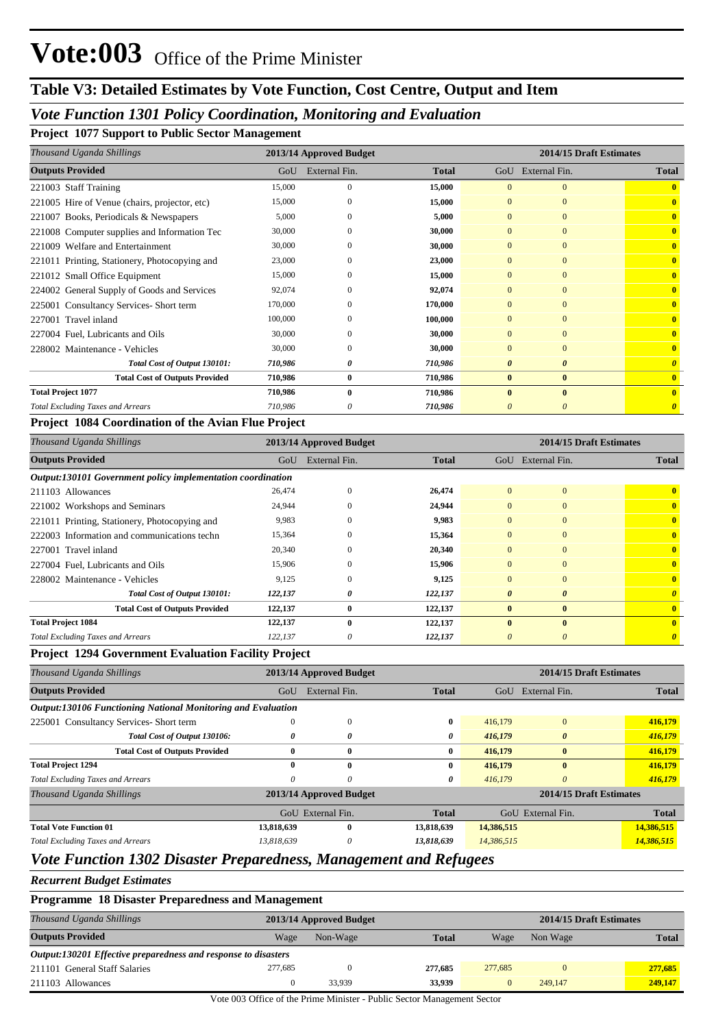#### *Vote Function 1301 Policy Coordination, Monitoring and Evaluation*

**Project 1077 Support to Public Sector Management**

| Thousand Uganda Shillings                     | 2013/14 Approved Budget |               |              | 2014/15 Draft Estimates |               |                       |  |
|-----------------------------------------------|-------------------------|---------------|--------------|-------------------------|---------------|-----------------------|--|
| <b>Outputs Provided</b>                       | GoU                     | External Fin. | <b>Total</b> | GoU                     | External Fin. | <b>Total</b>          |  |
| 221003 Staff Training                         | 15,000                  | $\mathbf{0}$  | 15,000       | $\Omega$                | $\mathbf{0}$  | $\mathbf{0}$          |  |
| 221005 Hire of Venue (chairs, projector, etc) | 15,000                  | $\Omega$      | 15,000       | $\Omega$                | $\mathbf{0}$  | $\mathbf{0}$          |  |
| 221007 Books, Periodicals & Newspapers        | 5,000                   | $\Omega$      | 5,000        | $\Omega$                | $\mathbf{0}$  | $\overline{0}$        |  |
| 221008 Computer supplies and Information Tec  | 30,000                  | $\Omega$      | 30,000       | $\mathbf{0}$            | $\mathbf{0}$  | $\overline{0}$        |  |
| 221009 Welfare and Entertainment              | 30,000                  | $\Omega$      | 30,000       | $\mathbf{0}$            | $\mathbf{0}$  | $\overline{0}$        |  |
| 221011 Printing, Stationery, Photocopying and | 23,000                  | $\Omega$      | 23,000       | $\Omega$                | $\mathbf{0}$  | $\overline{0}$        |  |
| 221012 Small Office Equipment                 | 15,000                  | $\Omega$      | 15,000       | $\Omega$                | $\Omega$      | $\overline{0}$        |  |
| 224002 General Supply of Goods and Services   | 92,074                  | $\Omega$      | 92,074       | $\Omega$                | $\mathbf{0}$  | $\overline{0}$        |  |
| 225001 Consultancy Services-Short term        | 170,000                 | $\Omega$      | 170,000      | $\Omega$                | $\mathbf{0}$  | $\mathbf{0}$          |  |
| 227001 Travel inland                          | 100,000                 | $\Omega$      | 100,000      | $\Omega$                | $\mathbf{0}$  | $\mathbf{0}$          |  |
| 227004 Fuel, Lubricants and Oils              | 30,000                  | $\Omega$      | 30,000       | $\Omega$                | $\mathbf{0}$  | $\overline{0}$        |  |
| 228002 Maintenance - Vehicles                 | 30,000                  | $\Omega$      | 30,000       | $\Omega$                | $\mathbf{0}$  | $\overline{0}$        |  |
| Total Cost of Output 130101:                  | 710,986                 | 0             | 710,986      | 0                       | $\theta$      | $\boldsymbol{\theta}$ |  |
| <b>Total Cost of Outputs Provided</b>         | 710,986                 | $\bf{0}$      | 710,986      | $\bf{0}$                | $\bf{0}$      | $\mathbf{0}$          |  |
| <b>Total Project 1077</b>                     | 710,986                 | $\mathbf{0}$  | 710,986      | $\mathbf{0}$            | $\mathbf{0}$  | $\mathbf{0}$          |  |
| <b>Total Excluding Taxes and Arrears</b>      | 710,986                 | 0             | 710,986      | 0                       | 0             | $\boldsymbol{\theta}$ |  |

#### **Project 1084 Coordination of the Avian Flue Project**

| Thousand Uganda Shillings                                   | 2013/14 Approved Budget |               |              | 2014/15 Draft Estimates |                       |                       |  |
|-------------------------------------------------------------|-------------------------|---------------|--------------|-------------------------|-----------------------|-----------------------|--|
| <b>Outputs Provided</b>                                     | GoU                     | External Fin. | <b>Total</b> |                         | GoU External Fin.     | <b>Total</b>          |  |
| Output:130101 Government policy implementation coordination |                         |               |              |                         |                       |                       |  |
| 211103 Allowances                                           | 26,474                  | $\Omega$      | 26,474       | $\Omega$                | $\mathbf{0}$          | $\mathbf{0}$          |  |
| 221002 Workshops and Seminars                               | 24,944                  | $\left($      | 24,944       | $\overline{0}$          | $\mathbf{0}$          | $\mathbf{0}$          |  |
| 221011 Printing, Stationery, Photocopying and               | 9,983                   | $\Omega$      | 9,983        | $\Omega$                | $\Omega$              | $\mathbf{0}$          |  |
| 222003 Information and communications techn                 | 15,364                  | $\left($      | 15,364       | $\overline{0}$          | $\mathbf{0}$          | $\mathbf{0}$          |  |
| 227001 Travel inland                                        | 20,340                  | $\Omega$      | 20,340       | $\overline{0}$          | $\Omega$              | $\mathbf{0}$          |  |
| 227004 Fuel, Lubricants and Oils                            | 15,906                  | $\theta$      | 15,906       | $\overline{0}$          | $\mathbf{0}$          | $\mathbf{0}$          |  |
| 228002 Maintenance - Vehicles                               | 9,125                   | $\left($      | 9,125        | $\overline{0}$          | $\Omega$              | $\mathbf{0}$          |  |
| Total Cost of Output 130101:                                | 122,137                 | 0             | 122,137      | $\boldsymbol{\theta}$   | $\boldsymbol{\theta}$ | $\theta$              |  |
| <b>Total Cost of Outputs Provided</b>                       | 122,137                 | $\bf{0}$      | 122,137      | $\bf{0}$                | $\bf{0}$              | $\mathbf{0}$          |  |
| <b>Total Project 1084</b>                                   | 122,137                 | $\mathbf{0}$  | 122,137      | $\mathbf{0}$            | $\mathbf{0}$          | $\mathbf{0}$          |  |
| <b>Total Excluding Taxes and Arrears</b>                    | 122,137                 | 0             | 122,137      | 0                       | $\boldsymbol{\theta}$ | $\boldsymbol{\theta}$ |  |

#### **Project 1294 Government Evaluation Facility Project**

| Thousand Uganda Shillings                                    |            | 2013/14 Approved Budget |              | 2014/15 Draft Estimates |                         |              |  |
|--------------------------------------------------------------|------------|-------------------------|--------------|-------------------------|-------------------------|--------------|--|
| <b>Outputs Provided</b>                                      | GoU        | External Fin.           | <b>Total</b> | GoU                     | External Fin.           | <b>Total</b> |  |
| Output:130106 Functioning National Monitoring and Evaluation |            |                         |              |                         |                         |              |  |
| 225001 Consultancy Services-Short term                       |            | 0                       | 0            | 416,179                 | $\mathbf{0}$            | 416,179      |  |
| Total Cost of Output 130106:                                 | 0          | 0                       | 0            | 416,179                 | $\theta$                | 416,179      |  |
| <b>Total Cost of Outputs Provided</b>                        | 0          | $\bf{0}$                | $\bf{0}$     | 416,179                 | $\bf{0}$                | 416,179      |  |
| <b>Total Project 1294</b>                                    | 0          | $\mathbf{0}$            | 0            | 416.179                 | $\mathbf{0}$            | 416,179      |  |
| <b>Total Excluding Taxes and Arrears</b>                     | 0          | $\theta$                | 0            | 416,179                 | $\theta$                | 416,179      |  |
| Thousand Uganda Shillings                                    |            | 2013/14 Approved Budget |              |                         | 2014/15 Draft Estimates |              |  |
|                                                              |            | GoU External Fin.       | <b>Total</b> |                         | GoU External Fin.       | <b>Total</b> |  |
| <b>Total Vote Function 01</b>                                | 13,818,639 | $\bf{0}$                | 13,818,639   | 14,386,515              |                         | 14,386,515   |  |
| <b>Total Excluding Taxes and Arrears</b>                     | 13,818,639 | 0                       | 13,818,639   | 14,386,515              |                         | 14,386,515   |  |

## *Vote Function 1302 Disaster Preparedness, Management and Refugees*

*Recurrent Budget Estimates*

|  | <b>Programme 18 Disaster Preparedness and Management</b> |  |
|--|----------------------------------------------------------|--|
|--|----------------------------------------------------------|--|

| Thousand Uganda Shillings                                      |         | 2013/14 Approved Budget |              |         |          | 2014/15 Draft Estimates |
|----------------------------------------------------------------|---------|-------------------------|--------------|---------|----------|-------------------------|
| <b>Outputs Provided</b>                                        | Wage    | Non-Wage                | <b>Total</b> | Wage    | Non Wage | <b>Total</b>            |
| Output:130201 Effective preparedness and response to disasters |         |                         |              |         |          |                         |
| 211101 General Staff Salaries                                  | 277,685 |                         | 277.685      | 277,685 |          | 277,685                 |
| 211103 Allowances                                              |         | 33.939                  | 33,939       |         | 249,147  | 249,147                 |

Vote 003 Office of the Prime Minister - Public Sector Management Sector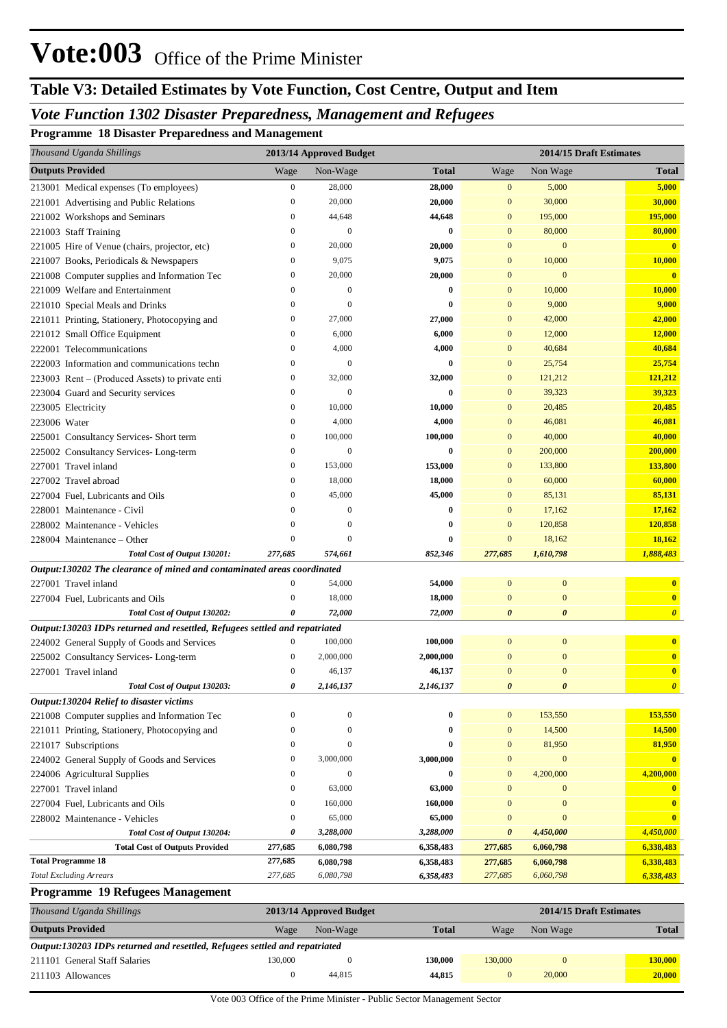# **Table V3: Detailed Estimates by Vote Function, Cost Centre, Output and Item**

# *Vote Function 1302 Disaster Preparedness, Management and Refugees*

**Programme 18 Disaster Preparedness and Management**

| Thousand Uganda Shillings                                                   |                  | 2013/14 Approved Budget |                     |                  |                       | 2014/15 Draft Estimates      |
|-----------------------------------------------------------------------------|------------------|-------------------------|---------------------|------------------|-----------------------|------------------------------|
| <b>Outputs Provided</b>                                                     | Wage             | Non-Wage                | Total               | Wage             | Non Wage              | <b>Total</b>                 |
| 213001 Medical expenses (To employees)                                      | $\boldsymbol{0}$ | 28,000                  | 28,000              | $\mathbf{0}$     | 5,000                 | 5,000                        |
| 221001 Advertising and Public Relations                                     | $\boldsymbol{0}$ | 20,000                  | 20,000              | $\bf{0}$         | 30,000                | 30,000                       |
| 221002 Workshops and Seminars                                               | $\boldsymbol{0}$ | 44,648                  | 44,648              | $\bf{0}$         | 195,000               | 195,000                      |
| 221003 Staff Training                                                       | $\mathbf{0}$     | $\boldsymbol{0}$        | $\bf{0}$            | $\mathbf{0}$     | 80,000                | 80,000                       |
| 221005 Hire of Venue (chairs, projector, etc)                               | $\boldsymbol{0}$ | 20,000                  | 20,000              | $\Omega$         | $\mathbf{0}$          | $\overline{\mathbf{0}}$      |
| 221007 Books, Periodicals & Newspapers                                      | $\boldsymbol{0}$ | 9,075                   | 9,075               | $\bf{0}$         | 10,000                | 10,000                       |
| 221008 Computer supplies and Information Tec                                | $\boldsymbol{0}$ | 20,000                  | 20,000              | $\bf{0}$         | $\mathbf{0}$          | $\mathbf{0}$                 |
| 221009 Welfare and Entertainment                                            | $\boldsymbol{0}$ | $\mathbf{0}$            | $\bf{0}$            | $\bf{0}$         | 10,000                | 10,000                       |
| 221010 Special Meals and Drinks                                             | $\boldsymbol{0}$ | $\Omega$                | $\bf{0}$            | $\boldsymbol{0}$ | 9,000                 | 9,000                        |
| 221011 Printing, Stationery, Photocopying and                               | $\boldsymbol{0}$ | 27,000                  | 27,000              | $\bf{0}$         | 42,000                | 42,000                       |
| 221012 Small Office Equipment                                               | $\boldsymbol{0}$ | 6,000                   | 6,000               | $\mathbf{0}$     | 12,000                | 12,000                       |
| 222001 Telecommunications                                                   | $\boldsymbol{0}$ | 4,000                   | 4,000               | $\mathbf{0}$     | 40,684                | 40,684                       |
| 222003 Information and communications techn                                 | $\boldsymbol{0}$ | $\boldsymbol{0}$        | $\bf{0}$            | $\boldsymbol{0}$ | 25,754                | 25,754                       |
| 223003 Rent – (Produced Assets) to private enti                             | $\boldsymbol{0}$ | 32,000                  | 32,000              | $\bf{0}$         | 121,212               | 121,212                      |
| 223004 Guard and Security services                                          | $\boldsymbol{0}$ | $\boldsymbol{0}$        | $\bf{0}$            | $\mathbf{0}$     | 39,323                | 39,323                       |
| 223005 Electricity                                                          | $\boldsymbol{0}$ | 10,000                  | 10,000              | $\bf{0}$         | 20,485                | 20,485                       |
| 223006 Water                                                                | $\boldsymbol{0}$ | 4,000                   | 4,000               | $\bf{0}$         | 46,081                | 46,081                       |
| 225001 Consultancy Services- Short term                                     | $\boldsymbol{0}$ | 100,000                 | 100,000             | $\boldsymbol{0}$ | 40,000                | 40,000                       |
| 225002 Consultancy Services-Long-term                                       | $\boldsymbol{0}$ | $\boldsymbol{0}$        | $\bf{0}$            | $\bf{0}$         | 200,000               | 200,000                      |
| 227001 Travel inland                                                        | $\boldsymbol{0}$ | 153,000                 | 153,000             | $\bf{0}$         | 133,800               | 133,800                      |
| 227002 Travel abroad                                                        | $\boldsymbol{0}$ | 18,000                  | 18,000              | $\mathbf{0}$     | 60,000                | 60,000                       |
| 227004 Fuel, Lubricants and Oils                                            | $\mathbf{0}$     | 45,000                  | 45,000              | $\boldsymbol{0}$ | 85,131                | 85,131                       |
| 228001 Maintenance - Civil                                                  | $\theta$         | $\mathbf{0}$            | $\bf{0}$            | $\mathbf{0}$     | 17,162                | 17,162                       |
| 228002 Maintenance - Vehicles                                               | $\theta$         | 0                       | $\bf{0}$            | $\mathbf{0}$     | 120,858               | 120,858                      |
| 228004 Maintenance – Other                                                  | $\boldsymbol{0}$ | $\Omega$                | $\bf{0}$            | $\bf{0}$         | 18,162                | 18,162                       |
| Total Cost of Output 130201:                                                | 277,685          | 574,661                 | 852,346             | 277,685          | 1,610,798             | 1,888,483                    |
| Output:130202 The clearance of mined and contaminated areas coordinated     |                  |                         |                     |                  |                       |                              |
| 227001 Travel inland                                                        | $\mathbf{0}$     | 54,000                  | 54,000              | $\overline{0}$   | $\mathbf{0}$          | $\mathbf{0}$                 |
| 227004 Fuel, Lubricants and Oils                                            | $\boldsymbol{0}$ | 18,000                  | 18,000              | $\bf{0}$         | $\mathbf{0}$          | $\mathbf{0}$                 |
| Total Cost of Output 130202:                                                | 0                | 72,000                  | 72,000              | 0                | $\boldsymbol{\theta}$ | $\boldsymbol{\theta}$        |
| Output:130203 IDPs returned and resettled, Refugees settled and repatriated | $\mathbf{0}$     | 100,000                 |                     | $\Omega$         | $\mathbf{0}$          |                              |
| 224002 General Supply of Goods and Services                                 | $\mathbf{0}$     | 2,000,000               | 100,000             | $\mathbf{0}$     | $\mathbf{0}$          | $\mathbf{0}$<br>$\mathbf{0}$ |
| 225002 Consultancy Services- Long-term                                      | $\boldsymbol{0}$ | 46,137                  | 2,000,000<br>46,137 | $\mathbf{0}$     | $\overline{0}$        | $\bf{0}$                     |
| 227001 Travel inland                                                        | 0                | 2,146,137               | 2,146,137           | 0                | $\boldsymbol{\theta}$ | $\boldsymbol{\theta}$        |
| Total Cost of Output 130203:<br>Output:130204 Relief to disaster victims    |                  |                         |                     |                  |                       |                              |
| 221008 Computer supplies and Information Tec                                | $\boldsymbol{0}$ | $\mathbf{0}$            | $\bf{0}$            | $\mathbf{0}$     | 153,550               | 153,550                      |
| 221011 Printing, Stationery, Photocopying and                               | $\boldsymbol{0}$ | $\mathbf{0}$            | $\bf{0}$            | $\mathbf{0}$     | 14,500                | 14,500                       |
| 221017 Subscriptions                                                        | $\boldsymbol{0}$ | $\mathbf{0}$            | 0                   | $\boldsymbol{0}$ | 81,950                | 81,950                       |
| 224002 General Supply of Goods and Services                                 | $\boldsymbol{0}$ | 3,000,000               | 3,000,000           | $\boldsymbol{0}$ | $\mathbf{0}$          | $\overline{0}$               |
| 224006 Agricultural Supplies                                                | $\boldsymbol{0}$ | $\boldsymbol{0}$        | 0                   | $\mathbf{0}$     | 4,200,000             | 4,200,000                    |
| 227001 Travel inland                                                        | $\boldsymbol{0}$ | 63,000                  | 63,000              | $\mathbf{0}$     | $\boldsymbol{0}$      | $\mathbf{0}$                 |
| 227004 Fuel, Lubricants and Oils                                            | $\boldsymbol{0}$ | 160,000                 | 160,000             | $\mathbf{0}$     | $\mathbf{0}$          | $\mathbf{0}$                 |
| 228002 Maintenance - Vehicles                                               | $\boldsymbol{0}$ | 65,000                  | 65,000              | $\mathbf{0}$     | $\boldsymbol{0}$      | $\mathbf{0}$                 |
| Total Cost of Output 130204:                                                | 0                | 3,288,000               | 3,288,000           | 0                | 4,450,000             | 4,450,000                    |
| <b>Total Cost of Outputs Provided</b>                                       | 277,685          | 6,080,798               | 6,358,483           | 277,685          | 6,060,798             | 6,338,483                    |
| <b>Total Programme 18</b>                                                   | 277,685          | 6,080,798               | 6,358,483           | 277,685          | 6,060,798             | 6,338,483                    |
| <b>Total Excluding Arrears</b>                                              | 277,685          | 6,080,798               | 6,358,483           | 277,685          | 6,060,798             | 6,338,483                    |
| <b>Programme 19 Refugees Management</b>                                     |                  |                         |                     |                  |                       |                              |
| Thousand Uganda Shillings                                                   |                  | 2013/14 Approved Budget |                     |                  |                       | 2014/15 Draft Estimates      |
| <b>Outputs Provided</b>                                                     | Wage             | Non-Wage                | <b>Total</b>        | Wage             | Non Wage              | <b>Total</b>                 |
| Output:130203 IDPs returned and resettled, Refugees settled and repatriated |                  |                         |                     |                  |                       |                              |
| 211101 General Staff Salaries                                               | 130,000          | $\boldsymbol{0}$        | 130,000             | 130,000          | $\boldsymbol{0}$      | 130,000                      |
| 211103 Allowances                                                           | $\boldsymbol{0}$ | 44,815                  | 44,815              | $\mathbf{0}$     | 20,000                | 20,000                       |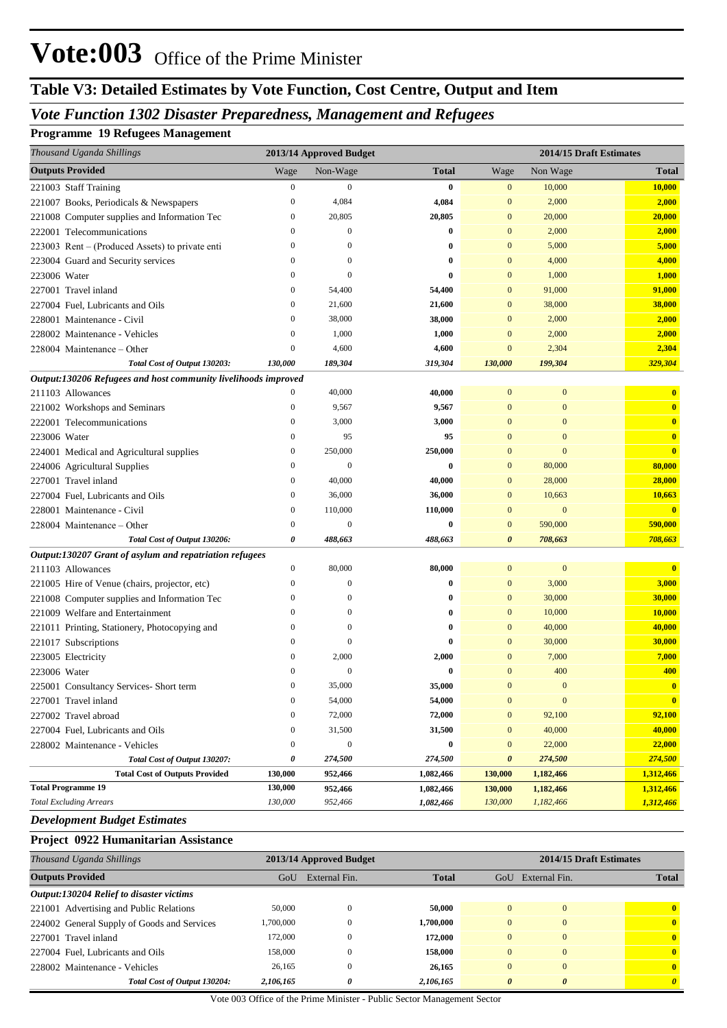# **Table V3: Detailed Estimates by Vote Function, Cost Centre, Output and Item**

## *Vote Function 1302 Disaster Preparedness, Management and Refugees*

#### **Programme 19 Refugees Management**

| Thousand Uganda Shillings                                      |                  | 2013/14 Approved Budget |              |                       |                  | 2014/15 Draft Estimates |
|----------------------------------------------------------------|------------------|-------------------------|--------------|-----------------------|------------------|-------------------------|
| <b>Outputs Provided</b>                                        | Wage             | Non-Wage                | <b>Total</b> | Wage                  | Non Wage         | <b>Total</b>            |
| 221003 Staff Training                                          | $\boldsymbol{0}$ | $\mathbf{0}$            | $\bf{0}$     | $\mathbf{0}$          | 10,000           | 10,000                  |
| 221007 Books, Periodicals & Newspapers                         | $\boldsymbol{0}$ | 4,084                   | 4,084        | $\mathbf{0}$          | 2,000            | 2,000                   |
| 221008 Computer supplies and Information Tec                   | $\boldsymbol{0}$ | 20,805                  | 20,805       | $\mathbf{0}$          | 20,000           | 20,000                  |
| 222001 Telecommunications                                      | $\boldsymbol{0}$ | $\boldsymbol{0}$        | $\bf{0}$     | $\mathbf{0}$          | 2,000            | 2,000                   |
| 223003 Rent – (Produced Assets) to private enti                | $\boldsymbol{0}$ | $\theta$                | 0            | $\mathbf{0}$          | 5,000            | 5,000                   |
| 223004 Guard and Security services                             | $\mathbf{0}$     | $\mathbf{0}$            | 0            | $\mathbf{0}$          | 4,000            | 4,000                   |
| 223006 Water                                                   | $\mathbf{0}$     | $\Omega$                | $\bf{0}$     | $\mathbf{0}$          | 1,000            | 1,000                   |
| 227001 Travel inland                                           | $\mathbf{0}$     | 54,400                  | 54,400       | $\mathbf{0}$          | 91,000           | 91,000                  |
| 227004 Fuel, Lubricants and Oils                               | $\boldsymbol{0}$ | 21,600                  | 21,600       | $\mathbf{0}$          | 38,000           | 38,000                  |
| 228001 Maintenance - Civil                                     | $\mathbf{0}$     | 38,000                  | 38,000       | $\mathbf{0}$          | 2,000            | 2,000                   |
| 228002 Maintenance - Vehicles                                  | $\mathbf{0}$     | 1,000                   | 1,000        | $\mathbf{0}$          | 2,000            | 2,000                   |
| 228004 Maintenance – Other                                     | $\mathbf{0}$     | 4,600                   | 4,600        | $\mathbf{0}$          | 2,304            | 2,304                   |
| Total Cost of Output 130203:                                   | 130,000          | 189,304                 | 319,304      | 130,000               | 199,304          | 329,304                 |
| Output:130206 Refugees and host community livelihoods improved |                  |                         |              |                       |                  |                         |
| 211103 Allowances                                              | $\boldsymbol{0}$ | 40,000                  | 40,000       | $\mathbf{0}$          | $\boldsymbol{0}$ | $\mathbf{0}$            |
| 221002 Workshops and Seminars                                  | $\boldsymbol{0}$ | 9,567                   | 9,567        | $\mathbf{0}$          | $\mathbf{0}$     | $\mathbf{0}$            |
| 222001 Telecommunications                                      | $\boldsymbol{0}$ | 3,000                   | 3,000        | $\Omega$              | $\mathbf{0}$     | $\mathbf{0}$            |
| 223006 Water                                                   | $\boldsymbol{0}$ | 95                      | 95           | $\Omega$              | $\mathbf{0}$     | $\mathbf{0}$            |
| 224001 Medical and Agricultural supplies                       | $\boldsymbol{0}$ | 250,000                 | 250,000      | $\Omega$              | $\mathbf{0}$     | $\mathbf{0}$            |
| 224006 Agricultural Supplies                                   | $\boldsymbol{0}$ | $\mathbf{0}$            | $\bf{0}$     | $\mathbf{0}$          | 80,000           | 80,000                  |
| 227001 Travel inland                                           | $\boldsymbol{0}$ | 40,000                  | 40,000       | $\mathbf{0}$          | 28,000           | 28,000                  |
| 227004 Fuel, Lubricants and Oils                               | $\boldsymbol{0}$ | 36,000                  | 36,000       | $\mathbf{0}$          | 10,663           | 10,663                  |
| 228001 Maintenance - Civil                                     | $\mathbf{0}$     | 110,000                 | 110,000      | $\mathbf{0}$          | $\boldsymbol{0}$ | $\mathbf{0}$            |
| 228004 Maintenance – Other                                     | $\mathbf{0}$     | $\mathbf{0}$            | 0            | $\mathbf{0}$          | 590,000          | 590,000                 |
| Total Cost of Output 130206:                                   | 0                | 488,663                 | 488,663      | $\boldsymbol{\theta}$ | 708,663          | 708,663                 |
| Output:130207 Grant of asylum and repatriation refugees        |                  |                         |              |                       |                  |                         |
| 211103 Allowances                                              | $\boldsymbol{0}$ | 80,000                  | 80,000       | $\mathbf{0}$          | $\boldsymbol{0}$ | $\overline{\mathbf{0}}$ |
| 221005 Hire of Venue (chairs, projector, etc)                  | $\boldsymbol{0}$ | $\mathbf{0}$            | 0            | $\mathbf{0}$          | 3,000            | 3,000                   |
| 221008 Computer supplies and Information Tec                   | $\boldsymbol{0}$ | $\Omega$                | 0            | $\mathbf{0}$          | 30,000           | 30,000                  |
| 221009 Welfare and Entertainment                               | $\boldsymbol{0}$ | $\mathbf{0}$            | 0            | $\mathbf{0}$          | 10,000           | 10,000                  |
| 221011 Printing, Stationery, Photocopying and                  | $\boldsymbol{0}$ | $\mathbf{0}$            | 0            | $\overline{0}$        | 40,000           | 40,000                  |
| 221017 Subscriptions                                           | $\mathbf{0}$     | $\theta$                | 0            | $\Omega$              | 30,000           | 30,000                  |
| 223005 Electricity                                             | $\mathbf{0}$     | 2,000                   | 2,000        | $\Omega$              | 7,000            | 7,000                   |
| 223006 Water                                                   | $\mathbf{0}$     | $\mathbf{0}$            | 0            | $\mathbf{0}$          | 400              | 400                     |
| 225001 Consultancy Services- Short term                        | $\Omega$         | 35,000                  | 35,000       | $\overline{0}$        | $\Omega$         | $\mathbf{0}$            |
| 227001 Travel inland                                           | $\boldsymbol{0}$ | 54,000                  | 54,000       | $\boldsymbol{0}$      | $\bf{0}$         | $\mathbf{0}$            |
| 227002 Travel abroad                                           | $\boldsymbol{0}$ | 72,000                  | 72,000       | $\bf{0}$              | 92,100           | 92,100                  |
| 227004 Fuel, Lubricants and Oils                               | $\boldsymbol{0}$ | 31,500                  | 31,500       | $\mathbf{0}$          | 40,000           | 40,000                  |
| 228002 Maintenance - Vehicles                                  | $\boldsymbol{0}$ | $\boldsymbol{0}$        | 0            | $\mathbf{0}$          | 22,000           | 22,000                  |
| Total Cost of Output 130207:                                   | 0                | 274,500                 | 274,500      | $\boldsymbol{\theta}$ | 274,500          | 274,500                 |
| <b>Total Cost of Outputs Provided</b>                          | 130,000          | 952,466                 | 1,082,466    | 130,000               | 1,182,466        | 1,312,466               |
| <b>Total Programme 19</b>                                      | 130,000          | 952,466                 | 1,082,466    | 130,000               | 1,182,466        | 1,312,466               |
| <b>Total Excluding Arrears</b>                                 | 130,000          | 952,466                 | 1,082,466    | 130,000               | 1,182,466        | 1,312,466               |

## *Development Budget Estimates*

#### **Project 0922 Humanitarian Assistance**

| Thousand Uganda Shillings                   |           | 2013/14 Approved Budget |              | 2014/15 Draft Estimates |               |              |  |
|---------------------------------------------|-----------|-------------------------|--------------|-------------------------|---------------|--------------|--|
| <b>Outputs Provided</b>                     | GoU       | External Fin.           | <b>Total</b> | GoU                     | External Fin. | <b>Total</b> |  |
| Output:130204 Relief to disaster victims    |           |                         |              |                         |               |              |  |
| 221001 Advertising and Public Relations     | 50,000    | $\mathbf{0}$            | 50,000       | $\Omega$                | $\mathbf{0}$  | $\mathbf{0}$ |  |
| 224002 General Supply of Goods and Services | 1.700.000 | $\theta$                | 1,700,000    | $\Omega$                | $\mathbf{0}$  | $\mathbf{0}$ |  |
| 227001 Travel inland                        | 172,000   | $\Omega$                | 172,000      | $\Omega$                | $\theta$      | $\mathbf{0}$ |  |
| 227004 Fuel, Lubricants and Oils            | 158,000   | $\Omega$                | 158,000      | $\Omega$                | $\Omega$      | $\mathbf{0}$ |  |
| 228002 Maintenance - Vehicles               | 26,165    | $\left($                | 26,165       | $\Omega$                | $\Omega$      | $\mathbf{0}$ |  |
| Total Cost of Output 130204:                | 2,106,165 | 0                       | 2,106,165    | $\theta$                | $\theta$      | $\theta$     |  |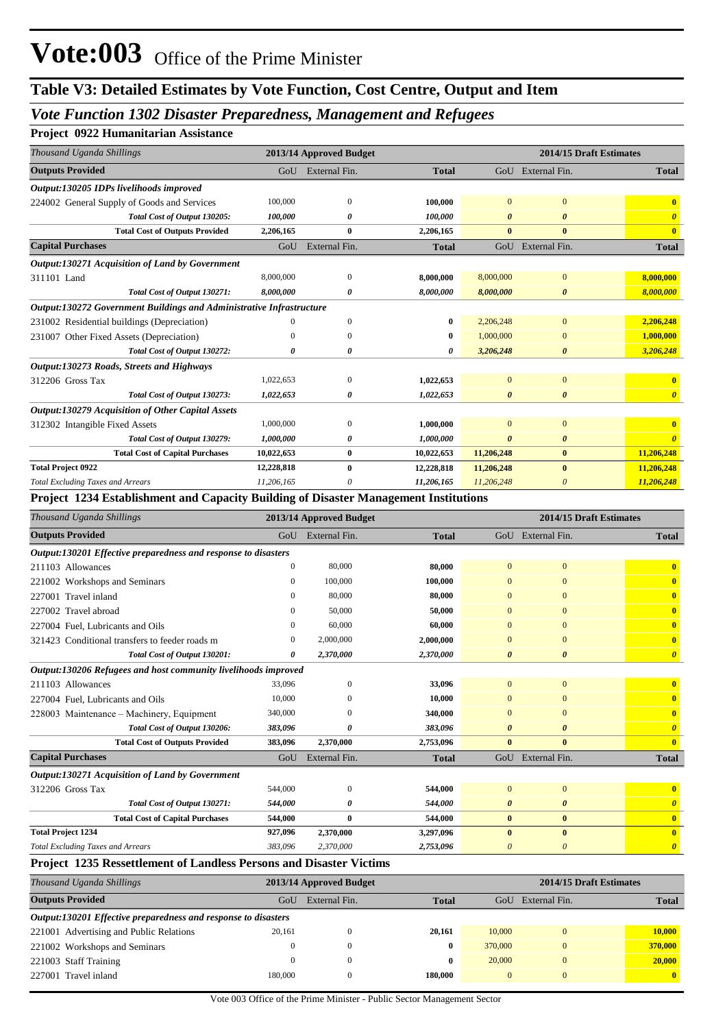## *Vote Function 1302 Disaster Preparedness, Management and Refugees*

### **Project 0922 Humanitarian Assistance**

| Thousand Uganda Shillings                                            | 2013/14 Approved Budget |                       | 2014/15 Draft Estimates |                       |                       |                       |
|----------------------------------------------------------------------|-------------------------|-----------------------|-------------------------|-----------------------|-----------------------|-----------------------|
| <b>Outputs Provided</b>                                              |                         | GoU External Fin.     | <b>Total</b>            |                       | GoU External Fin.     | <b>Total</b>          |
| Output:130205 IDPs livelihoods improved                              |                         |                       |                         |                       |                       |                       |
| 224002 General Supply of Goods and Services                          | 100,000                 | $\mathbf{0}$          | 100,000                 | $\Omega$              | $\Omega$              |                       |
| Total Cost of Output 130205:                                         | 100,000                 | 0                     | 100,000                 | $\boldsymbol{\theta}$ | $\boldsymbol{\theta}$ | $\theta$              |
| <b>Total Cost of Outputs Provided</b>                                | 2,206,165               | $\bf{0}$              | 2,206,165               | $\bf{0}$              | $\bf{0}$              | $\mathbf{0}$          |
| <b>Capital Purchases</b>                                             | GoU                     | External Fin.         | <b>Total</b>            | GoU                   | External Fin.         | <b>Total</b>          |
| Output:130271 Acquisition of Land by Government                      |                         |                       |                         |                       |                       |                       |
| 311101 Land                                                          | 8,000,000               | $\theta$              | 8,000,000               | 8,000,000             | $\overline{0}$        | 8,000,000             |
| Total Cost of Output 130271:                                         | 8,000,000               | 0                     | 8,000,000               | 8,000,000             | 0                     | 8,000,000             |
| Output:130272 Government Buildings and Administrative Infrastructure |                         |                       |                         |                       |                       |                       |
| 231002 Residential buildings (Depreciation)                          | $\Omega$                | $\mathbf{0}$          | 0                       | 2,206,248             | $\overline{0}$        | 2,206,248             |
| 231007 Other Fixed Assets (Depreciation)                             |                         | $\Omega$              | 0                       | 1,000,000             | $\Omega$              | 1,000,000             |
| Total Cost of Output 130272:                                         | 0                       | $\boldsymbol{\theta}$ | 0                       | 3,206,248             | $\boldsymbol{\theta}$ | 3,206,248             |
| Output:130273 Roads, Streets and Highways                            |                         |                       |                         |                       |                       |                       |
| 312206 Gross Tax                                                     | 1,022,653               | $\mathbf{0}$          | 1,022,653               | $\Omega$              | $\mathbf{0}$          | $\mathbf{0}$          |
| Total Cost of Output 130273:                                         | 1,022,653               | 0                     | 1,022,653               | $\boldsymbol{\theta}$ | $\boldsymbol{\theta}$ | $\boldsymbol{\theta}$ |
| <b>Output:130279 Acquisition of Other Capital Assets</b>             |                         |                       |                         |                       |                       |                       |
| 312302 Intangible Fixed Assets                                       | 1,000,000               | $\Omega$              | 1,000,000               | $\Omega$              | $\overline{0}$        |                       |
| Total Cost of Output 130279:                                         | 1,000,000               | 0                     | 1,000,000               | O                     | 0                     |                       |
| <b>Total Cost of Capital Purchases</b>                               | 10,022,653              | $\bf{0}$              | 10,022,653              | 11,206,248            | $\bf{0}$              | 11,206,248            |
| <b>Total Project 0922</b>                                            | 12,228,818              | $\bf{0}$              | 12,228,818              | 11,206,248            | $\bf{0}$              | 11,206,248            |
| <b>Total Excluding Taxes and Arrears</b>                             | 11,206,165              | 0                     | 11,206,165              | 11,206,248            | 0                     | 11,206,248            |

#### **Project 1234 Establishment and Capacity Building of Disaster Management Institutions**

| Thousand Uganda Shillings                                                  |              | 2013/14 Approved Budget |              | 2014/15 Draft Estimates |                       |                         |  |
|----------------------------------------------------------------------------|--------------|-------------------------|--------------|-------------------------|-----------------------|-------------------------|--|
| <b>Outputs Provided</b>                                                    |              | GoU External Fin.       | <b>Total</b> |                         | GoU External Fin.     | <b>Total</b>            |  |
| Output:130201 Effective preparedness and response to disasters             |              |                         |              |                         |                       |                         |  |
| 211103 Allowances                                                          | $\mathbf{0}$ | 80,000                  | 80,000       | $\mathbf{0}$            | $\mathbf{0}$          | $\mathbf{0}$            |  |
| 221002 Workshops and Seminars                                              | $\mathbf{0}$ | 100,000                 | 100,000      | $\Omega$                | $\mathbf{0}$          | $\mathbf{0}$            |  |
| 227001 Travel inland                                                       | $\Omega$     | 80,000                  | 80,000       | $\mathbf{0}$            | $\mathbf{0}$          | $\mathbf{0}$            |  |
| 227002 Travel abroad                                                       | $\Omega$     | 50,000                  | 50,000       | 0                       | $\Omega$              | $\overline{\mathbf{0}}$ |  |
| 227004 Fuel, Lubricants and Oils                                           | 0            | 60,000                  | 60.000       | $\mathbf{0}$            | $\mathbf{0}$          | $\overline{\mathbf{0}}$ |  |
| 321423 Conditional transfers to feeder roads m                             | $\Omega$     | 2,000,000               | 2,000,000    | 0                       | $\mathbf{0}$          | $\overline{\mathbf{0}}$ |  |
| Total Cost of Output 130201:                                               | 0            | 2,370,000               | 2,370,000    | $\boldsymbol{\theta}$   | $\boldsymbol{\theta}$ | $\boldsymbol{\theta}$   |  |
| Output:130206 Refugees and host community livelihoods improved             |              |                         |              |                         |                       |                         |  |
| 211103 Allowances                                                          | 33,096       | $\Omega$                | 33,096       | $\mathbf{0}$            | $\overline{0}$        | $\mathbf{0}$            |  |
| 227004 Fuel, Lubricants and Oils                                           | 10,000       | O                       | 10,000       | 0                       | $\mathbf{0}$          | $\mathbf{0}$            |  |
| 228003 Maintenance – Machinery, Equipment                                  | 340,000      | $\Omega$                | 340,000      | $\mathbf{0}$            | $\overline{0}$        | $\overline{\mathbf{0}}$ |  |
| Total Cost of Output 130206:                                               | 383,096      | 0                       | 383,096      | 0                       | $\boldsymbol{\theta}$ | $\boldsymbol{\theta}$   |  |
| <b>Total Cost of Outputs Provided</b>                                      | 383,096      | 2,370,000               | 2,753,096    | $\bf{0}$                | $\bf{0}$              | $\mathbf{0}$            |  |
| <b>Capital Purchases</b>                                                   | GoU          | External Fin.           | <b>Total</b> | GoU                     | External Fin.         | <b>Total</b>            |  |
| Output:130271 Acquisition of Land by Government                            |              |                         |              |                         |                       |                         |  |
| 312206 Gross Tax                                                           | 544,000      | $\mathbf{0}$            | 544,000      | $\mathbf{0}$            | $\mathbf{0}$          | $\mathbf{0}$            |  |
| Total Cost of Output 130271:                                               | 544,000      | 0                       | 544,000      | $\boldsymbol{\theta}$   | $\boldsymbol{\theta}$ | $\boldsymbol{\theta}$   |  |
| <b>Total Cost of Capital Purchases</b>                                     | 544,000      | $\bf{0}$                | 544,000      | $\bf{0}$                | $\bf{0}$              | $\mathbf{0}$            |  |
| <b>Total Project 1234</b>                                                  | 927,096      | 2,370,000               | 3,297,096    | $\mathbf{0}$            | $\bf{0}$              | $\mathbf{0}$            |  |
| <b>Total Excluding Taxes and Arrears</b>                                   | 383,096      | 2,370,000               | 2,753,096    | 0                       | $\theta$              | $\boldsymbol{\theta}$   |  |
| <b>Project 1235 Ressettlement of Landless Persons and Disaster Victims</b> |              |                         |              |                         |                       |                         |  |

| Thousand Uganda Shillings                                      | 2013/14 Approved Budget |               |              |          | 2014/15 Draft Estimates |              |
|----------------------------------------------------------------|-------------------------|---------------|--------------|----------|-------------------------|--------------|
| <b>Outputs Provided</b>                                        | GoU                     | External Fin. | <b>Total</b> | GoU      | External Fin.           | <b>Total</b> |
| Output:130201 Effective preparedness and response to disasters |                         |               |              |          |                         |              |
| 221001 Advertising and Public Relations                        | 20.161                  |               | 20.161       | 10,000   |                         | 10.000       |
| 221002 Workshops and Seminars                                  | $\theta$                |               | $\bf{0}$     | 370,000  |                         | 370,000      |
| 221003 Staff Training                                          | $\Omega$                |               | 0            | 20,000   |                         | 20,000       |
| 227001 Travel inland                                           | 180,000                 |               | 180,000      | $\Omega$ |                         | $\mathbf{0}$ |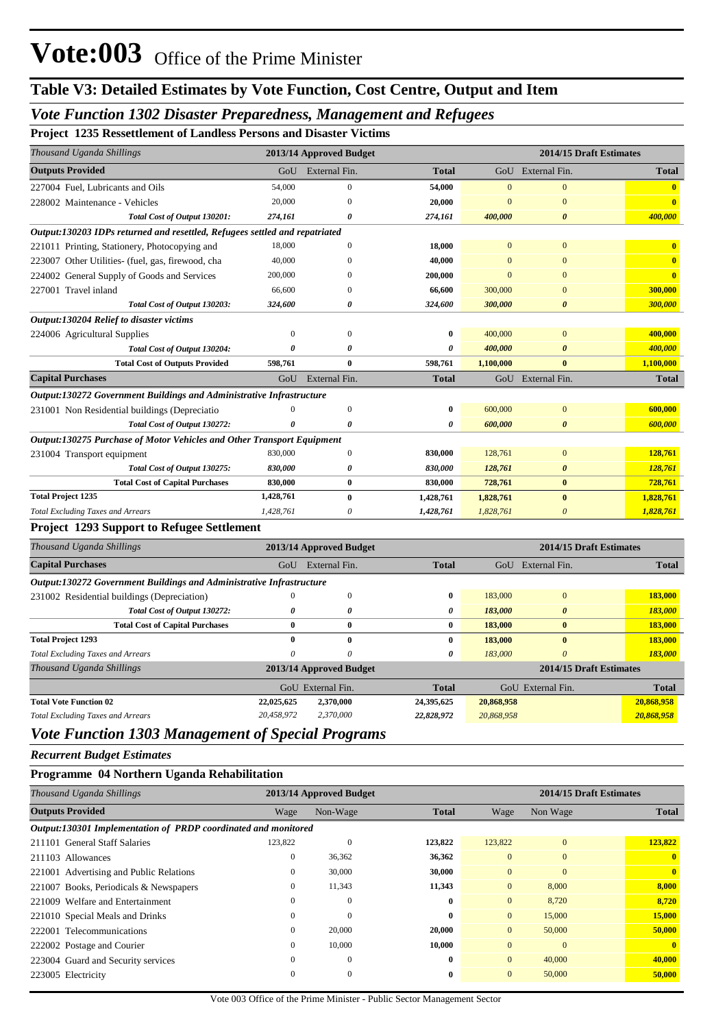### *Vote Function 1302 Disaster Preparedness, Management and Refugees*

**Project 1235 Ressettlement of Landless Persons and Disaster Victims**

| Thousand Uganda Shillings                                                   |                           | 2013/14 Approved Budget |              |                | 2014/15 Draft Estimates |                         |
|-----------------------------------------------------------------------------|---------------------------|-------------------------|--------------|----------------|-------------------------|-------------------------|
| <b>Outputs Provided</b>                                                     | GoU                       | External Fin.           | <b>Total</b> | GoU            | External Fin.           | <b>Total</b>            |
| 227004 Fuel, Lubricants and Oils                                            | 54,000                    | $\mathbf{0}$            | 54,000       | $\mathbf{0}$   | $\mathbf{0}$            | $\overline{\mathbf{0}}$ |
| 228002 Maintenance - Vehicles                                               | 20,000                    | $\mathbf{0}$            | 20,000       | $\overline{0}$ | $\mathbf{0}$            | $\bf{0}$                |
| Total Cost of Output 130201:                                                | 274,161                   | 0                       | 274,161      | 400,000        | $\boldsymbol{\theta}$   | 400,000                 |
| Output:130203 IDPs returned and resettled, Refugees settled and repatriated |                           |                         |              |                |                         |                         |
| 221011 Printing, Stationery, Photocopying and                               | 18,000                    | $\overline{0}$          | 18,000       | $\mathbf{0}$   | $\mathbf{0}$            | $\overline{\mathbf{0}}$ |
| 223007 Other Utilities- (fuel, gas, firewood, cha                           | 40,000                    | $\Omega$                | 40,000       | $\mathbf{0}$   | $\overline{0}$          | $\overline{\mathbf{0}}$ |
| 224002 General Supply of Goods and Services                                 | 200,000                   | $\mathbf{0}$            | 200,000      | $\mathbf{0}$   | $\mathbf{0}$            | $\bf{0}$                |
| 227001 Travel inland                                                        | 66,600                    | $\Omega$                | 66,600       | 300,000        | $\overline{0}$          | 300,000                 |
| Total Cost of Output 130203:                                                | 324,600                   | 0                       | 324,600      | 300,000        | 0                       | 300,000                 |
| <b>Output:130204 Relief to disaster victims</b>                             |                           |                         |              |                |                         |                         |
| 224006 Agricultural Supplies                                                | $\boldsymbol{0}$          | $\overline{0}$          | 0            | 400,000        | $\mathbf{0}$            | 400,000                 |
| Total Cost of Output 130204:                                                | $\theta$                  | 0                       | 0            | 400,000        | $\boldsymbol{\theta}$   | 400,000                 |
| <b>Total Cost of Outputs Provided</b>                                       | 598,761                   | $\bf{0}$                | 598,761      | 1,100,000      | $\mathbf{0}$            | 1,100,000               |
| <b>Capital Purchases</b>                                                    | GoU                       | External Fin.           | <b>Total</b> |                | GoU External Fin.       | <b>Total</b>            |
| Output:130272 Government Buildings and Administrative Infrastructure        |                           |                         |              |                |                         |                         |
| 231001 Non Residential buildings (Depreciatio                               | $\boldsymbol{0}$          | $\boldsymbol{0}$        | $\bf{0}$     | 600,000        | $\boldsymbol{0}$        | 600,000                 |
| Total Cost of Output 130272:                                                | 0                         | 0                       | 0            | 600,000        | $\boldsymbol{\theta}$   | 600,000                 |
| Output:130275 Purchase of Motor Vehicles and Other Transport Equipment      |                           |                         |              |                |                         |                         |
| 231004 Transport equipment                                                  | 830,000                   | $\boldsymbol{0}$        | 830,000      | 128,761        | $\mathbf{0}$            | 128,761                 |
| Total Cost of Output 130275:                                                | 830,000                   | 0                       | 830,000      | 128,761        | $\boldsymbol{\theta}$   | 128,761                 |
| <b>Total Cost of Capital Purchases</b>                                      | 830,000                   | $\bf{0}$                | 830,000      | 728,761        | $\bf{0}$                | 728,761                 |
| <b>Total Project 1235</b>                                                   | 1,428,761                 | $\bf{0}$                | 1,428,761    | 1,828,761      | $\bf{0}$                | 1,828,761               |
| <b>Total Excluding Taxes and Arrears</b>                                    | 1,428,761                 | 0                       | 1,428,761    | 1,828,761      | $\boldsymbol{\theta}$   | 1,828,761               |
| <b>Project 1293 Support to Refugee Settlement</b>                           |                           |                         |              |                |                         |                         |
| Thousand Uganda Shillings                                                   |                           | 2013/14 Approved Budget |              |                | 2014/15 Draft Estimates |                         |
| <b>Capital Purchases</b>                                                    | GoU                       | External Fin.           | <b>Total</b> |                | GoU External Fin.       | <b>Total</b>            |
| Output:130272 Government Buildings and Administrative Infrastructure        |                           |                         |              |                |                         |                         |
| 231002 Residential buildings (Depreciation)                                 | $\theta$                  | $\boldsymbol{0}$        | $\bf{0}$     | 183,000        | $\mathbf{0}$            | 183,000                 |
| Total Cost of Output 130272:                                                | 0                         | $\boldsymbol{\theta}$   | 0            | 183,000        | $\boldsymbol{\theta}$   | 183,000                 |
| <b>Total Cost of Capital Purchases</b>                                      | $\bf{0}$                  | $\bf{0}$                | $\bf{0}$     | 183,000        | $\bf{0}$                | 183,000                 |
| <b>Total Project 1293</b>                                                   | $\bf{0}$                  | $\bf{0}$                | $\bf{0}$     | 183,000        | $\bf{0}$                | 183,000                 |
| <b>Total Excluding Taxes and Arrears</b>                                    | $\boldsymbol{\mathit{0}}$ | $\theta$                | 0            | 183,000        | $\boldsymbol{\theta}$   | 183,000                 |
| Thousand Uganda Shillings                                                   |                           | 2013/14 Approved Budget |              |                | 2014/15 Draft Estimates |                         |
|                                                                             |                           | GoU External Fin.       | <b>Total</b> |                | GoU External Fin.       | <b>Total</b>            |
| <b>Total Vote Function 02</b>                                               | 22,025,625                | 2,370,000               | 24,395,625   | 20,868,958     |                         | 20,868,958              |
| <b>Total Excluding Taxes and Arrears</b>                                    | 20,458,972                | 2,370,000               | 22,828,972   | 20,868,958     |                         | 20,868,958              |
| <b>Vote Function 1303 Management of Special Programs</b>                    |                           |                         |              |                |                         |                         |
| <b>Recurrent Budget Estimates</b>                                           |                           |                         |              |                |                         |                         |

#### **Programme 04 Northern Uganda Rehabilitation**

| Thousand Uganda Shillings                                      |              | 2013/14 Approved Budget |              | 2014/15 Draft Estimates |              |              |  |
|----------------------------------------------------------------|--------------|-------------------------|--------------|-------------------------|--------------|--------------|--|
| <b>Outputs Provided</b>                                        | Wage         | Non-Wage                | <b>Total</b> | Wage                    | Non Wage     | <b>Total</b> |  |
| Output:130301 Implementation of PRDP coordinated and monitored |              |                         |              |                         |              |              |  |
| 211101 General Staff Salaries                                  | 123,822      | $\Omega$                | 123,822      | 123,822                 | $\mathbf{0}$ | 123,822      |  |
| 211103 Allowances                                              | $\mathbf{0}$ | 36,362                  | 36,362       | $\mathbf{0}$            | $\mathbf{0}$ | $\mathbf{0}$ |  |
| 221001 Advertising and Public Relations                        | $\mathbf{0}$ | 30,000                  | 30,000       | $\overline{0}$          | $\mathbf{0}$ | $\mathbf{0}$ |  |
| 221007 Books, Periodicals & Newspapers                         | $\mathbf{0}$ | 11,343                  | 11,343       | $\mathbf{0}$            | 8,000        | 8,000        |  |
| 221009 Welfare and Entertainment                               | $\Omega$     | $\Omega$                | $\bf{0}$     | $\Omega$                | 8,720        | 8,720        |  |
| 221010 Special Meals and Drinks                                | $\mathbf{0}$ | $\mathbf{0}$            | $\bf{0}$     | $\overline{0}$          | 15,000       | 15,000       |  |
| 222001 Telecommunications                                      | $\mathbf{0}$ | 20,000                  | 20,000       | $\mathbf{0}$            | 50,000       | 50,000       |  |
| 222002 Postage and Courier                                     | $\mathbf{0}$ | 10,000                  | 10,000       | $\Omega$                | $\Omega$     | $\mathbf{0}$ |  |
| 223004 Guard and Security services                             | $\mathbf{0}$ | $\mathbf{0}$            | $\bf{0}$     | $\Omega$                | 40,000       | 40,000       |  |
| 223005 Electricity                                             | $\mathbf{0}$ | $\mathbf{0}$            | $\bf{0}$     | $\mathbf{0}$            | 50,000       | 50,000       |  |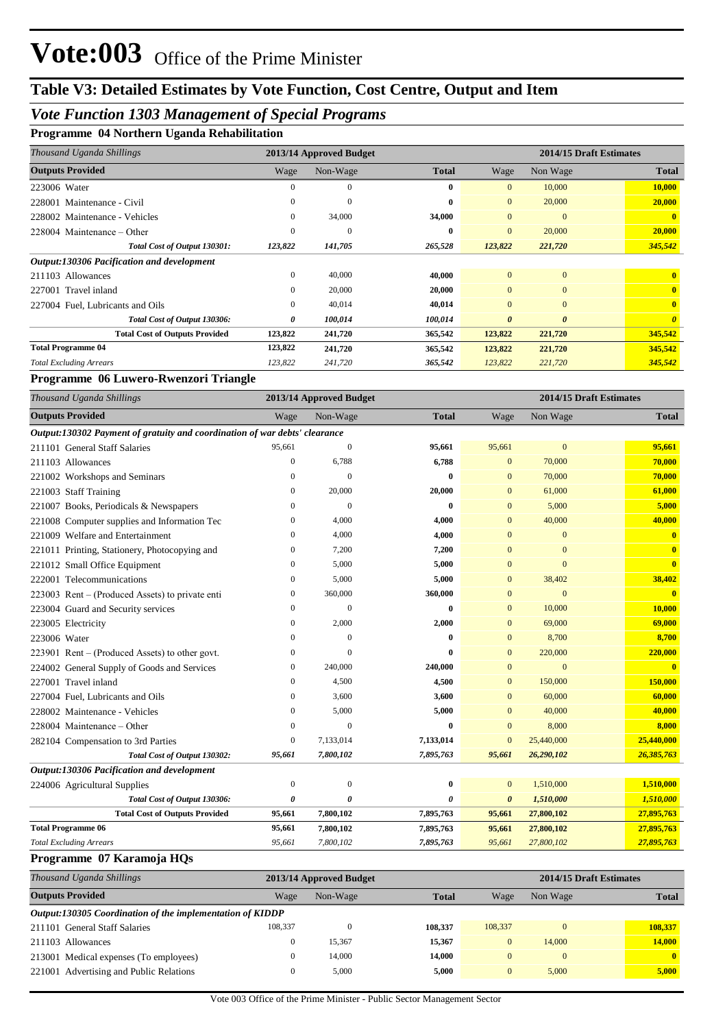## *Vote Function 1303 Management of Special Programs*

| Thousand Uganda Shillings                  |              | 2013/14 Approved Budget |              | 2014/15 Draft Estimates |                       |              |  |
|--------------------------------------------|--------------|-------------------------|--------------|-------------------------|-----------------------|--------------|--|
| <b>Outputs Provided</b>                    | Wage         | Non-Wage                | <b>Total</b> | Wage                    | Non Wage              | <b>Total</b> |  |
| 223006 Water                               | $\Omega$     | $\Omega$                | $\bf{0}$     | $\Omega$                | 10,000                | 10,000       |  |
| Maintenance - Civil<br>228001              | 0            | $\mathbf{0}$            | 0            | $\overline{0}$          | 20,000                | 20,000       |  |
| 228002 Maintenance - Vehicles              | $\mathbf{0}$ | 34,000                  | 34,000       | $\overline{0}$          | $\mathbf{0}$          | $\mathbf{0}$ |  |
| 228004 Maintenance – Other                 | $\theta$     | $\mathbf{0}$            | 0            | $\overline{0}$          | 20,000                | 20,000       |  |
| Total Cost of Output 130301:               | 123,822      | 141,705                 | 265,528      | 123,822                 | 221,720               | 345,542      |  |
| Output:130306 Pacification and development |              |                         |              |                         |                       |              |  |
| 211103 Allowances                          | $\mathbf{0}$ | 40,000                  | 40,000       | $\Omega$                | $\mathbf{0}$          | $\mathbf{0}$ |  |
| 227001 Travel inland                       | 0            | 20,000                  | 20,000       | $\mathbf{0}$            | $\mathbf{0}$          | $\mathbf{0}$ |  |
| 227004 Fuel, Lubricants and Oils           | $\Omega$     | 40,014                  | 40,014       | $\Omega$                | $\Omega$              | $\mathbf{0}$ |  |
| Total Cost of Output 130306:               | 0            | 100,014                 | 100,014      | $\boldsymbol{\theta}$   | $\boldsymbol{\theta}$ | $\theta$     |  |
| <b>Total Cost of Outputs Provided</b>      | 123,822      | 241,720                 | 365,542      | 123,822                 | 221,720               | 345,542      |  |
| <b>Total Programme 04</b>                  | 123,822      | 241,720                 | 365,542      | 123,822                 | 221,720               | 345,542      |  |
| <b>Total Excluding Arrears</b>             | 123,822      | 241,720                 | 365,542      | 123,822                 | 221,720               | 345,542      |  |

#### **Programme 06 Luwero-Rwenzori Triangle**

| Thousand Uganda Shillings                                                  |                  | 2013/14 Approved Budget |              |                       | 2014/15 Draft Estimates |                         |
|----------------------------------------------------------------------------|------------------|-------------------------|--------------|-----------------------|-------------------------|-------------------------|
| <b>Outputs Provided</b>                                                    | Wage             | Non-Wage                | <b>Total</b> | Wage                  | Non Wage                | <b>Total</b>            |
| Output:130302 Payment of gratuity and coordination of war debts' clearance |                  |                         |              |                       |                         |                         |
| 211101 General Staff Salaries                                              | 95,661           | $\mathbf{0}$            | 95,661       | 95,661                | $\overline{0}$          | 95,661                  |
| 211103 Allowances                                                          | $\mathbf{0}$     | 6,788                   | 6,788        | $\mathbf{0}$          | 70,000                  | 70,000                  |
| 221002 Workshops and Seminars                                              | $\mathbf{0}$     | $\mathbf{0}$            | $\bf{0}$     | $\mathbf{0}$          | 70,000                  | 70,000                  |
| 221003 Staff Training                                                      | $\mathbf{0}$     | 20,000                  | 20,000       | $\mathbf{0}$          | 61,000                  | 61,000                  |
| 221007 Books, Periodicals & Newspapers                                     | $\overline{0}$   | $\mathbf{0}$            | $\bf{0}$     | $\overline{0}$        | 5,000                   | 5,000                   |
| 221008 Computer supplies and Information Tec                               | $\mathbf{0}$     | 4,000                   | 4,000        | $\mathbf{0}$          | 40,000                  | 40,000                  |
| 221009 Welfare and Entertainment                                           | $\mathbf{0}$     | 4,000                   | 4,000        | $\mathbf{0}$          | $\overline{0}$          | $\mathbf{0}$            |
| 221011 Printing, Stationery, Photocopying and                              | 0                | 7,200                   | 7,200        | $\mathbf{0}$          | $\bf{0}$                | $\overline{\mathbf{0}}$ |
| 221012 Small Office Equipment                                              | $\mathbf{0}$     | 5,000                   | 5,000        | $\mathbf{0}$          | $\overline{0}$          | $\mathbf{0}$            |
| 222001 Telecommunications                                                  | $\mathbf{0}$     | 5,000                   | 5,000        | $\mathbf{0}$          | 38,402                  | 38,402                  |
| 223003 Rent – (Produced Assets) to private enti                            | $\mathbf{0}$     | 360,000                 | 360,000      | $\mathbf{0}$          | $\overline{0}$          | $\mathbf{0}$            |
| 223004 Guard and Security services                                         | $\mathbf{0}$     | $\mathbf{0}$            | 0            | $\mathbf{0}$          | 10,000                  | 10,000                  |
| 223005 Electricity                                                         | $\mathbf{0}$     | 2,000                   | 2,000        | $\mathbf{0}$          | 69,000                  | 69,000                  |
| 223006 Water                                                               | $\Omega$         | $\mathbf{0}$            | 0            | $\mathbf{0}$          | 8,700                   | 8,700                   |
| 223901 Rent – (Produced Assets) to other govt.                             | $\mathbf{0}$     | $\Omega$                | 0            | $\mathbf{0}$          | 220,000                 | 220,000                 |
| 224002 General Supply of Goods and Services                                | $\mathbf{0}$     | 240,000                 | 240,000      | $\mathbf{0}$          | $\overline{0}$          |                         |
| 227001 Travel inland                                                       | $\Omega$         | 4,500                   | 4,500        | $\overline{0}$        | 150,000                 | 150,000                 |
| 227004 Fuel, Lubricants and Oils                                           | $\mathbf{0}$     | 3,600                   | 3,600        | $\overline{0}$        | 60,000                  | 60,000                  |
| 228002 Maintenance - Vehicles                                              | $\mathbf{0}$     | 5,000                   | 5,000        | $\mathbf{0}$          | 40,000                  | 40,000                  |
| 228004 Maintenance – Other                                                 | $\mathbf{0}$     | $\mathbf{0}$            | $\mathbf{0}$ | $\overline{0}$        | 8,000                   | 8,000                   |
| 282104 Compensation to 3rd Parties                                         | $\boldsymbol{0}$ | 7,133,014               | 7,133,014    | $\overline{0}$        | 25,440,000              | 25,440,000              |
| Total Cost of Output 130302:                                               | 95,661           | 7,800,102               | 7,895,763    | 95,661                | 26,290,102              | 26,385,763              |
| Output:130306 Pacification and development                                 |                  |                         |              |                       |                         |                         |
| 224006 Agricultural Supplies                                               | $\boldsymbol{0}$ | $\boldsymbol{0}$        | $\bf{0}$     | $\mathbf{0}$          | 1,510,000               | 1,510,000               |
| Total Cost of Output 130306:                                               | 0                | 0                       | 0            | $\boldsymbol{\theta}$ | 1,510,000               | 1,510,000               |
| <b>Total Cost of Outputs Provided</b>                                      | 95,661           | 7,800,102               | 7,895,763    | 95,661                | 27,800,102              | 27,895,763              |
| <b>Total Programme 06</b>                                                  | 95,661           | 7,800,102               | 7,895,763    | 95,661                | 27,800,102              | 27,895,763              |
| <b>Total Excluding Arrears</b>                                             | 95,661           | 7,800,102               | 7,895,763    | 95,661                | 27,800,102              | 27,895,763              |

#### **Programme 07 Karamoja HQs**

| Thousand Uganda Shillings                                 |         | 2013/14 Approved Budget |              |         | 2014/15 Draft Estimates |              |  |  |  |
|-----------------------------------------------------------|---------|-------------------------|--------------|---------|-------------------------|--------------|--|--|--|
| <b>Outputs Provided</b>                                   | Wage    | Non-Wage                | <b>Total</b> | Wage    | Non Wage                | <b>Total</b> |  |  |  |
| Output:130305 Coordination of the implementation of KIDDP |         |                         |              |         |                         |              |  |  |  |
| 211101 General Staff Salaries                             | 108,337 |                         | 108,337      | 108,337 | $\Omega$                | 108.337      |  |  |  |
| 211103 Allowances                                         |         | 15.367                  | 15,367       |         | 14,000                  | 14,000       |  |  |  |
| 213001 Medical expenses (To employees)                    |         | 14,000                  | 14.000       |         | $\Omega$                | $\mathbf{0}$ |  |  |  |
| 221001 Advertising and Public Relations                   |         | 5,000                   | 5.000        |         | 5,000                   | 5,000        |  |  |  |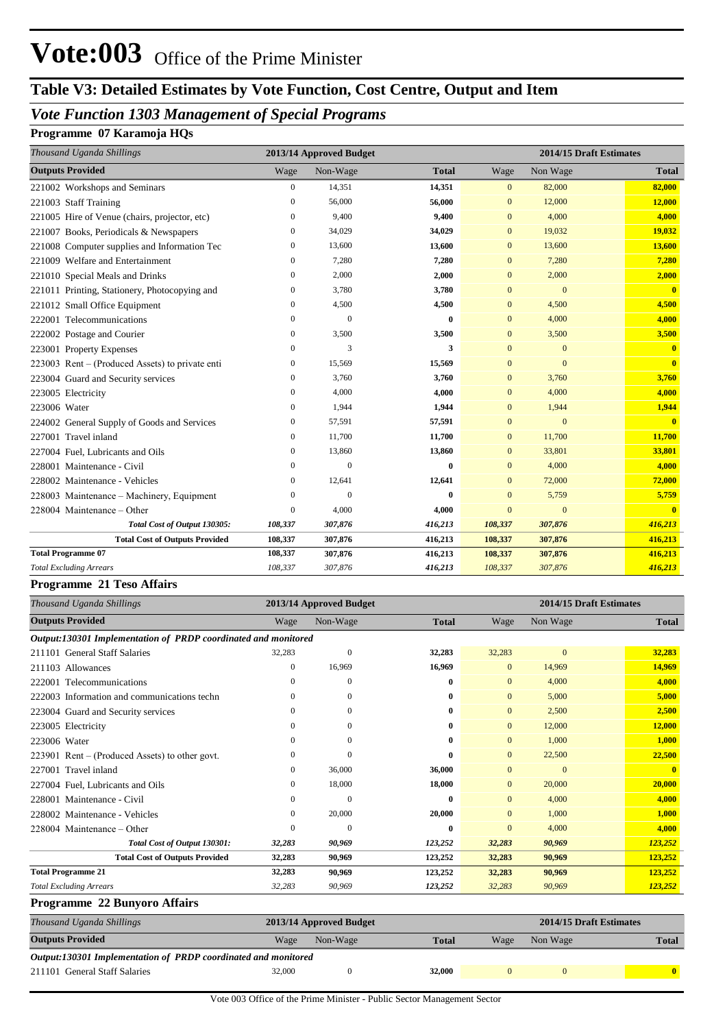# **Table V3: Detailed Estimates by Vote Function, Cost Centre, Output and Item**

## *Vote Function 1303 Management of Special Programs*

### **Programme 07 Karamoja HQs**

| Thousand Uganda Shillings                       |                | 2013/14 Approved Budget |              | 2014/15 Draft Estimates |              |              |  |
|-------------------------------------------------|----------------|-------------------------|--------------|-------------------------|--------------|--------------|--|
| <b>Outputs Provided</b>                         | Wage           | Non-Wage                | <b>Total</b> | Wage                    | Non Wage     | <b>Total</b> |  |
| 221002 Workshops and Seminars                   | 0              | 14,351                  | 14,351       | $\mathbf{0}$            | 82,000       | 82,000       |  |
| 221003 Staff Training                           | 0              | 56,000                  | 56,000       | $\mathbf{0}$            | 12,000       | 12,000       |  |
| 221005 Hire of Venue (chairs, projector, etc)   | 0              | 9,400                   | 9,400        | $\mathbf{0}$            | 4,000        | 4,000        |  |
| 221007 Books, Periodicals & Newspapers          | 0              | 34,029                  | 34,029       | $\mathbf{0}$            | 19,032       | 19,032       |  |
| 221008 Computer supplies and Information Tec    | 0              | 13,600                  | 13,600       | $\mathbf{0}$            | 13,600       | 13,600       |  |
| 221009 Welfare and Entertainment                | 0              | 7,280                   | 7,280        | $\mathbf{0}$            | 7,280        | 7,280        |  |
| 221010 Special Meals and Drinks                 | 0              | 2,000                   | 2,000        | $\mathbf{0}$            | 2,000        | 2,000        |  |
| 221011 Printing, Stationery, Photocopying and   | 0              | 3,780                   | 3,780        | $\mathbf{0}$            | $\mathbf{0}$ | $\mathbf{0}$ |  |
| 221012 Small Office Equipment                   | $\overline{0}$ | 4,500                   | 4,500        | $\mathbf{0}$            | 4,500        | 4,500        |  |
| 222001 Telecommunications                       | 0              | $\mathbf{0}$            | $\bf{0}$     | $\overline{0}$          | 4,000        | 4,000        |  |
| 222002 Postage and Courier                      | $\Omega$       | 3,500                   | 3,500        | $\mathbf{0}$            | 3,500        | 3,500        |  |
| 223001 Property Expenses                        | $\theta$       | 3                       | 3            | $\overline{0}$          | $\Omega$     | $\mathbf{0}$ |  |
| 223003 Rent – (Produced Assets) to private enti | 0              | 15,569                  | 15,569       | $\mathbf{0}$            | $\mathbf{0}$ | $\bf{0}$     |  |
| 223004 Guard and Security services              | 0              | 3.760                   | 3,760        | $\mathbf{0}$            | 3,760        | 3,760        |  |
| 223005 Electricity                              | $\Omega$       | 4,000                   | 4,000        | $\mathbf{0}$            | 4,000        | 4,000        |  |
| 223006 Water                                    | 0              | 1,944                   | 1,944        | $\overline{0}$          | 1,944        | 1,944        |  |
| 224002 General Supply of Goods and Services     | 0              | 57,591                  | 57,591       | $\mathbf{0}$            | $\mathbf{0}$ | $\mathbf{0}$ |  |
| 227001 Travel inland                            | 0              | 11.700                  | 11,700       | $\mathbf{0}$            | 11,700       | 11,700       |  |
| 227004 Fuel, Lubricants and Oils                | 0              | 13,860                  | 13,860       | $\mathbf{0}$            | 33,801       | 33,801       |  |
| 228001 Maintenance - Civil                      | 0              | $\mathbf{0}$            | 0            | $\overline{0}$          | 4,000        | 4,000        |  |
| 228002 Maintenance - Vehicles                   | 0              | 12,641                  | 12,641       | $\mathbf{0}$            | 72,000       | 72,000       |  |
| 228003 Maintenance – Machinery, Equipment       | 0              | $\mathbf{0}$            | 0            | $\overline{0}$          | 5,759        | 5,759        |  |
| 228004 Maintenance - Other                      | $\Omega$       | 4,000                   | 4,000        | $\overline{0}$          | $\mathbf{0}$ | $\mathbf{0}$ |  |
| Total Cost of Output 130305:                    | 108,337        | 307,876                 | 416,213      | 108,337                 | 307,876      | 416,213      |  |
| <b>Total Cost of Outputs Provided</b>           | 108,337        | 307,876                 | 416,213      | 108,337                 | 307,876      | 416,213      |  |
| <b>Total Programme 07</b>                       | 108,337        | 307,876                 | 416,213      | 108,337                 | 307,876      | 416,213      |  |
| <b>Total Excluding Arrears</b>                  | 108,337        | 307,876                 | 416,213      | 108,337                 | 307,876      | 416,213      |  |

#### **Programme 21 Teso Affairs**

| Thousand Uganda Shillings                                      |          | 2013/14 Approved Budget |              | 2014/15 Draft Estimates |                         |                |  |
|----------------------------------------------------------------|----------|-------------------------|--------------|-------------------------|-------------------------|----------------|--|
| <b>Outputs Provided</b>                                        | Wage     | Non-Wage                | <b>Total</b> | Wage                    | Non Wage                | <b>Total</b>   |  |
| Output:130301 Implementation of PRDP coordinated and monitored |          |                         |              |                         |                         |                |  |
| 211101 General Staff Salaries                                  | 32,283   | $\mathbf{0}$            | 32,283       | 32,283                  | $\mathbf{0}$            | 32,283         |  |
| 211103 Allowances                                              | 0        | 16,969                  | 16,969       | $\mathbf{0}$            | 14,969                  | 14,969         |  |
| 222001 Telecommunications                                      | $\Omega$ | $\Omega$                | 0            | $\Omega$                | 4,000                   | 4,000          |  |
| 222003 Information and communications techn                    | 0        | 0                       | 0            | $\Omega$                | 5,000                   | 5,000          |  |
| 223004 Guard and Security services                             | $\Omega$ | $\mathbf{0}$            | 0            | $\mathbf{0}$            | 2,500                   | 2,500          |  |
| 223005 Electricity                                             | $\Omega$ | $\Omega$                | 0            | $\Omega$                | 12,000                  | 12,000         |  |
| 223006 Water                                                   | 0        | $\Omega$                | 0            | $\Omega$                | 1,000                   | 1,000          |  |
| 223901 Rent – (Produced Assets) to other govt.                 | 0        | $\Omega$                | 0            | $\mathbf{0}$            | 22,500                  | 22,500         |  |
| Travel inland<br>227001                                        | 0        | 36,000                  | 36,000       | $\Omega$                | $\Omega$                | $\overline{0}$ |  |
| 227004 Fuel, Lubricants and Oils                               | 0        | 18,000                  | 18,000       | $\mathbf{0}$            | 20,000                  | 20,000         |  |
| 228001 Maintenance - Civil                                     | $\Omega$ | $\Omega$                | 0            | $\Omega$                | 4,000                   | 4,000          |  |
| 228002 Maintenance - Vehicles                                  | 0        | 20,000                  | 20,000       | $\Omega$                | 1,000                   | 1,000          |  |
| 228004 Maintenance - Other                                     | 0        | 0                       | 0            | $\mathbf{0}$            | 4,000                   | 4,000          |  |
| Total Cost of Output 130301:                                   | 32,283   | 90,969                  | 123,252      | 32,283                  | 90,969                  | 123,252        |  |
| <b>Total Cost of Outputs Provided</b>                          | 32,283   | 90,969                  | 123,252      | 32,283                  | 90,969                  | 123,252        |  |
| <b>Total Programme 21</b>                                      | 32,283   | 90,969                  | 123,252      | 32,283                  | 90,969                  | 123,252        |  |
| <b>Total Excluding Arrears</b>                                 | 32,283   | 90,969                  | 123,252      | 32,283                  | 90,969                  | 123,252        |  |
| Programme 22 Bunyoro Affairs                                   |          |                         |              |                         |                         |                |  |
| Thousand Uganda Shillings                                      |          | 2013/14 Approved Budget |              |                         | 2014/15 Draft Estimates |                |  |

| <b>Outputs Provided</b>                                        | Wage   | Non-Wage | <b>Total</b> | Wage | Non Wage | <b>Total</b> |
|----------------------------------------------------------------|--------|----------|--------------|------|----------|--------------|
| Output:130301 Implementation of PRDP coordinated and monitored |        |          |              |      |          |              |
| 211101 General Staff Salaries                                  | 32,000 |          | 32,000       |      |          |              |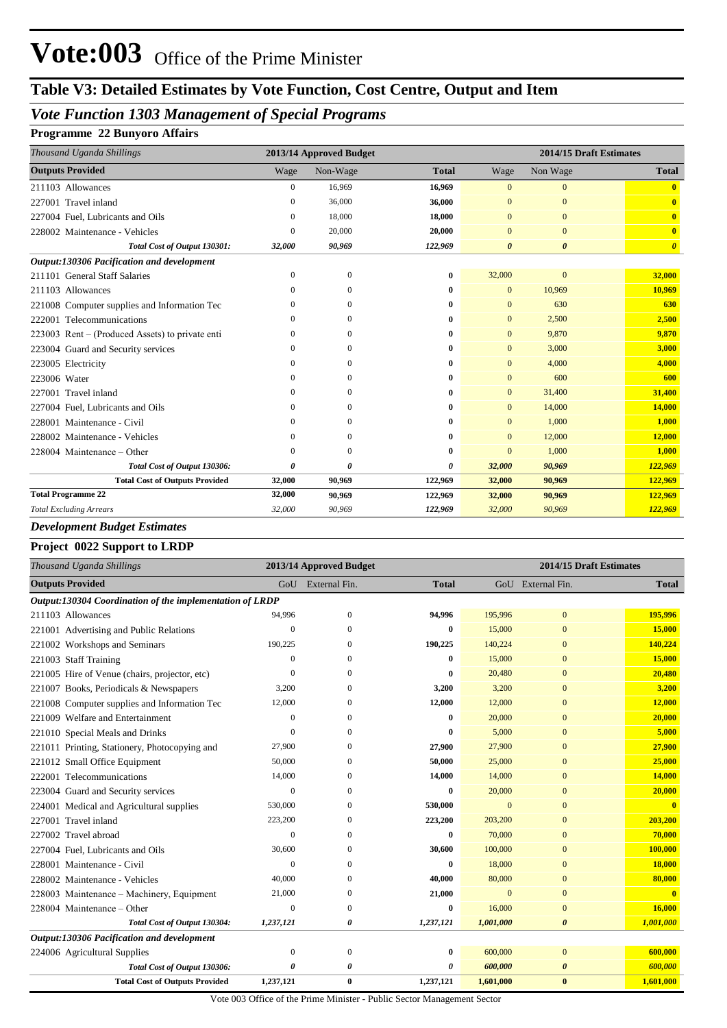# **Table V3: Detailed Estimates by Vote Function, Cost Centre, Output and Item**

## *Vote Function 1303 Management of Special Programs*

#### **Programme 22 Bunyoro Affairs**

| Thousand Uganda Shillings                        |              | 2013/14 Approved Budget |              |                       | 2014/15 Draft Estimates |                         |
|--------------------------------------------------|--------------|-------------------------|--------------|-----------------------|-------------------------|-------------------------|
| <b>Outputs Provided</b>                          | Wage         | Non-Wage                | <b>Total</b> | Wage                  | Non Wage                | <b>Total</b>            |
| 211103 Allowances                                | 0            | 16,969                  | 16,969       | $\mathbf{0}$          | $\overline{0}$          | $\bf{0}$                |
| Travel inland<br>227001                          | $\Omega$     | 36,000                  | 36,000       | $\Omega$              | $\Omega$                | $\overline{\mathbf{0}}$ |
| 227004 Fuel, Lubricants and Oils                 | 0            | 18,000                  | 18,000       | $\Omega$              | $\Omega$                | $\mathbf{0}$            |
| 228002 Maintenance - Vehicles                    | $\Omega$     | 20,000                  | 20,000       | $\Omega$              | $\Omega$                | $\overline{\mathbf{0}}$ |
| Total Cost of Output 130301:                     | 32,000       | 90,969                  | 122,969      | $\boldsymbol{\theta}$ | $\boldsymbol{\theta}$   | $\boldsymbol{\theta}$   |
| Output:130306 Pacification and development       |              |                         |              |                       |                         |                         |
| 211101 General Staff Salaries                    | $\Omega$     | $\mathbf{0}$            | 0            | 32,000                | $\mathbf{0}$            | 32,000                  |
| 211103 Allowances                                | $\Omega$     | 0                       | 0            | $\mathbf{0}$          | 10,969                  | 10,969                  |
| 221008 Computer supplies and Information Tec     | $\theta$     | $\mathbf{0}$            | 0            | $\mathbf{0}$          | 630                     | 630                     |
| 222001 Telecommunications                        | $\Omega$     | 0                       | 0            | $\mathbf{0}$          | 2,500                   | 2,500                   |
| 223003 Rent – (Produced Assets) to private enti- | $\mathbf{0}$ | $\Omega$                | 0            | $\mathbf{0}$          | 9,870                   | 9,870                   |
| 223004 Guard and Security services               | $\Omega$     | 0                       | 0            | $\mathbf{0}$          | 3,000                   | 3,000                   |
| 223005 Electricity                               | $\Omega$     | $\Omega$                | 0            | $\mathbf{0}$          | 4,000                   | 4,000                   |
| 223006 Water                                     | $\Omega$     | 0                       | 0            | $\Omega$              | 600                     | 600                     |
| 227001 Travel inland                             | $\Omega$     | 0                       | 0            | $\Omega$              | 31,400                  | 31,400                  |
| 227004 Fuel, Lubricants and Oils                 | $\Omega$     | 0                       | 0            | $\mathbf{0}$          | 14,000                  | 14,000                  |
| 228001 Maintenance - Civil                       | $\Omega$     | 0                       | 0            | $\mathbf{0}$          | 1,000                   | 1,000                   |
| 228002 Maintenance - Vehicles                    | $\Omega$     | $\Omega$                | 0            | $\mathbf{0}$          | 12,000                  | 12,000                  |
| 228004 Maintenance – Other                       | $\Omega$     | 0                       | 0            | $\Omega$              | 1,000                   | 1,000                   |
| Total Cost of Output 130306:                     | 0            | 0                       | 0            | 32,000                | 90,969                  | 122,969                 |
| <b>Total Cost of Outputs Provided</b>            | 32,000       | 90,969                  | 122,969      | 32,000                | 90,969                  | 122,969                 |
| <b>Total Programme 22</b>                        | 32,000       | 90,969                  | 122,969      | 32,000                | 90,969                  | 122,969                 |
| <b>Total Excluding Arrears</b>                   | 32,000       | 90,969                  | 122,969      | 32,000                | 90,969                  | 122,969                 |

### *Development Budget Estimates*

#### **Project 0022 Support to LRDP**

| Thousand Uganda Shillings                                |              | 2013/14 Approved Budget |              | 2014/15 Draft Estimates |                       |              |  |
|----------------------------------------------------------|--------------|-------------------------|--------------|-------------------------|-----------------------|--------------|--|
| <b>Outputs Provided</b>                                  |              | GoU External Fin.       | <b>Total</b> |                         | GoU External Fin.     | <b>Total</b> |  |
| Output:130304 Coordination of the implementation of LRDP |              |                         |              |                         |                       |              |  |
| 211103 Allowances                                        | 94,996       | $\mathbf{0}$            | 94,996       | 195,996                 | $\mathbf{0}$          | 195,996      |  |
| 221001 Advertising and Public Relations                  | $\theta$     | $\Omega$                | $\bf{0}$     | 15,000                  | $\Omega$              | 15,000       |  |
| 221002 Workshops and Seminars                            | 190,225      | $\Omega$                | 190,225      | 140,224                 | $\overline{0}$        | 140,224      |  |
| 221003 Staff Training                                    | $\Omega$     | $\Omega$                | $\bf{0}$     | 15,000                  | $\overline{0}$        | 15,000       |  |
| 221005 Hire of Venue (chairs, projector, etc)            | $\theta$     | $\Omega$                | $\bf{0}$     | 20,480                  | $\overline{0}$        | 20,480       |  |
| 221007 Books, Periodicals & Newspapers                   | 3,200        |                         | 3,200        | 3,200                   | $\mathbf{0}$          | 3,200        |  |
| 221008 Computer supplies and Information Tec             | 12,000       | $\Omega$                | 12,000       | 12,000                  | $\overline{0}$        | 12,000       |  |
| 221009 Welfare and Entertainment                         | $\mathbf{0}$ | $\mathbf{0}$            | $\bf{0}$     | 20,000                  | $\overline{0}$        | 20,000       |  |
| 221010 Special Meals and Drinks                          | $\mathbf{0}$ | $\Omega$                | $\bf{0}$     | 5,000                   | $\mathbf{0}$          | 5,000        |  |
| 221011 Printing, Stationery, Photocopying and            | 27,900       | $\Omega$                | 27,900       | 27,900                  | $\overline{0}$        | 27,900       |  |
| 221012 Small Office Equipment                            | 50,000       | $\Omega$                | 50,000       | 25,000                  | $\Omega$              | 25,000       |  |
| 222001 Telecommunications                                | 14,000       | $\mathbf{0}$            | 14,000       | 14,000                  | $\overline{0}$        | 14,000       |  |
| 223004 Guard and Security services                       | $\Omega$     | $\Omega$                | $\bf{0}$     | 20,000                  | $\Omega$              | 20,000       |  |
| 224001 Medical and Agricultural supplies                 | 530,000      | 0                       | 530,000      | $\mathbf{0}$            | $\overline{0}$        |              |  |
| 227001 Travel inland                                     | 223,200      | $\mathbf{0}$            | 223,200      | 203,200                 | $\Omega$              | 203,200      |  |
| 227002 Travel abroad                                     | $\mathbf{0}$ | $\mathbf{0}$            | $\bf{0}$     | 70,000                  | $\mathbf{0}$          | 70,000       |  |
| 227004 Fuel, Lubricants and Oils                         | 30,600       | $\Omega$                | 30,600       | 100,000                 | $\mathbf{0}$          | 100,000      |  |
| 228001 Maintenance - Civil                               | $\Omega$     | $\Omega$                | $\mathbf{0}$ | 18,000                  | $\mathbf{0}$          | 18,000       |  |
| 228002 Maintenance - Vehicles                            | 40,000       | $\Omega$                | 40,000       | 80,000                  | $\overline{0}$        | 80,000       |  |
| 228003 Maintenance – Machinery, Equipment                | 21,000       | $\Omega$                | 21,000       | $\overline{0}$          | $\Omega$              | $\mathbf{0}$ |  |
| 228004 Maintenance - Other                               | $\Omega$     | $\overline{0}$          | $\bf{0}$     | 16,000                  | $\overline{0}$        | 16,000       |  |
| Total Cost of Output 130304:                             | 1,237,121    | 0                       | 1,237,121    | 1,001,000               | 0                     | 1,001,000    |  |
| Output:130306 Pacification and development               |              |                         |              |                         |                       |              |  |
| 224006 Agricultural Supplies                             | $\mathbf{0}$ | $\Omega$                | $\bf{0}$     | 600,000                 | $\mathbf{0}$          | 600,000      |  |
| Total Cost of Output 130306:                             | 0            | 0                       | 0            | 600,000                 | $\boldsymbol{\theta}$ | 600,000      |  |
| <b>Total Cost of Outputs Provided</b>                    | 1,237,121    | $\bf{0}$                | 1,237,121    | 1,601,000               | $\bf{0}$              | 1,601,000    |  |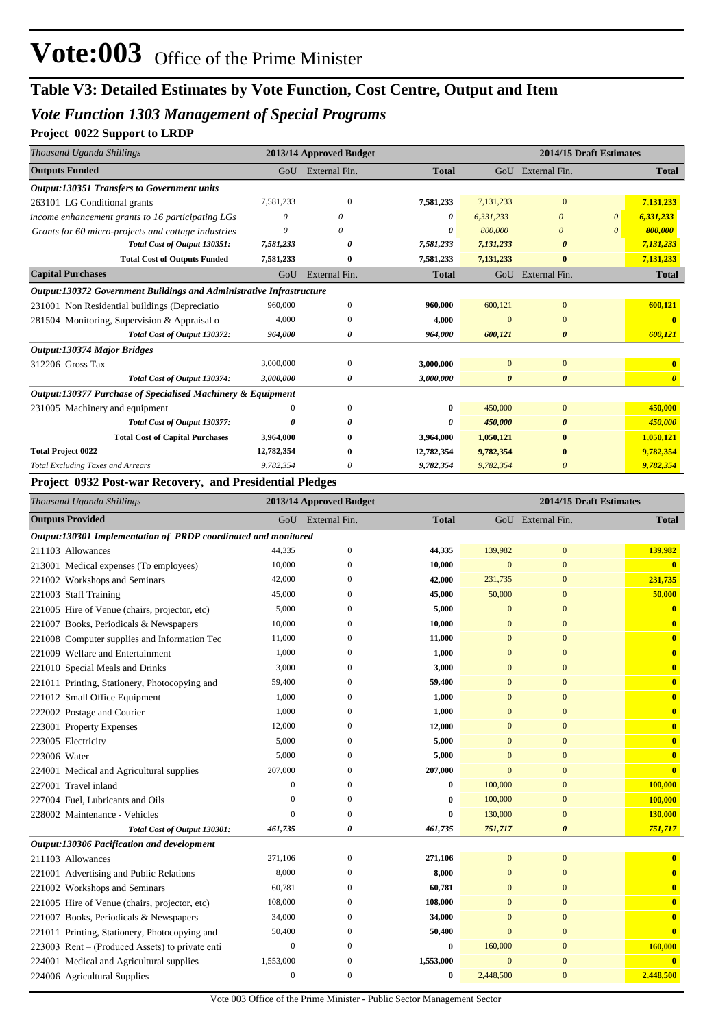## *Vote Function 1303 Management of Special Programs*

## **Project 0022 Support to LRDP**

| Thousand Uganda Shillings                                            |            | 2013/14 Approved Budget |              |                       | 2014/15 Draft Estimates |          |              |
|----------------------------------------------------------------------|------------|-------------------------|--------------|-----------------------|-------------------------|----------|--------------|
| <b>Outputs Funded</b>                                                | GoU        | External Fin.           | <b>Total</b> |                       | GoU External Fin.       |          | <b>Total</b> |
| <b>Output:130351 Transfers to Government units</b>                   |            |                         |              |                       |                         |          |              |
| 263101 LG Conditional grants                                         | 7,581,233  | $\Omega$                | 7,581,233    | 7,131,233             | $\mathbf{0}$            |          | 7,131,233    |
| income enhancement grants to 16 participating LGs                    | $\theta$   | 0                       | 0            | 6,331,233             | $\theta$                | $\theta$ | 6,331,233    |
| Grants for 60 micro-projects and cottage industries                  | $\theta$   | 0                       | 0            | 800,000               | $\boldsymbol{\theta}$   | $\theta$ | 800,000      |
| Total Cost of Output 130351:                                         | 7,581,233  | 0                       | 7,581,233    | 7,131,233             | $\boldsymbol{\theta}$   |          | 7,131,233    |
| <b>Total Cost of Outputs Funded</b>                                  | 7,581,233  | $\bf{0}$                | 7,581,233    | 7,131,233             | $\bf{0}$                |          | 7,131,233    |
| <b>Capital Purchases</b>                                             | GoU        | External Fin.           | <b>Total</b> |                       | GoU External Fin.       |          | <b>Total</b> |
| Output:130372 Government Buildings and Administrative Infrastructure |            |                         |              |                       |                         |          |              |
| 231001 Non Residential buildings (Depreciatio                        | 960,000    | $\Omega$                | 960,000      | 600,121               | $\mathbf{0}$            |          | 600,121      |
| 281504 Monitoring, Supervision & Appraisal o                         | 4,000      | $\Omega$                | 4,000        | $\Omega$              | $\mathbf{0}$            |          |              |
| Total Cost of Output 130372:                                         | 964,000    | 0                       | 964,000      | 600,121               | $\boldsymbol{\theta}$   |          | 600,121      |
| Output:130374 Major Bridges                                          |            |                         |              |                       |                         |          |              |
| 312206 Gross Tax                                                     | 3,000,000  | $\Omega$                | 3,000,000    | $\Omega$              | $\mathbf{0}$            |          |              |
| Total Cost of Output 130374:                                         | 3,000,000  | 0                       | 3,000,000    | $\boldsymbol{\theta}$ | $\boldsymbol{\theta}$   |          | $\theta$     |
| Output:130377 Purchase of Specialised Machinery & Equipment          |            |                         |              |                       |                         |          |              |
| 231005 Machinery and equipment                                       |            | $\Omega$                | $\mathbf{0}$ | 450,000               | $\mathbf{0}$            |          | 450,000      |
| Total Cost of Output 130377:                                         | 0          | 0                       | 0            | 450,000               | $\boldsymbol{\theta}$   |          | 450,000      |
| <b>Total Cost of Capital Purchases</b>                               | 3,964,000  | 0                       | 3,964,000    | 1,050,121             | $\bf{0}$                |          | 1,050,121    |
| <b>Total Project 0022</b>                                            | 12,782,354 | $\bf{0}$                | 12,782,354   | 9,782,354             | $\bf{0}$                |          | 9,782,354    |
| <b>Total Excluding Taxes and Arrears</b>                             | 9,782,354  | 0                       | 9,782,354    | 9,782,354             | $\theta$                |          | 9,782,354    |

#### **Project 0932 Post-war Recovery, and Presidential Pledges**

| Thousand Uganda Shillings                                      |              | 2013/14 Approved Budget |              |                | 2014/15 Draft Estimates |                         |
|----------------------------------------------------------------|--------------|-------------------------|--------------|----------------|-------------------------|-------------------------|
| <b>Outputs Provided</b>                                        |              | GoU External Fin.       | <b>Total</b> |                | GoU External Fin.       | <b>Total</b>            |
| Output:130301 Implementation of PRDP coordinated and monitored |              |                         |              |                |                         |                         |
| 211103 Allowances                                              | 44,335       | $\mathbf{0}$            | 44,335       | 139,982        | $\mathbf{0}$            | 139,982                 |
| 213001 Medical expenses (To employees)                         | 10,000       | $\mathbf{0}$            | 10,000       | $\mathbf{0}$   | $\mathbf{0}$            | $\bf{0}$                |
| 221002 Workshops and Seminars                                  | 42,000       | $\mathbf{0}$            | 42,000       | 231,735        | $\overline{0}$          | 231,735                 |
| 221003 Staff Training                                          | 45,000       | $\Omega$                | 45,000       | 50,000         | $\overline{0}$          | 50,000                  |
| 221005 Hire of Venue (chairs, projector, etc)                  | 5,000        | $\overline{0}$          | 5,000        | $\mathbf{0}$   | $\overline{0}$          | $\bf{0}$                |
| 221007 Books, Periodicals & Newspapers                         | 10,000       | $\mathbf{0}$            | 10,000       | $\mathbf{0}$   | $\mathbf{0}$            | $\bf{0}$                |
| 221008 Computer supplies and Information Tec                   | 11,000       | $\mathbf{0}$            | 11,000       | $\mathbf{0}$   | $\overline{0}$          | $\overline{\mathbf{0}}$ |
| 221009 Welfare and Entertainment                               | 1,000        | $\Omega$                | 1,000        | $\mathbf{0}$   | $\overline{0}$          | $\bf{0}$                |
| 221010 Special Meals and Drinks                                | 3,000        | $\overline{0}$          | 3,000        | $\overline{0}$ | $\overline{0}$          | $\bf{0}$                |
| 221011 Printing, Stationery, Photocopying and                  | 59,400       | $\mathbf{0}$            | 59,400       | $\mathbf{0}$   | $\mathbf{0}$            | $\bf{0}$                |
| 221012 Small Office Equipment                                  | 1,000        | $\Omega$                | 1,000        | $\mathbf{0}$   | $\overline{0}$          | $\bf{0}$                |
| 222002 Postage and Courier                                     | 1,000        | $\mathbf{0}$            | 1,000        | $\mathbf{0}$   | $\overline{0}$          | $\overline{\mathbf{0}}$ |
| 223001 Property Expenses                                       | 12,000       | $\mathbf{0}$            | 12,000       | $\mathbf{0}$   | $\overline{0}$          | $\bf{0}$                |
| 223005 Electricity                                             | 5,000        | $\Omega$                | 5,000        | $\theta$       | $\overline{0}$          | $\bf{0}$                |
| 223006 Water                                                   | 5,000        | $\mathbf{0}$            | 5,000        | $\mathbf{0}$   | $\overline{0}$          | $\bf{0}$                |
| 224001 Medical and Agricultural supplies                       | 207,000      | $\mathbf{0}$            | 207,000      | $\overline{0}$ | $\boldsymbol{0}$        | $\bf{0}$                |
| 227001 Travel inland                                           | $\mathbf{0}$ | $\mathbf{0}$            | $\bf{0}$     | 100,000        | $\mathbf{0}$            | 100,000                 |
| 227004 Fuel, Lubricants and Oils                               | $\mathbf{0}$ | $\mathbf{0}$            | 0            | 100,000        | $\mathbf{0}$            | 100,000                 |
| 228002 Maintenance - Vehicles                                  | $\mathbf{0}$ | $\mathbf{0}$            | $\bf{0}$     | 130,000        | $\mathbf{0}$            | 130,000                 |
| Total Cost of Output 130301:                                   | 461,735      | 0                       | 461,735      | 751,717        | $\boldsymbol{\theta}$   | 751,717                 |
| Output:130306 Pacification and development                     |              |                         |              |                |                         |                         |
| 211103 Allowances                                              | 271,106      | $\mathbf{0}$            | 271,106      | $\mathbf{0}$   | $\mathbf{0}$            | $\bf{0}$                |
| 221001 Advertising and Public Relations                        | 8,000        | $\overline{0}$          | 8,000        | $\mathbf{0}$   | $\mathbf{0}$            | $\bf{0}$                |
| 221002 Workshops and Seminars                                  | 60,781       | $\mathbf{0}$            | 60,781       | $\overline{0}$ | $\mathbf{0}$            | $\overline{\mathbf{0}}$ |
| 221005 Hire of Venue (chairs, projector, etc)                  | 108,000      | $\mathbf{0}$            | 108,000      | $\mathbf{0}$   | $\overline{0}$          | $\bf{0}$                |
| 221007 Books, Periodicals & Newspapers                         | 34,000       | $\mathbf{0}$            | 34,000       | $\mathbf{0}$   | $\boldsymbol{0}$        | $\bf{0}$                |
| 221011 Printing, Stationery, Photocopying and                  | 50,400       | $\mathbf{0}$            | 50,400       | $\overline{0}$ | $\overline{0}$          | $\bf{0}$                |
| 223003 Rent – (Produced Assets) to private enti                | $\mathbf{0}$ | $\Omega$                | 0            | 160,000        | $\overline{0}$          | 160,000                 |
| 224001 Medical and Agricultural supplies                       | 1,553,000    | $\overline{0}$          | 1,553,000    | $\overline{0}$ | $\boldsymbol{0}$        | $\mathbf{0}$            |
| 224006 Agricultural Supplies                                   | $\mathbf{0}$ | $\mathbf{0}$            | $\bf{0}$     | 2,448,500      | $\mathbf{0}$            | 2,448,500               |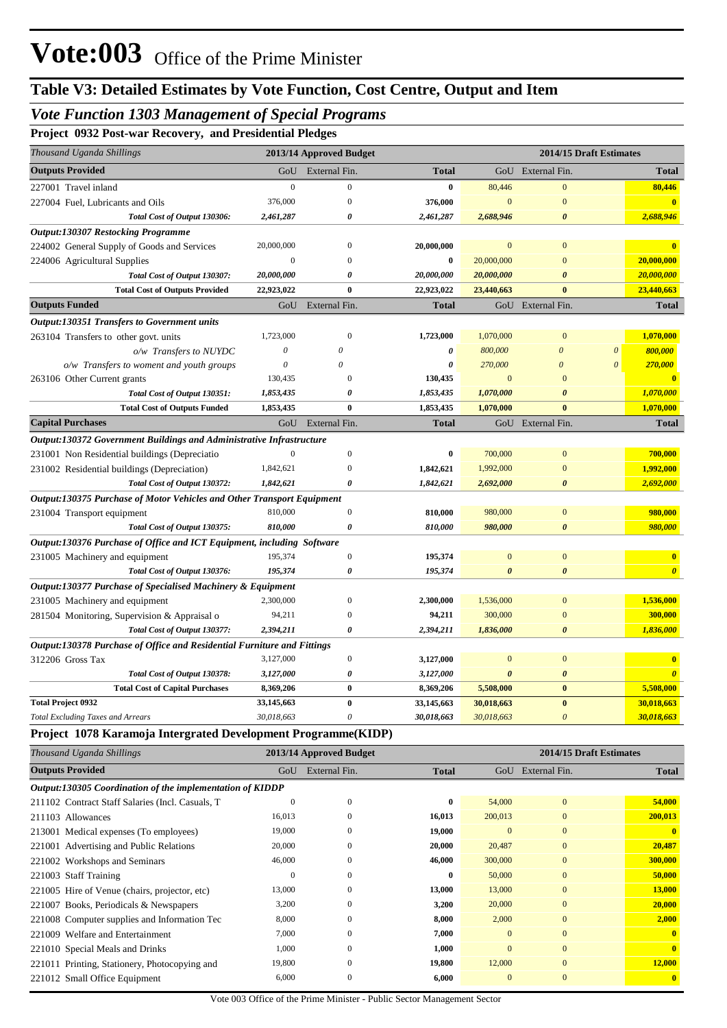## *Vote Function 1303 Management of Special Programs*

**Project 0932 Post-war Recovery, and Presidential Pledges**

| Thousand Uganda Shillings                                               | 2013/14 Approved Budget |                       |              |                       | 2014/15 Draft Estimates |                       |                       |
|-------------------------------------------------------------------------|-------------------------|-----------------------|--------------|-----------------------|-------------------------|-----------------------|-----------------------|
| <b>Outputs Provided</b>                                                 | GoU                     | External Fin.         | <b>Total</b> |                       | GoU External Fin.       |                       | <b>Total</b>          |
| 227001 Travel inland                                                    | $\boldsymbol{0}$        | $\mathbf{0}$          | $\bf{0}$     | 80,446                | $\boldsymbol{0}$        |                       | 80,446                |
| 227004 Fuel, Lubricants and Oils                                        | 376,000                 | $\mathbf{0}$          | 376,000      | $\mathbf{0}$          | $\mathbf{0}$            |                       | $\mathbf{0}$          |
| Total Cost of Output 130306:                                            | 2,461,287               | 0                     | 2,461,287    | 2,688,946             | $\boldsymbol{\theta}$   |                       | 2,688,946             |
| <b>Output:130307 Restocking Programme</b>                               |                         |                       |              |                       |                         |                       |                       |
| 224002 General Supply of Goods and Services                             | 20,000,000              | $\theta$              | 20,000,000   | $\overline{0}$        | $\theta$                |                       |                       |
| 224006 Agricultural Supplies                                            | $\mathbf{0}$            | $\Omega$              | $\bf{0}$     | 20,000,000            | $\overline{0}$          |                       | 20,000,000            |
| Total Cost of Output 130307:                                            | 20,000,000              | 0                     | 20,000,000   | 20,000,000            | $\boldsymbol{\theta}$   |                       | 20,000,000            |
| <b>Total Cost of Outputs Provided</b>                                   | 22,923,022              | $\bf{0}$              | 22,923,022   | 23,440,663            | $\bf{0}$                |                       | 23,440,663            |
| <b>Outputs Funded</b>                                                   | GoU                     | External Fin.         | <b>Total</b> |                       | GoU External Fin.       |                       | <b>Total</b>          |
| <b>Output:130351 Transfers to Government units</b>                      |                         |                       |              |                       |                         |                       |                       |
| 263104 Transfers to other govt. units                                   | 1,723,000               | $\overline{0}$        | 1,723,000    | 1,070,000             | $\mathbf{0}$            |                       | 1,070,000             |
| o/w Transfers to NUYDC                                                  | $\theta$                | $\theta$              | 0            | 800,000               | $\theta$                | $\boldsymbol{\theta}$ | 800,000               |
| o/w Transfers to woment and youth groups                                | $\boldsymbol{\theta}$   | $\theta$              | 0            | 270,000               | $\boldsymbol{\theta}$   | $\theta$              | 270,000               |
| 263106 Other Current grants                                             | 130,435                 | $\Omega$              | 130,435      | $\overline{0}$        | $\Omega$                |                       |                       |
| Total Cost of Output 130351:                                            | 1,853,435               | 0                     | 1,853,435    | 1,070,000             | $\theta$                |                       | 1,070,000             |
| <b>Total Cost of Outputs Funded</b>                                     | 1,853,435               | $\bf{0}$              | 1,853,435    | 1,070,000             | $\mathbf{0}$            |                       | 1,070,000             |
| <b>Capital Purchases</b>                                                | GoU                     | External Fin.         | <b>Total</b> |                       | GoU External Fin.       |                       | <b>Total</b>          |
| Output:130372 Government Buildings and Administrative Infrastructure    |                         |                       |              |                       |                         |                       |                       |
| 231001 Non Residential buildings (Depreciatio                           | $\overline{0}$          | $\boldsymbol{0}$      | 0            | 700,000               | $\mathbf{0}$            |                       | 700,000               |
| 231002 Residential buildings (Depreciation)                             | 1,842,621               | $\overline{0}$        | 1,842,621    | 1,992,000             | $\mathbf{0}$            |                       | 1,992,000             |
| Total Cost of Output 130372:                                            | 1,842,621               | 0                     | 1,842,621    | 2,692,000             | $\boldsymbol{\theta}$   |                       | 2,692,000             |
| Output:130375 Purchase of Motor Vehicles and Other Transport Equipment  |                         |                       |              |                       |                         |                       |                       |
| 231004 Transport equipment                                              | 810,000                 | $\mathbf{0}$          | 810,000      | 980,000               | $\overline{0}$          |                       | 980,000               |
| Total Cost of Output 130375:                                            | 810,000                 | 0                     | 810,000      | 980,000               | $\boldsymbol{\theta}$   |                       | 980,000               |
| Output:130376 Purchase of Office and ICT Equipment, including Software  |                         |                       |              |                       |                         |                       |                       |
| 231005 Machinery and equipment                                          | 195,374                 | $\mathbf{0}$          | 195,374      | $\overline{0}$        | $\mathbf{0}$            |                       | $\mathbf{0}$          |
| Total Cost of Output 130376:                                            | 195,374                 | $\boldsymbol{\theta}$ | 195,374      | $\boldsymbol{\theta}$ | $\boldsymbol{\theta}$   |                       | $\boldsymbol{\theta}$ |
| Output:130377 Purchase of Specialised Machinery & Equipment             |                         |                       |              |                       |                         |                       |                       |
| 231005 Machinery and equipment                                          | 2,300,000               | $\boldsymbol{0}$      | 2,300,000    | 1,536,000             | $\mathbf{0}$            |                       | 1,536,000             |
| 281504 Monitoring, Supervision & Appraisal o                            | 94,211                  | $\mathbf{0}$          | 94,211       | 300,000               | $\mathbf{0}$            |                       | 300,000               |
| Total Cost of Output 130377:                                            | 2,394,211               | $\boldsymbol{\theta}$ | 2,394,211    | 1,836,000             | $\boldsymbol{\theta}$   |                       | 1,836,000             |
| Output:130378 Purchase of Office and Residential Furniture and Fittings |                         |                       |              |                       |                         |                       |                       |
| 312206 Gross Tax                                                        | 3,127,000               | $\overline{0}$        | 3,127,000    | $\overline{0}$        | $\overline{0}$          |                       |                       |
| Total Cost of Output 130378:                                            | 3,127,000               | 0                     | 3,127,000    | $\boldsymbol{\theta}$ | $\boldsymbol{\theta}$   |                       | $\boldsymbol{\theta}$ |
| <b>Total Cost of Capital Purchases</b>                                  | 8,369,206               | $\bf{0}$              | 8,369,206    | 5,508,000             | $\bf{0}$                |                       | 5,508,000             |
| <b>Total Project 0932</b>                                               | 33,145,663              | $\bf{0}$              | 33,145,663   | 30,018,663            | $\bf{0}$                |                       | 30,018,663            |
| <b>Total Excluding Taxes and Arrears</b>                                | 30,018,663              | 0                     | 30,018,663   | 30,018,663            | $\boldsymbol{\theta}$   |                       | 30,018,663            |

#### oject 107<mark>8 Karam</mark>oja Intergrated Development Program

| Thousand Uganda Shillings                                 |              | 2013/14 Approved Budget |              | 2014/15 Draft Estimates |                  |              |  |
|-----------------------------------------------------------|--------------|-------------------------|--------------|-------------------------|------------------|--------------|--|
| <b>Outputs Provided</b>                                   | GoU          | External Fin.           | <b>Total</b> | GoU                     | External Fin.    | <b>Total</b> |  |
| Output:130305 Coordination of the implementation of KIDDP |              |                         |              |                         |                  |              |  |
| 211102 Contract Staff Salaries (Incl. Casuals, T.         | $\theta$     | $\Omega$                | $\bf{0}$     | 54,000                  | $\overline{0}$   | 54,000       |  |
| 211103 Allowances                                         | 16,013       | $\theta$                | 16,013       | 200,013                 | $\mathbf{0}$     | 200,013      |  |
| 213001 Medical expenses (To employees)                    | 19,000       | $\mathbf{0}$            | 19,000       | $\mathbf{0}$            | $\overline{0}$   |              |  |
| 221001 Advertising and Public Relations                   | 20,000       | $\Omega$                | 20,000       | 20,487                  | $\overline{0}$   | 20,487       |  |
| 221002 Workshops and Seminars                             | 46,000       | $\left($                | 46,000       | 300,000                 | $\mathbf{0}$     | 300,000      |  |
| 221003 Staff Training                                     | $\mathbf{0}$ | $\Omega$                | $\bf{0}$     | 50,000                  | $\mathbf{0}$     | 50,000       |  |
| 221005 Hire of Venue (chairs, projector, etc)             | 13,000       | $\Omega$                | 13,000       | 13,000                  | $\mathbf{0}$     | 13,000       |  |
| 221007 Books, Periodicals & Newspapers                    | 3,200        | $\theta$                | 3,200        | 20,000                  | $\mathbf{0}$     | 20,000       |  |
| 221008 Computer supplies and Information Tec              | 8,000        | $\mathbf{0}$            | 8,000        | 2,000                   | $\mathbf{0}$     | 2,000        |  |
| 221009 Welfare and Entertainment                          | 7,000        | $\Omega$                | 7,000        | $\mathbf{0}$            | $\mathbf{0}$     | $\mathbf{0}$ |  |
| 221010 Special Meals and Drinks                           | 1,000        | $\Omega$                | 1,000        | $\mathbf{0}$            | $\overline{0}$   | $\mathbf{0}$ |  |
| 221011 Printing, Stationery, Photocopying and             | 19,800       | $\theta$                | 19,800       | 12,000                  | $\boldsymbol{0}$ | 12,000       |  |
| 221012 Small Office Equipment                             | 6,000        | $\overline{0}$          | 6,000        | $\Omega$                | $\overline{0}$   | $\mathbf{0}$ |  |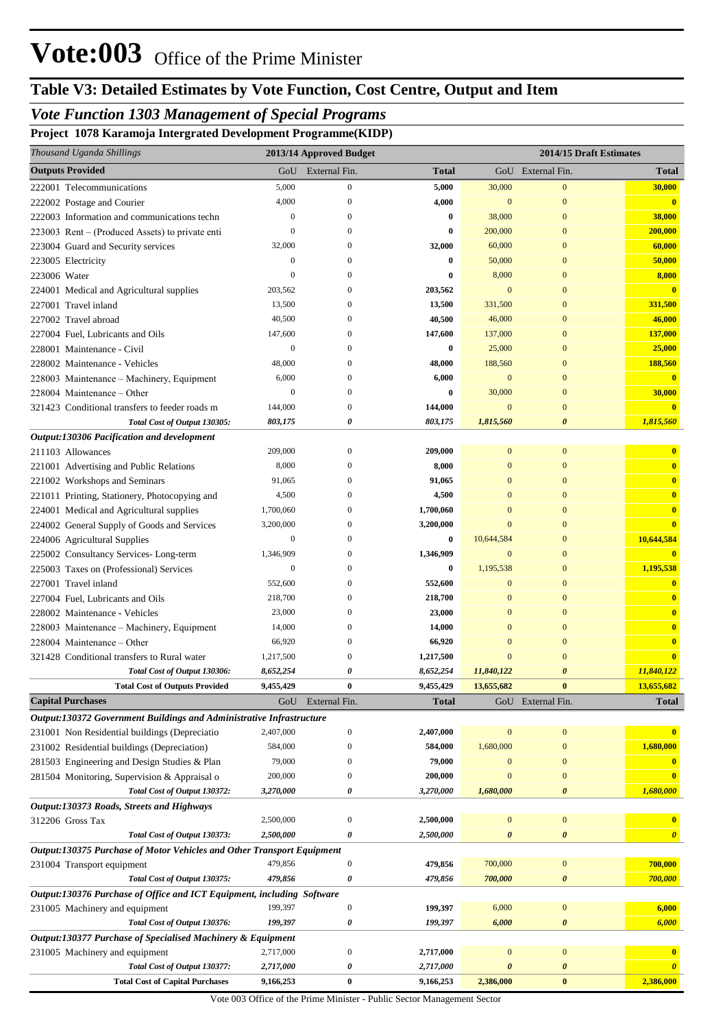# *Vote Function 1303 Management of Special Programs*

**Project 1078 Karamoja Intergrated Development Programme(KIDP)**

| Thousand Uganda Shillings                                                    |                   | 2013/14 Approved Budget          |                   |                       | 2014/15 Draft Estimates              |                         |
|------------------------------------------------------------------------------|-------------------|----------------------------------|-------------------|-----------------------|--------------------------------------|-------------------------|
| <b>Outputs Provided</b>                                                      | GoU               | External Fin.                    | Total             |                       | GoU External Fin.                    | <b>Total</b>            |
| 222001 Telecommunications                                                    | 5,000             | $\boldsymbol{0}$                 | 5,000             | 30,000                | $\mathbf{0}$                         | 30,000                  |
| 222002 Postage and Courier                                                   | 4,000             | $\mathbf{0}$                     | 4,000             | $\mathbf{0}$          | $\mathbf{0}$                         | $\bf{0}$                |
| 222003 Information and communications techn                                  | $\boldsymbol{0}$  | $\Omega$                         | 0                 | 38,000                | $\overline{0}$                       | 38,000                  |
| 223003 Rent – (Produced Assets) to private enti                              | $\theta$          | 0                                | 0                 | 200,000               | $\Omega$                             | 200,000                 |
| 223004 Guard and Security services                                           | 32,000            | $\Omega$                         | 32,000            | 60,000                | $\Omega$                             | 60,000                  |
| 223005 Electricity                                                           | $\boldsymbol{0}$  | $\Omega$                         | 0                 | 50,000                | $\boldsymbol{0}$                     | 50,000                  |
| 223006 Water                                                                 | $\theta$          | O                                | 0                 | 8,000                 | $\overline{0}$                       | 8,000                   |
| 224001 Medical and Agricultural supplies                                     | 203,562           | $\Omega$                         | 203,562           | $\mathbf{0}$          | $\boldsymbol{0}$                     | $\mathbf{0}$            |
| 227001 Travel inland                                                         | 13,500            | $\Omega$                         | 13,500            | 331,500               | $\overline{0}$                       | 331,500                 |
| 227002 Travel abroad                                                         | 40,500            | $\Omega$                         | 40,500            | 46,000                | $\boldsymbol{0}$                     | 46,000                  |
| 227004 Fuel, Lubricants and Oils                                             | 147,600           | 0                                | 147,600           | 137,000               | $\boldsymbol{0}$                     | 137,000                 |
| 228001 Maintenance - Civil                                                   | $\boldsymbol{0}$  | $\Omega$                         | 0                 | 25,000                | $\boldsymbol{0}$                     | 25,000                  |
| 228002 Maintenance - Vehicles                                                | 48,000            | $\Omega$                         | 48,000            | 188,560               | $\boldsymbol{0}$                     | 188,560                 |
| 228003 Maintenance - Machinery, Equipment                                    | 6,000             | $\Omega$                         | 6,000             | $\mathbf{0}$          | $\boldsymbol{0}$                     | $\bf{0}$                |
| 228004 Maintenance - Other                                                   | $\boldsymbol{0}$  | $\Omega$                         | 0                 | 30,000                | $\boldsymbol{0}$                     | 30,000                  |
| 321423 Conditional transfers to feeder roads m                               | 144,000           | 0                                | 144,000           | $\mathbf{0}$          | $\overline{0}$                       | $\bf{0}$                |
| Total Cost of Output 130305:                                                 | 803,175           | 0                                | 803,175           | 1,815,560             | 0                                    | 1,815,560               |
| Output:130306 Pacification and development                                   |                   |                                  |                   |                       |                                      |                         |
| 211103 Allowances                                                            | 209,000           | $\boldsymbol{0}$                 | 209,000           | $\mathbf{0}$          | $\boldsymbol{0}$                     | $\bf{0}$                |
| 221001 Advertising and Public Relations                                      | 8,000             | $\Omega$                         | 8,000             | $\mathbf{0}$          | $\boldsymbol{0}$                     | $\bf{0}$                |
| 221002 Workshops and Seminars                                                | 91,065            | $\Omega$                         | 91,065            | $\Omega$              | $\boldsymbol{0}$                     | $\bf{0}$                |
| 221011 Printing, Stationery, Photocopying and                                | 4,500             | $\Omega$                         | 4,500             | $\overline{0}$        | $\boldsymbol{0}$                     | $\bf{0}$                |
| 224001 Medical and Agricultural supplies                                     | 1,700,060         | $\Omega$                         | 1,700,060         | $\mathbf{0}$          | $\Omega$                             | $\bf{0}$                |
| 224002 General Supply of Goods and Services                                  | 3,200,000         | $\Omega$                         | 3,200,000         | $\mathbf{0}$          | $\boldsymbol{0}$                     | $\overline{\mathbf{0}}$ |
| 224006 Agricultural Supplies                                                 | $\boldsymbol{0}$  | $\Omega$                         | 0                 | 10,644,584            | $\boldsymbol{0}$                     | 10,644,584              |
| 225002 Consultancy Services-Long-term                                        | 1,346,909         | $\Omega$                         | 1,346,909         | $\mathbf{0}$          | $\boldsymbol{0}$                     | $\mathbf{0}$            |
| 225003 Taxes on (Professional) Services                                      | $\boldsymbol{0}$  | $\Omega$                         | 0                 | 1,195,538             | $\boldsymbol{0}$                     | 1,195,538               |
| 227001 Travel inland                                                         | 552,600           | $\Omega$                         | 552,600           | $\mathbf{0}$          | $\boldsymbol{0}$                     | $\mathbf{0}$            |
| 227004 Fuel, Lubricants and Oils                                             | 218,700           | $\Omega$                         | 218,700           | $\Omega$              | $\boldsymbol{0}$                     | $\bf{0}$                |
| 228002 Maintenance - Vehicles                                                | 23,000            | $\Omega$                         | 23,000            | $\mathbf{0}$          | $\boldsymbol{0}$                     | $\bf{0}$                |
| 228003 Maintenance - Machinery, Equipment                                    | 14,000            | $\Omega$                         | 14,000            | $\mathbf{0}$          | $\Omega$                             | $\bf{0}$                |
| 228004 Maintenance - Other                                                   | 66,920            | $\Omega$                         | 66,920            | $\mathbf{0}$          | $\Omega$                             | $\bf{0}$                |
| 321428 Conditional transfers to Rural water                                  | 1,217,500         | 0                                | 1,217,500         | $\mathbf{0}$          | $\mathbf{0}$                         | $\overline{\mathbf{0}}$ |
| Total Cost of Output 130306:                                                 | 8,652,254         | 0                                | 8,652,254         | 11,840,122            | $\boldsymbol{\theta}$                | 11,840,122              |
| <b>Total Cost of Outputs Provided</b><br><b>Capital Purchases</b>            | 9,455,429         | $\bf{0}$                         | 9,455,429         | 13,655,682            | $\bf{0}$                             | 13,655,682              |
|                                                                              | GoU               | External Fin.                    | <b>Total</b>      |                       | GoU External Fin.                    | <b>Total</b>            |
| Output:130372 Government Buildings and Administrative Infrastructure         |                   |                                  |                   |                       |                                      |                         |
| 231001 Non Residential buildings (Depreciatio                                | 2,407,000         | $\boldsymbol{0}$                 | 2,407,000         | $\mathbf{0}$          | $\boldsymbol{0}$                     |                         |
| 231002 Residential buildings (Depreciation)                                  | 584,000           | $\boldsymbol{0}$<br>$\mathbf{0}$ | 584,000           | 1,680,000             | $\boldsymbol{0}$                     | 1,680,000               |
| 281503 Engineering and Design Studies & Plan                                 | 79,000<br>200,000 | $\boldsymbol{0}$                 | 79,000<br>200,000 | $\bf{0}$<br>$\Omega$  | $\boldsymbol{0}$<br>$\boldsymbol{0}$ | $\overline{\mathbf{0}}$ |
| 281504 Monitoring, Supervision & Appraisal o<br>Total Cost of Output 130372: | 3,270,000         | 0                                | 3,270,000         | 1,680,000             | $\boldsymbol{\theta}$                | 1,680,000               |
| Output:130373 Roads, Streets and Highways                                    |                   |                                  |                   |                       |                                      |                         |
| 312206 Gross Tax                                                             | 2,500,000         | $\boldsymbol{0}$                 | 2,500,000         | $\boldsymbol{0}$      | $\boldsymbol{0}$                     | $\bf{0}$                |
| Total Cost of Output 130373:                                                 | 2,500,000         | 0                                | 2,500,000         | $\boldsymbol{\theta}$ | 0                                    | $\boldsymbol{\theta}$   |
| Output:130375 Purchase of Motor Vehicles and Other Transport Equipment       |                   |                                  |                   |                       |                                      |                         |
| 231004 Transport equipment                                                   | 479,856           | $\boldsymbol{0}$                 | 479,856           | 700,000               | $\boldsymbol{0}$                     | 700,000                 |
| Total Cost of Output 130375:                                                 | 479,856           | 0                                | 479,856           | 700,000               | 0                                    | 700,000                 |
| Output:130376 Purchase of Office and ICT Equipment, including Software       |                   |                                  |                   |                       |                                      |                         |
| 231005 Machinery and equipment                                               | 199,397           | $\boldsymbol{0}$                 | 199,397           | 6,000                 | $\boldsymbol{0}$                     | 6,000                   |
| Total Cost of Output 130376:                                                 | 199,397           | 0                                | 199,397           | 6,000                 | 0                                    | 6,000                   |
| Output:130377 Purchase of Specialised Machinery & Equipment                  |                   |                                  |                   |                       |                                      |                         |
| 231005 Machinery and equipment                                               | 2,717,000         | $\boldsymbol{0}$                 | 2,717,000         | $\mathbf{0}$          | $\boldsymbol{0}$                     |                         |
| Total Cost of Output 130377:                                                 | 2,717,000         | 0                                | 2,717,000         | $\boldsymbol{\theta}$ | 0                                    | $\boldsymbol{\theta}$   |
| <b>Total Cost of Capital Purchases</b>                                       | 9,166,253         | $\bf{0}$                         | 9,166,253         | 2,386,000             | $\boldsymbol{0}$                     | 2,386,000               |

Vote 003 Office of the Prime Minister - Public Sector Management Sector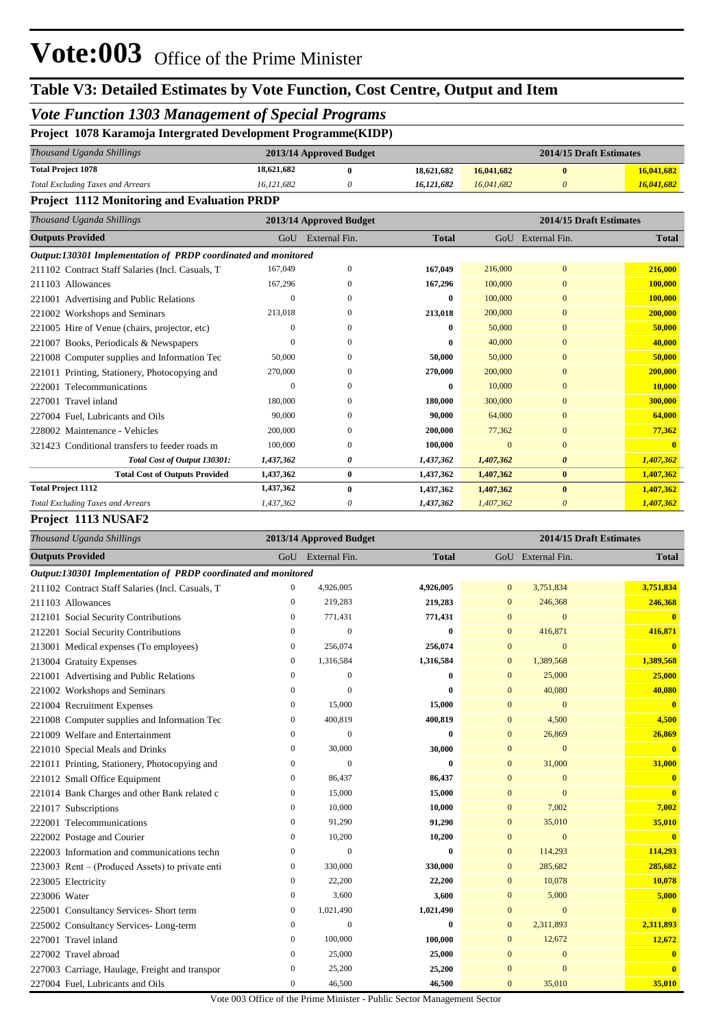## *Vote Function 1303 Management of Special Programs*

#### **Project 1078 Karamoja Intergrated Development Programme(KIDP)**

| Thousand Uganda Shillings                | 2013/14 Approved Budget |  |            | 2014/15 Draft Estimates |  |            |
|------------------------------------------|-------------------------|--|------------|-------------------------|--|------------|
| <b>Total Project 1078</b>                | 18,621,682              |  | 18.621.682 | 16,041,682              |  | 16,041,682 |
| <b>Total Excluding Taxes and Arrears</b> | 16.121.682              |  | 16.121.682 | 16,041,682              |  | 16,041,682 |

#### **Project 1112 Monitoring and Evaluation PRDP**

| Thousand Uganda Shillings                                      | 2014/15 Draft Estimates<br>2013/14 Approved Budget |               |              |              |                       |              |  |  |
|----------------------------------------------------------------|----------------------------------------------------|---------------|--------------|--------------|-----------------------|--------------|--|--|
| <b>Outputs Provided</b>                                        | GoU                                                | External Fin. | <b>Total</b> |              | GoU External Fin.     | <b>Total</b> |  |  |
| Output:130301 Implementation of PRDP coordinated and monitored |                                                    |               |              |              |                       |              |  |  |
| 211102 Contract Staff Salaries (Incl. Casuals, T               | 167,049                                            | $\mathbf{0}$  | 167,049      | 216,000      | $\mathbf{0}$          | 216,000      |  |  |
| 211103 Allowances                                              | 167,296                                            | $\theta$      | 167,296      | 100,000      | $\mathbf{0}$          | 100,000      |  |  |
| 221001 Advertising and Public Relations                        | $\Omega$                                           | 0             | 0            | 100,000      | $\mathbf{0}$          | 100,000      |  |  |
| 221002 Workshops and Seminars                                  | 213,018                                            | 0             | 213,018      | 200,000      | $\Omega$              | 200,000      |  |  |
| 221005 Hire of Venue (chairs, projector, etc)                  | $\theta$                                           | $\Omega$      | 0            | 50,000       | $\mathbf{0}$          | 50,000       |  |  |
| 221007 Books, Periodicals & Newspapers                         | $\Omega$                                           | $\Omega$      | 0            | 40,000       | $\mathbf{0}$          | 40,000       |  |  |
| 221008 Computer supplies and Information Tec                   | 50,000                                             | $\Omega$      | 50,000       | 50,000       | $\mathbf{0}$          | 50,000       |  |  |
| 221011 Printing, Stationery, Photocopying and                  | 270,000                                            | 0             | 270,000      | 200,000      | $\mathbf{0}$          | 200,000      |  |  |
| 222001 Telecommunications                                      | $\Omega$                                           | $\Omega$      | 0            | 10,000       | $\mathbf{0}$          | 10,000       |  |  |
| 227001 Travel inland                                           | 180,000                                            | $\Omega$      | 180,000      | 300,000      | $\mathbf{0}$          | 300,000      |  |  |
| 227004 Fuel, Lubricants and Oils                               | 90,000                                             | $\Omega$      | 90,000       | 64,000       | $\Omega$              | 64,000       |  |  |
| 228002 Maintenance - Vehicles                                  | 200,000                                            | $\mathbf{0}$  | 200,000      | 77,362       | $\mathbf{0}$          | 77,362       |  |  |
| Conditional transfers to feeder roads m<br>321423              | 100,000                                            | $\mathbf{0}$  | 100.000      | $\mathbf{0}$ | $\mathbf{0}$          | $\mathbf{0}$ |  |  |
| Total Cost of Output 130301:                                   | 1,437,362                                          | 0             | 1,437,362    | 1,407,362    | $\boldsymbol{\theta}$ | 1,407,362    |  |  |
| <b>Total Cost of Outputs Provided</b>                          | 1,437,362                                          | $\bf{0}$      | 1,437,362    | 1,407,362    | $\bf{0}$              | 1,407,362    |  |  |
| <b>Total Project 1112</b>                                      | 1,437,362                                          | $\bf{0}$      | 1,437,362    | 1,407,362    | $\bf{0}$              | 1,407,362    |  |  |
| <b>Total Excluding Taxes and Arrears</b>                       | 1,437,362                                          | 0             | 1,437,362    | 1,407,362    | $\theta$              | 1,407,362    |  |  |

#### **Project 1113 NUSAF2**

| Thousand Uganda Shillings                                      | 2013/14 Approved Budget |                   |              | 2014/15 Draft Estimates |                   |                         |
|----------------------------------------------------------------|-------------------------|-------------------|--------------|-------------------------|-------------------|-------------------------|
| <b>Outputs Provided</b>                                        |                         | GoU External Fin. | <b>Total</b> |                         | GoU External Fin. | <b>Total</b>            |
| Output:130301 Implementation of PRDP coordinated and monitored |                         |                   |              |                         |                   |                         |
| 211102 Contract Staff Salaries (Incl. Casuals, T               | $\boldsymbol{0}$        | 4,926,005         | 4,926,005    | $\overline{0}$          | 3,751,834         | 3,751,834               |
| 211103 Allowances                                              | $\mathbf{0}$            | 219,283           | 219,283      | $\bf{0}$                | 246,368           | 246,368                 |
| 212101 Social Security Contributions                           | $\boldsymbol{0}$        | 771,431           | 771,431      | $\mathbf{0}$            | $\overline{0}$    | $\bf{0}$                |
| 212201 Social Security Contributions                           | $\mathbf{0}$            | $\theta$          | $\bf{0}$     | $\overline{0}$          | 416,871           | 416,871                 |
| 213001 Medical expenses (To employees)                         | $\mathbf{0}$            | 256,074           | 256,074      | $\overline{0}$          | $\overline{0}$    | $\mathbf{0}$            |
| 213004 Gratuity Expenses                                       | $\mathbf{0}$            | 1,316,584         | 1,316,584    | $\mathbf{0}$            | 1,389,568         | 1,389,568               |
| 221001 Advertising and Public Relations                        | $\mathbf{0}$            | $\overline{0}$    | $\bf{0}$     | $\overline{0}$          | 25,000            | 25,000                  |
| 221002 Workshops and Seminars                                  | $\mathbf{0}$            | $\theta$          | 0            | $\mathbf{0}$            | 40,080            | 40,080                  |
| 221004 Recruitment Expenses                                    | $\mathbf{0}$            | 15,000            | 15,000       | $\mathbf{0}$            | $\mathbf{0}$      | $\overline{\mathbf{0}}$ |
| 221008 Computer supplies and Information Tec                   | $\boldsymbol{0}$        | 400,819           | 400,819      | $\mathbf{0}$            | 4,500             | 4,500                   |
| 221009 Welfare and Entertainment                               | $\mathbf{0}$            | $\theta$          | $\bf{0}$     | $\overline{0}$          | 26,869            | 26,869                  |
| 221010 Special Meals and Drinks                                | $\mathbf{0}$            | 30,000            | 30,000       | $\overline{0}$          | $\mathbf{0}$      | $\mathbf{0}$            |
| 221011 Printing, Stationery, Photocopying and                  | $\boldsymbol{0}$        | $\theta$          | $\bf{0}$     | $\mathbf{0}$            | 31,000            | 31,000                  |
| 221012 Small Office Equipment                                  | $\mathbf{0}$            | 86,437            | 86,437       | $\overline{0}$          | $\mathbf{0}$      | $\mathbf{0}$            |
| 221014 Bank Charges and other Bank related c                   | $\boldsymbol{0}$        | 15,000            | 15,000       | $\overline{0}$          | $\overline{0}$    | $\bf{0}$                |
| 221017 Subscriptions                                           | $\mathbf{0}$            | 10,000            | 10,000       | $\mathbf{0}$            | 7,002             | 7,002                   |
| 222001 Telecommunications                                      | $\mathbf{0}$            | 91,290            | 91,290       | $\mathbf{0}$            | 35,010            | 35,010                  |
| 222002 Postage and Courier                                     | $\mathbf{0}$            | 10,200            | 10,200       | $\mathbf{0}$            | $\mathbf{0}$      | $\overline{\mathbf{0}}$ |
| 222003 Information and communications techn                    | $\mathbf{0}$            | $\theta$          | $\bf{0}$     | $\overline{0}$          | 114,293           | 114,293                 |
| 223003 Rent – (Produced Assets) to private enti                | $\mathbf{0}$            | 330,000           | 330,000      | $\overline{0}$          | 285,682           | 285,682                 |
| 223005 Electricity                                             | $\mathbf{0}$            | 22,200            | 22,200       | $\mathbf{0}$            | 10,078            | 10,078                  |
| 223006 Water                                                   | $\boldsymbol{0}$        | 3,600             | 3,600        | $\mathbf{0}$            | 5,000             | 5,000                   |
| 225001 Consultancy Services- Short term                        | $\boldsymbol{0}$        | 1,021,490         | 1,021,490    | $\mathbf{0}$            | $\mathbf{0}$      | $\bf{0}$                |
| 225002 Consultancy Services-Long-term                          | $\boldsymbol{0}$        | $\theta$          | $\bf{0}$     | $\mathbf{0}$            | 2,311,893         | 2,311,893               |
| 227001 Travel inland                                           | $\boldsymbol{0}$        | 100,000           | 100,000      | $\mathbf{0}$            | 12,672            | 12,672                  |
| 227002 Travel abroad                                           | $\mathbf{0}$            | 25,000            | 25,000       | $\mathbf{0}$            | $\mathbf{0}$      | $\bf{0}$                |
| 227003 Carriage, Haulage, Freight and transpor                 | $\boldsymbol{0}$        | 25,200            | 25,200       | $\mathbf{0}$            | $\overline{0}$    | $\mathbf{0}$            |
| 227004 Fuel, Lubricants and Oils                               | $\mathbf{0}$            | 46,500            | 46,500       | $\mathbf{0}$            | 35,010            | 35,010                  |

Vote 003 Office of the Prime Minister - Public Sector Management Sector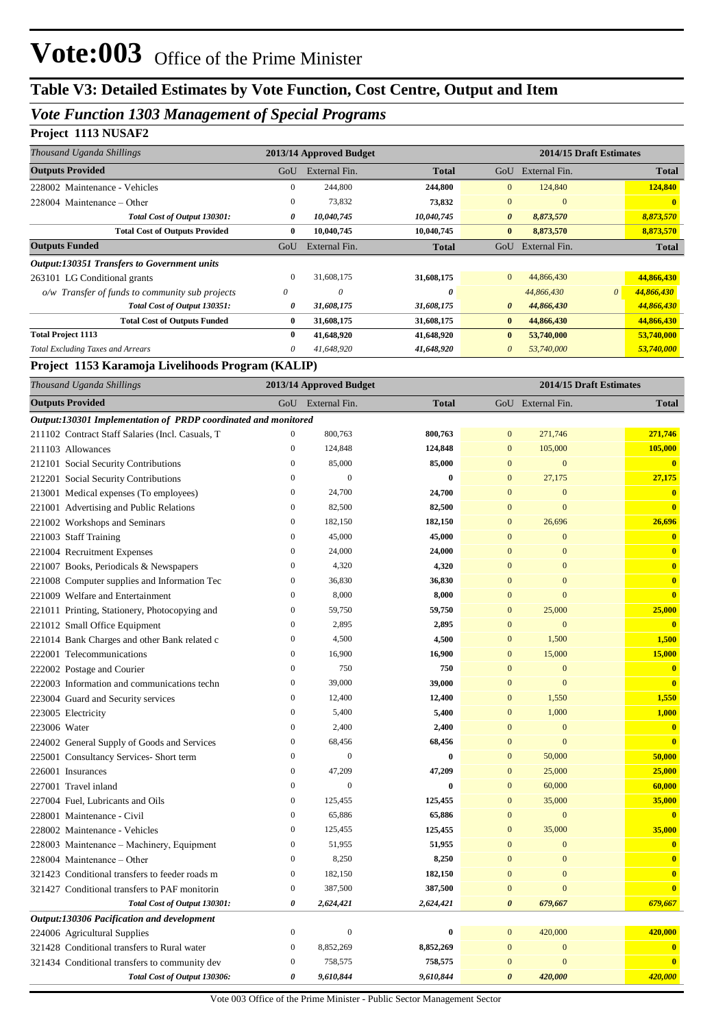## *Vote Function 1303 Management of Special Programs*

### **Project 1113 NUSAF2**

| Thousand Uganda Shillings                          | 2013/14 Approved Budget |               |              | 2014/15 Draft Estimates |               |          |              |
|----------------------------------------------------|-------------------------|---------------|--------------|-------------------------|---------------|----------|--------------|
| <b>Outputs Provided</b>                            | GoU                     | External Fin. | <b>Total</b> | GoU                     | External Fin. |          | <b>Total</b> |
| 228002 Maintenance - Vehicles                      | 0                       | 244,800       | 244,800      | $\mathbf{0}$            | 124,840       |          | 124,840      |
| $228004$ Maintenance – Other                       | $\mathbf{0}$            | 73,832        | 73,832       | $\mathbf{0}$            | $\mathbf{0}$  |          | $\mathbf{0}$ |
| Total Cost of Output 130301:                       | 0                       | 10,040,745    | 10,040,745   | $\boldsymbol{\theta}$   | 8,873,570     |          | 8,873,570    |
| <b>Total Cost of Outputs Provided</b>              | $\bf{0}$                | 10,040,745    | 10,040,745   | $\bf{0}$                | 8,873,570     |          | 8,873,570    |
| <b>Outputs Funded</b>                              | GoU                     | External Fin. | <b>Total</b> | GoU                     | External Fin. |          | <b>Total</b> |
| <b>Output:130351 Transfers to Government units</b> |                         |               |              |                         |               |          |              |
| 263101 LG Conditional grants                       | $\mathbf{0}$            | 31,608,175    | 31,608,175   | $\overline{0}$          | 44,866,430    |          | 44,866,430   |
| o/w Transfer of funds to community sub projects    | 0                       | 0             | 0            |                         | 44,866,430    | $\theta$ | 44,866,430   |
| Total Cost of Output 130351:                       | 0                       | 31,608,175    | 31,608,175   | $\boldsymbol{\theta}$   | 44,866,430    |          | 44,866,430   |
| <b>Total Cost of Outputs Funded</b>                | 0                       | 31,608,175    | 31,608,175   | $\bf{0}$                | 44,866,430    |          | 44,866,430   |
| <b>Total Project 1113</b>                          | $\bf{0}$                | 41,648,920    | 41,648,920   | $\bf{0}$                | 53,740,000    |          | 53,740,000   |
| <b>Total Excluding Taxes and Arrears</b>           | 0                       | 41,648,920    | 41,648,920   | $\theta$                | 53,740,000    |          | 53,740,000   |

#### **Project 1153 Karamoja Livelihoods Program (KALIP)**

| Thousand Uganda Shillings                                      | 2013/14 Approved Budget |                  |              |                  | 2014/15 Draft Estimates |                         |  |
|----------------------------------------------------------------|-------------------------|------------------|--------------|------------------|-------------------------|-------------------------|--|
| <b>Outputs Provided</b>                                        | GoU                     | External Fin.    | <b>Total</b> |                  | GoU External Fin.       | <b>Total</b>            |  |
| Output:130301 Implementation of PRDP coordinated and monitored |                         |                  |              |                  |                         |                         |  |
| 211102 Contract Staff Salaries (Incl. Casuals, T               | $\boldsymbol{0}$        | 800,763          | 800,763      | $\mathbf{0}$     | 271,746                 | 271,746                 |  |
| 211103 Allowances                                              | $\mathbf{0}$            | 124,848          | 124,848      | $\mathbf{0}$     | 105,000                 | 105,000                 |  |
| 212101 Social Security Contributions                           | $\overline{0}$          | 85,000           | 85,000       | $\mathbf{0}$     | $\mathbf{0}$            | $\mathbf{0}$            |  |
| 212201 Social Security Contributions                           | $\mathbf{0}$            | $\theta$         | $\bf{0}$     | $\overline{0}$   | 27,175                  | 27,175                  |  |
| 213001 Medical expenses (To employees)                         | $\boldsymbol{0}$        | 24,700           | 24,700       | $\mathbf{0}$     | $\boldsymbol{0}$        | $\mathbf{0}$            |  |
| 221001 Advertising and Public Relations                        | $\boldsymbol{0}$        | 82,500           | 82,500       | $\mathbf{0}$     | $\mathbf{0}$            | $\mathbf{0}$            |  |
| 221002 Workshops and Seminars                                  | $\mathbf{0}$            | 182,150          | 182,150      | $\mathbf{0}$     | 26,696                  | 26,696                  |  |
| 221003 Staff Training                                          | $\mathbf{0}$            | 45,000           | 45,000       | $\mathbf{0}$     | $\overline{0}$          | $\bf{0}$                |  |
| 221004 Recruitment Expenses                                    | $\mathbf{0}$            | 24,000           | 24,000       | $\overline{0}$   | $\overline{0}$          | $\mathbf{0}$            |  |
| 221007 Books, Periodicals & Newspapers                         | $\overline{0}$          | 4,320            | 4,320        | $\overline{0}$   | $\overline{0}$          | $\bf{0}$                |  |
| 221008 Computer supplies and Information Tec                   | $\boldsymbol{0}$        | 36,830           | 36,830       | $\mathbf{0}$     | $\boldsymbol{0}$        | $\bf{0}$                |  |
| 221009 Welfare and Entertainment                               | $\mathbf{0}$            | 8,000            | 8,000        | $\mathbf{0}$     | $\overline{0}$          | $\overline{\mathbf{0}}$ |  |
| 221011 Printing, Stationery, Photocopying and                  | $\boldsymbol{0}$        | 59,750           | 59,750       | $\mathbf{0}$     | 25,000                  | 25,000                  |  |
| 221012 Small Office Equipment                                  | $\mathbf{0}$            | 2,895            | 2,895        | $\overline{0}$   | $\overline{0}$          | $\mathbf{0}$            |  |
| 221014 Bank Charges and other Bank related c                   | $\mathbf{0}$            | 4,500            | 4,500        | $\overline{0}$   | 1,500                   | 1,500                   |  |
| 222001 Telecommunications                                      | $\boldsymbol{0}$        | 16,900           | 16,900       | $\boldsymbol{0}$ | 15,000                  | 15,000                  |  |
| 222002 Postage and Courier                                     | $\boldsymbol{0}$        | 750              | 750          | $\mathbf{0}$     | $\mathbf{0}$            | $\bf{0}$                |  |
| 222003 Information and communications techn                    | $\mathbf{0}$            | 39,000           | 39,000       | $\mathbf{0}$     | $\mathbf{0}$            | $\mathbf{0}$            |  |
| 223004 Guard and Security services                             | $\mathbf{0}$            | 12,400           | 12,400       | $\mathbf{0}$     | 1,550                   | 1,550                   |  |
| 223005 Electricity                                             | $\mathbf{0}$            | 5,400            | 5,400        | $\overline{0}$   | 1,000                   | 1,000                   |  |
| 223006 Water                                                   | $\mathbf{0}$            | 2,400            | 2,400        | $\overline{0}$   | $\mathbf{0}$            | $\bf{0}$                |  |
| 224002 General Supply of Goods and Services                    | $\boldsymbol{0}$        | 68,456           | 68,456       | $\mathbf{0}$     | $\mathbf{0}$            | $\mathbf{0}$            |  |
| 225001 Consultancy Services- Short term                        | $\mathbf{0}$            | $\mathbf{0}$     | $\bf{0}$     | $\mathbf{0}$     | 50,000                  | 50,000                  |  |
| 226001 Insurances                                              | $\mathbf{0}$            | 47,209           | 47,209       | $\mathbf{0}$     | 25,000                  | 25,000                  |  |
| 227001 Travel inland                                           | $\overline{0}$          | $\mathbf{0}$     | $\bf{0}$     | $\overline{0}$   | 60,000                  | 60,000                  |  |
| 227004 Fuel, Lubricants and Oils                               | $\boldsymbol{0}$        | 125,455          | 125,455      | $\mathbf{0}$     | 35,000                  | 35,000                  |  |
| 228001 Maintenance - Civil                                     | $\mathbf{0}$            | 65,886           | 65,886       | $\overline{0}$   | $\overline{0}$          | $\bf{0}$                |  |
| 228002 Maintenance - Vehicles                                  | $\boldsymbol{0}$        | 125,455          | 125,455      | $\mathbf{0}$     | 35,000                  | 35,000                  |  |
| 228003 Maintenance – Machinery, Equipment                      | $\mathbf{0}$            | 51,955           | 51,955       | $\mathbf{0}$     | $\mathbf{0}$            | $\bf{0}$                |  |
| 228004 Maintenance – Other                                     | $\mathbf{0}$            | 8,250            | 8,250        | $\overline{0}$   | $\overline{0}$          | $\bf{0}$                |  |
| 321423 Conditional transfers to feeder roads m                 | $\boldsymbol{0}$        | 182,150          | 182,150      | $\mathbf{0}$     | $\mathbf{0}$            | $\bf{0}$                |  |
| 321427 Conditional transfers to PAF monitorin                  | $\boldsymbol{0}$        | 387,500          | 387,500      | $\mathbf{0}$     | $\overline{0}$          | $\bf{0}$                |  |
| Total Cost of Output 130301:                                   | $\pmb{\theta}$          | 2,624,421        | 2,624,421    | $\theta$         | 679,667                 | 679,667                 |  |
| Output:130306 Pacification and development                     |                         |                  |              |                  |                         |                         |  |
| 224006 Agricultural Supplies                                   | $\boldsymbol{0}$        | $\boldsymbol{0}$ | $\bf{0}$     | $\overline{0}$   | 420,000                 | 420,000                 |  |
| 321428 Conditional transfers to Rural water                    | $\boldsymbol{0}$        | 8,852,269        | 8,852,269    | $\mathbf{0}$     | $\mathbf{0}$            | $\bf{0}$                |  |
| 321434 Conditional transfers to community dev                  | $\boldsymbol{0}$        | 758,575          | 758,575      | $\overline{0}$   | $\overline{0}$          | $\mathbf{0}$            |  |
| Total Cost of Output 130306:                                   | $\boldsymbol{\theta}$   | 9,610,844        | 9,610,844    | $\theta$         | 420,000                 | 420,000                 |  |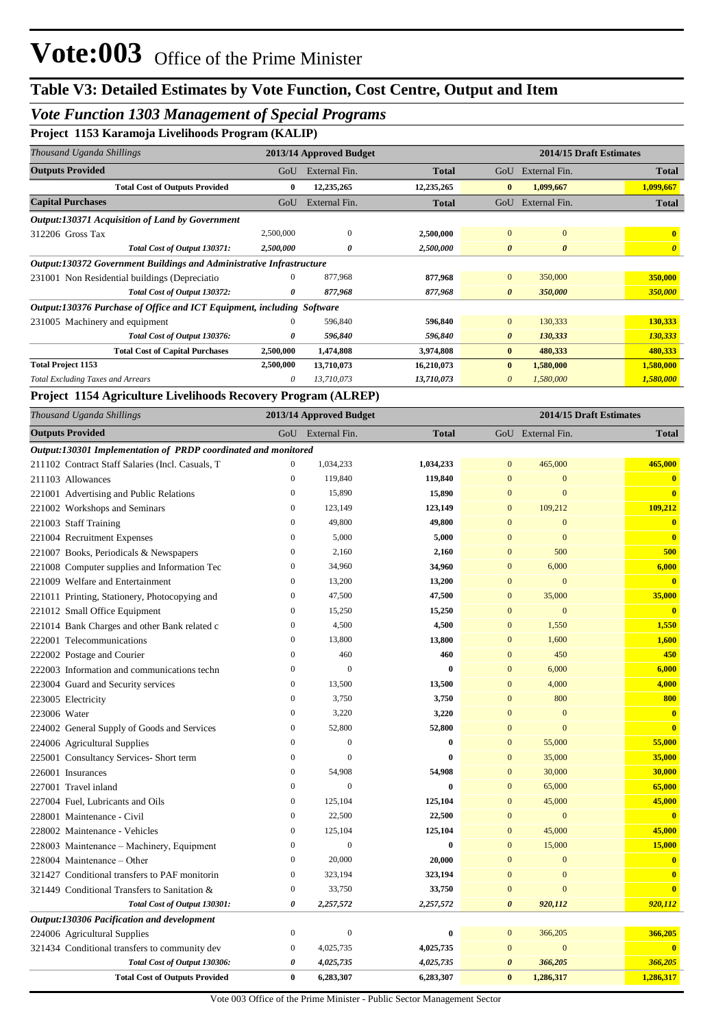## *Vote Function 1303 Management of Special Programs*

**Project 1153 Karamoja Livelihoods Program (KALIP)**

|                                                                        | -         |                         |              |                         |                       |                       |  |
|------------------------------------------------------------------------|-----------|-------------------------|--------------|-------------------------|-----------------------|-----------------------|--|
| Thousand Uganda Shillings                                              |           | 2013/14 Approved Budget |              | 2014/15 Draft Estimates |                       |                       |  |
| <b>Outputs Provided</b>                                                | GoU       | External Fin.           | <b>Total</b> | GoU                     | External Fin.         | <b>Total</b>          |  |
| <b>Total Cost of Outputs Provided</b>                                  | $\bf{0}$  | 12,235,265              | 12,235,265   | $\mathbf{0}$            | 1,099,667             | 1,099,667             |  |
| <b>Capital Purchases</b>                                               | GoU       | External Fin.           | <b>Total</b> | GoU                     | External Fin.         | <b>Total</b>          |  |
| <b>Output:130371 Acquisition of Land by Government</b>                 |           |                         |              |                         |                       |                       |  |
| 312206 Gross Tax                                                       | 2,500,000 | $\mathbf{0}$            | 2,500,000    | $\mathbf{0}$            | $\overline{0}$        | $\mathbf{0}$          |  |
| Total Cost of Output 130371:                                           | 2,500,000 | 0                       | 2,500,000    | $\boldsymbol{\theta}$   | $\boldsymbol{\theta}$ | $\boldsymbol{\theta}$ |  |
| Output:130372 Government Buildings and Administrative Infrastructure   |           |                         |              |                         |                       |                       |  |
| 231001 Non Residential buildings (Depreciatio                          | 0         | 877,968                 | 877,968      | $\overline{0}$          | 350,000               | 350,000               |  |
| Total Cost of Output 130372:                                           | 0         | 877,968                 | 877,968      | $\theta$                | 350,000               | 350,000               |  |
| Output:130376 Purchase of Office and ICT Equipment, including Software |           |                         |              |                         |                       |                       |  |
| 231005 Machinery and equipment                                         | $\Omega$  | 596,840                 | 596,840      | $\overline{0}$          | 130,333               | 130,333               |  |
| Total Cost of Output 130376:                                           | 0         | 596,840                 | 596,840      | $\theta$                | 130,333               | 130,333               |  |
| <b>Total Cost of Capital Purchases</b>                                 | 2,500,000 | 1,474,808               | 3,974,808    | $\bf{0}$                | 480,333               | 480,333               |  |
| <b>Total Project 1153</b>                                              | 2,500,000 | 13,710,073              | 16,210,073   | $\bf{0}$                | 1,580,000             | 1,580,000             |  |
| <b>Total Excluding Taxes and Arrears</b>                               | 0         | 13,710,073              | 13,710,073   | $\theta$                | 1,580,000             | 1,580,000             |  |

#### **Project 1154 Agriculture Livelihoods Recovery Program (ALREP)**

| Thousand Uganda Shillings                                      |                  | 2013/14 Approved Budget |              | 2014/15 Draft Estimates |                   |                         |
|----------------------------------------------------------------|------------------|-------------------------|--------------|-------------------------|-------------------|-------------------------|
| <b>Outputs Provided</b>                                        |                  | GoU External Fin.       | <b>Total</b> |                         | GoU External Fin. | <b>Total</b>            |
| Output:130301 Implementation of PRDP coordinated and monitored |                  |                         |              |                         |                   |                         |
| 211102 Contract Staff Salaries (Incl. Casuals, T               | $\mathbf{0}$     | 1,034,233               | 1,034,233    | $\mathbf{0}$            | 465,000           | 465,000                 |
| 211103 Allowances                                              | $\mathbf{0}$     | 119,840                 | 119,840      | $\boldsymbol{0}$        | $\mathbf{0}$      | $\mathbf{0}$            |
| 221001 Advertising and Public Relations                        | $\overline{0}$   | 15,890                  | 15,890       | $\mathbf{0}$            | $\overline{0}$    | $\mathbf{0}$            |
| 221002 Workshops and Seminars                                  | $\boldsymbol{0}$ | 123,149                 | 123,149      | $\mathbf{0}$            | 109,212           | 109,212                 |
| 221003 Staff Training                                          | $\overline{0}$   | 49,800                  | 49,800       | $\mathbf{0}$            | $\overline{0}$    | $\bf{0}$                |
| 221004 Recruitment Expenses                                    | $\boldsymbol{0}$ | 5,000                   | 5,000        | $\mathbf{0}$            | $\mathbf{0}$      | $\mathbf{0}$            |
| 221007 Books, Periodicals & Newspapers                         | $\mathbf{0}$     | 2,160                   | 2,160        | $\mathbf{0}$            | 500               | 500                     |
| 221008 Computer supplies and Information Tec                   | $\mathbf{0}$     | 34,960                  | 34,960       | $\mathbf{0}$            | 6,000             | 6,000                   |
| 221009 Welfare and Entertainment                               | $\mathbf{0}$     | 13,200                  | 13,200       | $\mathbf{0}$            | $\mathbf{0}$      | $\mathbf{0}$            |
| 221011 Printing, Stationery, Photocopying and                  | $\overline{0}$   | 47,500                  | 47,500       | $\mathbf{0}$            | 35,000            | 35,000                  |
| 221012 Small Office Equipment                                  | $\boldsymbol{0}$ | 15,250                  | 15,250       | $\mathbf{0}$            | $\boldsymbol{0}$  | $\mathbf{0}$            |
| 221014 Bank Charges and other Bank related c                   | $\overline{0}$   | 4,500                   | 4,500        | $\mathbf{0}$            | 1,550             | 1,550                   |
| 222001 Telecommunications                                      | $\boldsymbol{0}$ | 13,800                  | 13,800       | $\mathbf{0}$            | 1,600             | 1,600                   |
| 222002 Postage and Courier                                     | $\overline{0}$   | 460                     | 460          | $\mathbf{0}$            | 450               | 450                     |
| 222003 Information and communications techn                    | $\boldsymbol{0}$ | $\mathbf{0}$            | $\bf{0}$     | $\mathbf{0}$            | 6,000             | 6,000                   |
| 223004 Guard and Security services                             | $\mathbf{0}$     | 13,500                  | 13,500       | $\mathbf{0}$            | 4,000             | 4,000                   |
| 223005 Electricity                                             | $\boldsymbol{0}$ | 3,750                   | 3,750        | $\mathbf{0}$            | 800               | 800                     |
| 223006 Water                                                   | $\mathbf{0}$     | 3,220                   | 3,220        | $\overline{0}$          | $\bf{0}$          | $\mathbf{0}$            |
| 224002 General Supply of Goods and Services                    | $\mathbf{0}$     | 52,800                  | 52,800       | $\mathbf{0}$            | $\mathbf{0}$      | $\mathbf{0}$            |
| 224006 Agricultural Supplies                                   | $\mathbf{0}$     | $\boldsymbol{0}$        | $\bf{0}$     | $\mathbf{0}$            | 55,000            | 55,000                  |
| 225001 Consultancy Services- Short term                        | $\overline{0}$   | $\overline{0}$          | $\bf{0}$     | $\overline{0}$          | 35,000            | 35,000                  |
| 226001 Insurances                                              | $\boldsymbol{0}$ | 54,908                  | 54,908       | $\mathbf{0}$            | 30,000            | 30,000                  |
| 227001 Travel inland                                           | $\overline{0}$   | $\overline{0}$          | $\mathbf{0}$ | $\overline{0}$          | 65,000            | 65,000                  |
| 227004 Fuel, Lubricants and Oils                               | $\boldsymbol{0}$ | 125,104                 | 125,104      | $\mathbf{0}$            | 45,000            | 45,000                  |
| 228001 Maintenance - Civil                                     | $\mathbf{0}$     | 22,500                  | 22,500       | $\mathbf{0}$            | $\mathbf{0}$      | $\overline{\mathbf{0}}$ |
| 228002 Maintenance - Vehicles                                  | $\boldsymbol{0}$ | 125,104                 | 125,104      | $\mathbf{0}$            | 45,000            | 45,000                  |
| 228003 Maintenance – Machinery, Equipment                      | $\mathbf{0}$     | $\overline{0}$          | $\bf{0}$     | $\mathbf{0}$            | 15,000            | 15,000                  |
| 228004 Maintenance - Other                                     | $\boldsymbol{0}$ | 20,000                  | 20,000       | $\mathbf{0}$            | $\mathbf{0}$      | $\overline{\mathbf{0}}$ |
| 321427 Conditional transfers to PAF monitorin                  | $\mathbf{0}$     | 323,194                 | 323,194      | $\overline{0}$          | $\mathbf{0}$      | $\overline{\mathbf{0}}$ |
| 321449 Conditional Transfers to Sanitation &                   | $\boldsymbol{0}$ | 33,750                  | 33,750       | $\mathbf{0}$            | $\overline{0}$    | $\mathbf{0}$            |
| Total Cost of Output 130301:                                   | 0                | 2,257,572               | 2,257,572    | 0                       | 920,112           | 920,112                 |
| Output:130306 Pacification and development                     |                  |                         |              |                         |                   |                         |
| 224006 Agricultural Supplies                                   | $\boldsymbol{0}$ | $\boldsymbol{0}$        | $\bf{0}$     | $\mathbf{0}$            | 366,205           | 366,205                 |
| 321434 Conditional transfers to community dev                  | $\boldsymbol{0}$ | 4,025,735               | 4,025,735    | $\mathbf{0}$            | $\mathbf{0}$      | $\mathbf{0}$            |
| Total Cost of Output 130306:                                   | 0                | 4,025,735               | 4,025,735    | $\boldsymbol{\theta}$   | 366,205           | 366,205                 |
| <b>Total Cost of Outputs Provided</b>                          | $\bf{0}$         | 6,283,307               | 6,283,307    | $\mathbf{0}$            | 1,286,317         | 1,286,317               |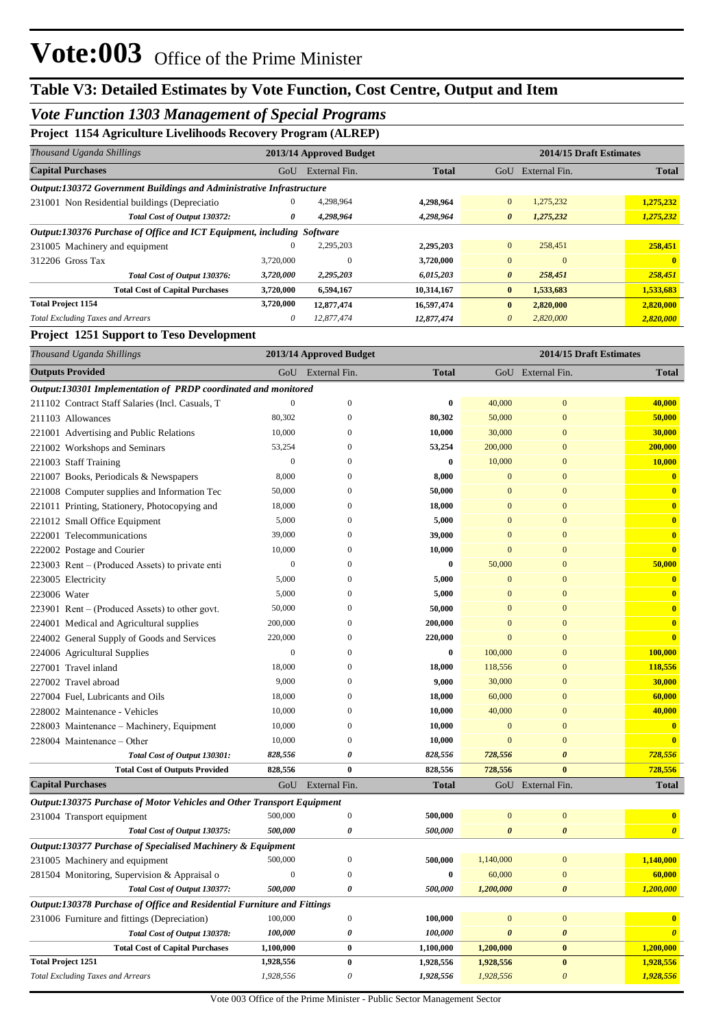## *Vote Function 1303 Management of Special Programs*

### **Project 1154 Agriculture Livelihoods Recovery Program (ALREP)**

| Thousand Uganda Shillings                                                   | 2013/14 Approved Budget |               |              | 2014/15 Draft Estimates |               |              |
|-----------------------------------------------------------------------------|-------------------------|---------------|--------------|-------------------------|---------------|--------------|
| <b>Capital Purchases</b>                                                    | GoU                     | External Fin. | <b>Total</b> | GoU                     | External Fin. | <b>Total</b> |
| <b>Output:130372 Government Buildings and Administrative Infrastructure</b> |                         |               |              |                         |               |              |
| 231001 Non Residential buildings (Depreciatio                               | 0                       | 4,298,964     | 4,298,964    | $\overline{0}$          | 1,275,232     | 1,275,232    |
| Total Cost of Output 130372:                                                | 0                       | 4,298,964     | 4,298,964    | $\boldsymbol{\theta}$   | 1,275,232     | 1,275,232    |
| Output:130376 Purchase of Office and ICT Equipment, including Software      |                         |               |              |                         |               |              |
| 231005 Machinery and equipment                                              | 0                       | 2,295,203     | 2,295,203    | $\mathbf{0}$            | 258.451       | 258,451      |
| 312206 Gross Tax                                                            | 3,720,000               | $\mathbf{0}$  | 3,720,000    | $\mathbf{0}$            | $\Omega$      |              |
| Total Cost of Output 130376:                                                | 3,720,000               | 2,295,203     | 6,015,203    | $\boldsymbol{\theta}$   | 258,451       | 258,451      |
| <b>Total Cost of Capital Purchases</b>                                      | 3,720,000               | 6,594,167     | 10,314,167   | $\mathbf{0}$            | 1,533,683     | 1,533,683    |
| <b>Total Project 1154</b>                                                   | 3,720,000               | 12,877,474    | 16,597,474   | $\bf{0}$                | 2,820,000     | 2,820,000    |
| <b>Total Excluding Taxes and Arrears</b>                                    | 0                       | 12,877,474    | 12,877,474   | $\theta$                | 2,820,000     | 2,820,000    |

#### **Project 1251 Support to Teso Development**

| Thousand Uganda Shillings                                               |                  | 2013/14 Approved Budget |              |                       | 2014/15 Draft Estimates |                         |
|-------------------------------------------------------------------------|------------------|-------------------------|--------------|-----------------------|-------------------------|-------------------------|
| <b>Outputs Provided</b>                                                 | GoU              | External Fin.           | <b>Total</b> |                       | GoU External Fin.       | <b>Total</b>            |
| Output:130301 Implementation of PRDP coordinated and monitored          |                  |                         |              |                       |                         |                         |
| 211102 Contract Staff Salaries (Incl. Casuals, T                        | $\boldsymbol{0}$ | $\mathbf{0}$            | $\bf{0}$     | 40,000                | $\mathbf{0}$            | 40,000                  |
| 211103 Allowances                                                       | 80,302           | $\mathbf{0}$            | 80,302       | 50,000                | $\mathbf{0}$            | 50,000                  |
| 221001 Advertising and Public Relations                                 | 10,000           | $\boldsymbol{0}$        | 10,000       | 30,000                | $\bf{0}$                | 30,000                  |
| 221002 Workshops and Seminars                                           | 53,254           | $\mathbf{0}$            | 53,254       | 200,000               | $\bf{0}$                | 200,000                 |
| 221003 Staff Training                                                   | $\boldsymbol{0}$ | $\theta$                | $\bf{0}$     | 10,000                | $\bf{0}$                | 10,000                  |
| 221007 Books, Periodicals & Newspapers                                  | 8,000            | $\theta$                | 8,000        | $\bf{0}$              | $\bf{0}$                | $\bf{0}$                |
| 221008 Computer supplies and Information Tec                            | 50,000           | $\boldsymbol{0}$        | 50,000       | $\bf{0}$              | $\bf{0}$                | $\mathbf{0}$            |
| 221011 Printing, Stationery, Photocopying and                           | 18,000           | $\mathbf{0}$            | 18,000       | $\bf{0}$              | $\bf{0}$                | $\overline{\mathbf{0}}$ |
| 221012 Small Office Equipment                                           | 5,000            | $\mathbf{0}$            | 5,000        | $\bf{0}$              | $\bf{0}$                | $\overline{\mathbf{0}}$ |
| 222001 Telecommunications                                               | 39,000           | $\mathbf{0}$            | 39,000       | $\bf{0}$              | $\bf{0}$                | $\bf{0}$                |
| 222002 Postage and Courier                                              | 10,000           | $\mathbf{0}$            | 10,000       | $\mathbf{0}$          | $\bf{0}$                | $\overline{\mathbf{0}}$ |
| 223003 Rent – (Produced Assets) to private enti                         | $\boldsymbol{0}$ | $\boldsymbol{0}$        | $\bf{0}$     | 50,000                | $\bf{0}$                | 50,000                  |
| 223005 Electricity                                                      | 5,000            | $\mathbf{0}$            | 5,000        | $\bf{0}$              | $\bf{0}$                | $\bf{0}$                |
| 223006 Water                                                            | 5,000            | $\mathbf{0}$            | 5,000        | $\bf{0}$              | $\bf{0}$                | $\bf{0}$                |
| 223901 Rent – (Produced Assets) to other govt.                          | 50,000           | $\mathbf{0}$            | 50,000       | $\bf{0}$              | $\bf{0}$                | $\overline{\mathbf{0}}$ |
| 224001 Medical and Agricultural supplies                                | 200,000          | $\boldsymbol{0}$        | 200,000      | $\bf{0}$              | $\bf{0}$                | $\bf{0}$                |
| 224002 General Supply of Goods and Services                             | 220,000          | $\mathbf{0}$            | 220,000      | $\mathbf{0}$          | $\bf{0}$                | $\overline{\mathbf{0}}$ |
| 224006 Agricultural Supplies                                            | $\boldsymbol{0}$ | $\mathbf{0}$            | $\bf{0}$     | 100,000               | $\bf{0}$                | 100,000                 |
| 227001 Travel inland                                                    | 18,000           | $\mathbf{0}$            | 18,000       | 118,556               | $\bf{0}$                | 118,556                 |
| 227002 Travel abroad                                                    | 9,000            | $\theta$                | 9,000        | 30,000                | $\bf{0}$                | 30,000                  |
| 227004 Fuel, Lubricants and Oils                                        | 18,000           | $\theta$                | 18,000       | 60,000                | $\bf{0}$                | 60,000                  |
| 228002 Maintenance - Vehicles                                           | 10,000           | $\theta$                | 10,000       | 40,000                | $\bf{0}$                | 40,000                  |
| 228003 Maintenance - Machinery, Equipment                               | 10,000           | $\mathbf{0}$            | 10,000       | $\mathbf{0}$          | $\mathbf{0}$            | $\bf{0}$                |
| 228004 Maintenance – Other                                              | 10,000           | $\mathbf{0}$            | 10,000       | $\mathbf{0}$          | $\mathbf{0}$            | $\bf{0}$                |
| Total Cost of Output 130301:                                            | 828,556          | 0                       | 828,556      | 728,556               | $\boldsymbol{\theta}$   | 728,556                 |
| <b>Total Cost of Outputs Provided</b>                                   | 828,556          | $\bf{0}$                | 828,556      | 728,556               | $\bf{0}$                | 728,556                 |
| <b>Capital Purchases</b>                                                | GoU              | External Fin.           | <b>Total</b> |                       | GoU External Fin.       | <b>Total</b>            |
| Output:130375 Purchase of Motor Vehicles and Other Transport Equipment  |                  |                         |              |                       |                         |                         |
| 231004 Transport equipment                                              | 500,000          | $\boldsymbol{0}$        | 500,000      | $\mathbf{0}$          | $\mathbf{0}$            | $\overline{\mathbf{0}}$ |
| Total Cost of Output 130375:                                            | 500,000          | $\boldsymbol{\theta}$   | 500,000      | 0                     | $\boldsymbol{\theta}$   | $\boldsymbol{\theta}$   |
| Output:130377 Purchase of Specialised Machinery & Equipment             |                  |                         |              |                       |                         |                         |
| 231005 Machinery and equipment                                          | 500,000          | $\mathbf{0}$            | 500,000      | 1,140,000             | $\bf{0}$                | 1,140,000               |
| 281504 Monitoring, Supervision & Appraisal o                            | $\boldsymbol{0}$ | $\theta$                | $\bf{0}$     | 60,000                | $\overline{0}$          | 60,000                  |
| Total Cost of Output 130377:                                            | 500,000          | $\theta$                | 500.000      | 1,200,000             | 0                       | 1,200,000               |
| Output:130378 Purchase of Office and Residential Furniture and Fittings |                  |                         |              |                       |                         |                         |
| 231006 Furniture and fittings (Depreciation)                            | 100,000          | $\boldsymbol{0}$        | 100,000      | $\boldsymbol{0}$      | $\boldsymbol{0}$        | $\bf{0}$                |
| Total Cost of Output 130378:                                            | 100,000          | 0                       | 100,000      | $\boldsymbol{\theta}$ | $\boldsymbol{\theta}$   | $\boldsymbol{\theta}$   |
| <b>Total Cost of Capital Purchases</b>                                  | 1,100,000        | $\bf{0}$                | 1,100,000    | 1,200,000             | $\bf{0}$                | 1,200,000               |
| <b>Total Project 1251</b>                                               | 1,928,556        | $\bf{0}$                | 1,928,556    | 1,928,556             | $\bf{0}$                | 1,928,556               |
| <b>Total Excluding Taxes and Arrears</b>                                | 1,928,556        | 0                       | 1,928,556    | 1,928,556             | $\boldsymbol{\theta}$   | 1,928,556               |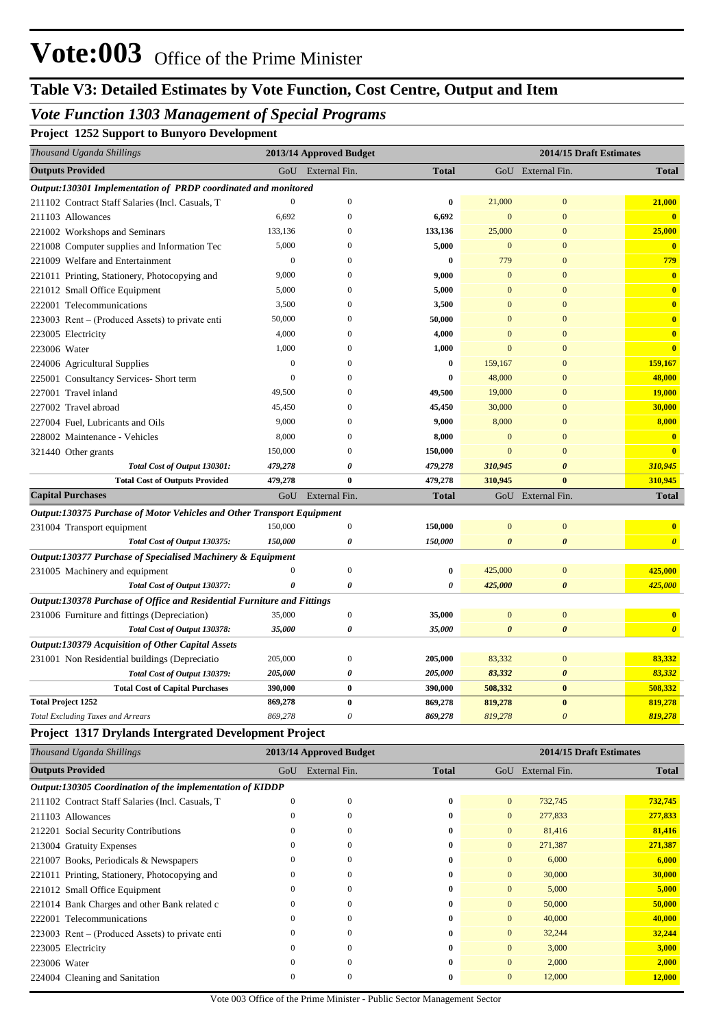## *Vote Function 1303 Management of Special Programs*

**Project 1252 Support to Bunyoro Development**

| Thousand Uganda Shillings                                               |                  | 2013/14 Approved Budget |              |                       | 2014/15 Draft Estimates |                         |
|-------------------------------------------------------------------------|------------------|-------------------------|--------------|-----------------------|-------------------------|-------------------------|
| <b>Outputs Provided</b>                                                 | GoU              | External Fin.           | <b>Total</b> |                       | GoU External Fin.       | <b>Total</b>            |
| Output:130301 Implementation of PRDP coordinated and monitored          |                  |                         |              |                       |                         |                         |
| 211102 Contract Staff Salaries (Incl. Casuals, T                        | $\theta$         | $\boldsymbol{0}$        | 0            | 21,000                | $\mathbf{0}$            | 21,000                  |
| 211103 Allowances                                                       | 6,692            | $\boldsymbol{0}$        | 6,692        | $\mathbf{0}$          | $\mathbf{0}$            | $\mathbf{0}$            |
| 221002 Workshops and Seminars                                           | 133,136          | $\boldsymbol{0}$        | 133,136      | 25,000                | $\boldsymbol{0}$        | 25,000                  |
| 221008 Computer supplies and Information Tec                            | 5,000            | $\boldsymbol{0}$        | 5,000        | $\mathbf{0}$          | $\boldsymbol{0}$        | $\mathbf{0}$            |
| 221009 Welfare and Entertainment                                        | $\boldsymbol{0}$ | $\mathbf{0}$            | 0            | 779                   | $\overline{0}$          | 779                     |
| 221011 Printing, Stationery, Photocopying and                           | 9,000            | $\mathbf{0}$            | 9,000        | $\mathbf{0}$          | $\overline{0}$          | $\overline{\mathbf{0}}$ |
| 221012 Small Office Equipment                                           | 5,000            | $\mathbf{0}$            | 5,000        | $\mathbf{0}$          | $\overline{0}$          | $\overline{\mathbf{0}}$ |
| 222001 Telecommunications                                               | 3,500            | $\mathbf{0}$            | 3,500        | $\mathbf{0}$          | $\overline{0}$          | $\overline{\mathbf{0}}$ |
| 223003 Rent – (Produced Assets) to private enti                         | 50,000           | $\mathbf{0}$            | 50,000       | $\mathbf{0}$          | $\overline{0}$          | $\bf{0}$                |
| 223005 Electricity                                                      | 4,000            | $\mathbf{0}$            | 4,000        | $\mathbf{0}$          | $\overline{0}$          | $\bf{0}$                |
| 223006 Water                                                            | 1,000            | $\mathbf{0}$            | 1,000        | $\Omega$              | $\overline{0}$          | $\bf{0}$                |
| 224006 Agricultural Supplies                                            | $\boldsymbol{0}$ | $\mathbf{0}$            | 0            | 159,167               | $\overline{0}$          | 159,167                 |
| 225001 Consultancy Services- Short term                                 | $\theta$         | $\mathbf{0}$            | $\bf{0}$     | 48,000                | $\overline{0}$          | 48,000                  |
| 227001 Travel inland                                                    | 49,500           | $\mathbf{0}$            | 49,500       | 19,000                | $\overline{0}$          | <b>19,000</b>           |
| 227002 Travel abroad                                                    | 45,450           | $\mathbf{0}$            | 45,450       | 30,000                | $\overline{0}$          | 30,000                  |
| 227004 Fuel, Lubricants and Oils                                        | 9,000            | $\mathbf{0}$            | 9,000        | 8,000                 | $\overline{0}$          | 8,000                   |
| 228002 Maintenance - Vehicles                                           | 8,000            | $\mathbf{0}$            | 8,000        | $\mathbf{0}$          | $\overline{0}$          | $\bf{0}$                |
| 321440 Other grants                                                     | 150,000          | $\mathbf{0}$            | 150,000      | $\Omega$              | $\overline{0}$          | $\overline{\mathbf{0}}$ |
| Total Cost of Output 130301:                                            | 479,278          | 0                       | 479,278      | 310,945               | $\boldsymbol{\theta}$   | 310,945                 |
| <b>Total Cost of Outputs Provided</b>                                   | 479,278          | $\bf{0}$                | 479,278      | 310,945               | $\mathbf{0}$            | 310,945                 |
| <b>Capital Purchases</b>                                                | GoU              | External Fin.           | <b>Total</b> |                       | GoU External Fin.       | <b>Total</b>            |
| Output:130375 Purchase of Motor Vehicles and Other Transport Equipment  |                  |                         |              |                       |                         |                         |
| 231004 Transport equipment                                              | 150,000          | $\boldsymbol{0}$        | 150,000      | $\mathbf{0}$          | $\boldsymbol{0}$        | $\bf{0}$                |
| Total Cost of Output 130375:                                            | 150,000          | 0                       | 150,000      | $\boldsymbol{\theta}$ | $\boldsymbol{\theta}$   | $\boldsymbol{\theta}$   |
| Output:130377 Purchase of Specialised Machinery & Equipment             |                  |                         |              |                       |                         |                         |
| 231005 Machinery and equipment                                          | $\boldsymbol{0}$ | $\boldsymbol{0}$        | 0            | 425,000               | $\boldsymbol{0}$        | 425,000                 |
| Total Cost of Output 130377:                                            | 0                | 0                       | 0            | 425,000               | $\boldsymbol{\theta}$   | 425,000                 |
| Output:130378 Purchase of Office and Residential Furniture and Fittings |                  |                         |              |                       |                         |                         |
| 231006 Furniture and fittings (Depreciation)                            | 35,000           | $\boldsymbol{0}$        | 35,000       | $\mathbf{0}$          | $\boldsymbol{0}$        | $\mathbf{0}$            |
| Total Cost of Output 130378:                                            | 35,000           | 0                       | 35,000       | $\boldsymbol{\theta}$ | $\boldsymbol{\theta}$   | $\boldsymbol{\theta}$   |
| Output:130379 Acquisition of Other Capital Assets                       |                  |                         |              |                       |                         |                         |
| 231001 Non Residential buildings (Depreciatio                           | 205,000          | $\boldsymbol{0}$        | 205,000      | 83,332                | $\boldsymbol{0}$        | 83,332                  |
| Total Cost of Output 130379:                                            | 205,000          | 0                       | 205,000      | 83,332                | 0                       | 83,332                  |
| <b>Total Cost of Capital Purchases</b>                                  | 390,000          | $\bf{0}$                | 390,000      | 508,332               | $\bf{0}$                | 508,332                 |
| <b>Total Project 1252</b>                                               | 869,278          | $\bf{0}$                | 869,278      | 819,278               | $\bf{0}$                | 819,278                 |
| <b>Total Excluding Taxes and Arrears</b>                                | 869,278          | 0                       | 869,278      | 819,278               | $\boldsymbol{\theta}$   | 819,278                 |
| <b>Project 1317 Drylands Intergrated Development Project</b>            |                  |                         |              |                       |                         |                         |
| Thousand Uganda Shillings                                               |                  | 2013/14 Approved Budget |              |                       | 2014/15 Draft Estimates |                         |
| <b>Outputs Provided</b>                                                 | GoU              | External Fin.           | <b>Total</b> |                       | GoU External Fin.       | <b>Total</b>            |
| Output:130305 Coordination of the implementation of KIDDP               |                  |                         |              |                       |                         |                         |
| 211102 Contract Staff Salaries (Incl. Casuals, T                        | $\boldsymbol{0}$ | $\boldsymbol{0}$        | $\bf{0}$     | $\mathbf{0}$          | 732,745                 | 732,745                 |
| 211103 Allowances                                                       | $\boldsymbol{0}$ | $\boldsymbol{0}$        | 0            | $\boldsymbol{0}$      | 277,833                 | 277,833                 |
| 212201 Social Security Contributions                                    | $\boldsymbol{0}$ | $\mathbf{0}$            | 0            | $\mathbf{0}$          | 81,416                  | 81,416                  |
| 213004 Gratuity Expenses                                                | 0                | $\mathbf{0}$            | 0            | $\mathbf{0}$          | 271,387                 | 271,387                 |
| 221007 Books, Periodicals & Newspapers                                  | $\theta$         | $\mathbf{0}$            | 0            | $\mathbf{0}$          | 6,000                   | 6,000                   |
| 221011 Printing, Stationery, Photocopying and                           | $\theta$         | $\mathbf{0}$            | 0            | $\mathbf{0}$          | 30,000                  | 30,000                  |
| 221012 Small Office Equipment                                           | 0                | $\mathbf{0}$            | 0            | $\mathbf{0}$          | 5,000                   | 5,000                   |
| 221014 Bank Charges and other Bank related c                            | 0                | $\mathbf{0}$            | 0            | $\mathbf{0}$          | 50,000                  | 50,000                  |
| 222001 Telecommunications                                               | $\boldsymbol{0}$ | $\mathbf{0}$            | 0            | $\mathbf{0}$          | 40,000                  | 40,000                  |
| 223003 Rent - (Produced Assets) to private enti                         | $\boldsymbol{0}$ | $\boldsymbol{0}$        | 0            | $\mathbf{0}$          | 32,244                  | 32,244                  |
| 223005 Electricity                                                      | $\boldsymbol{0}$ | $\boldsymbol{0}$        | 0            | $\mathbf{0}$          | 3,000                   | 3,000                   |

223006 Water 0 0 **0** 0 2,000 **2,000**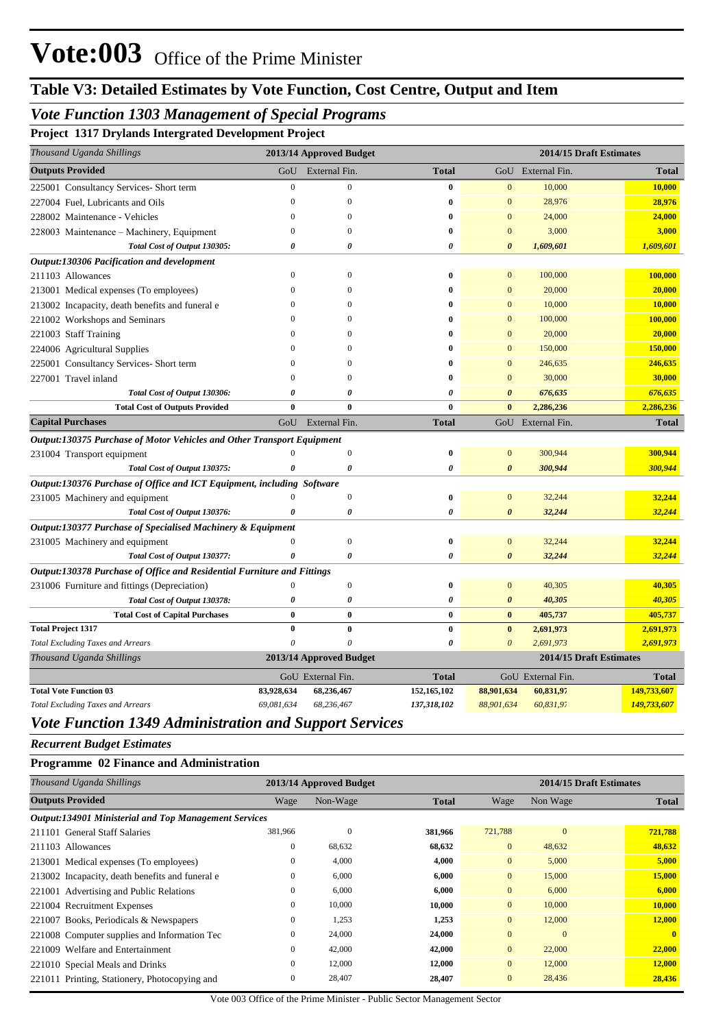### *Vote Function 1303 Management of Special Programs*

**Project 1317 Drylands Intergrated Development Project**

| Thousand Uganda Shillings                                               |                  | 2013/14 Approved Budget |                       |                       | 2014/15 Draft Estimates |              |
|-------------------------------------------------------------------------|------------------|-------------------------|-----------------------|-----------------------|-------------------------|--------------|
| <b>Outputs Provided</b>                                                 | GoU              | External Fin.           | <b>Total</b>          |                       | GoU External Fin.       | <b>Total</b> |
| 225001 Consultancy Services- Short term                                 | $\overline{0}$   | $\mathbf{0}$            | $\bf{0}$              | $\mathbf{0}$          | 10,000                  | 10,000       |
| 227004 Fuel, Lubricants and Oils                                        | $\overline{0}$   | $\overline{0}$          | $\bf{0}$              | $\mathbf{0}$          | 28,976                  | 28,976       |
| 228002 Maintenance - Vehicles                                           | $\theta$         | $\mathbf{0}$            | $\bf{0}$              | $\mathbf{0}$          | 24,000                  | 24,000       |
| 228003 Maintenance – Machinery, Equipment                               | $\theta$         | $\mathbf{0}$            | $\bf{0}$              | $\mathbf{0}$          | 3,000                   | 3,000        |
| Total Cost of Output 130305:                                            | 0                | 0                       | 0                     | $\boldsymbol{\theta}$ | 1,609,601               | 1,609,601    |
| Output:130306 Pacification and development                              |                  |                         |                       |                       |                         |              |
| 211103 Allowances                                                       | $\Omega$         | $\Omega$                | 0                     | $\Omega$              | 100,000                 | 100,000      |
| 213001 Medical expenses (To employees)                                  | $\theta$         | $\mathbf{0}$            | $\bf{0}$              | $\mathbf{0}$          | 20,000                  | 20,000       |
| 213002 Incapacity, death benefits and funeral e                         | $\Omega$         | $\Omega$                | 0                     | $\mathbf{0}$          | 10,000                  | 10,000       |
| 221002 Workshops and Seminars                                           | $\theta$         | $\mathbf{0}$            | 0                     | $\mathbf{0}$          | 100,000                 | 100,000      |
| 221003 Staff Training                                                   | $\Omega$         | 0                       | 0                     | $\mathbf{0}$          | 20,000                  | 20,000       |
| 224006 Agricultural Supplies                                            | $\Omega$         | 0                       | $\bf{0}$              | $\overline{0}$        | 150,000                 | 150,000      |
| 225001 Consultancy Services- Short term                                 | $\Omega$         | 0                       | $\bf{0}$              | $\Omega$              | 246,635                 | 246,635      |
| 227001 Travel inland                                                    | $\mathbf{0}$     | $\mathbf{0}$            | $\bf{0}$              | $\overline{0}$        | 30,000                  | 30,000       |
| Total Cost of Output 130306:                                            | 0                | 0                       | $\boldsymbol{\theta}$ | $\boldsymbol{\theta}$ | 676,635                 | 676,635      |
| <b>Total Cost of Outputs Provided</b>                                   | $\bf{0}$         | $\bf{0}$                | $\bf{0}$              | $\bf{0}$              | 2,286,236               | 2,286,236    |
| <b>Capital Purchases</b>                                                | GoU              | External Fin.           | <b>Total</b>          | GoU                   | External Fin.           | <b>Total</b> |
| Output:130375 Purchase of Motor Vehicles and Other Transport Equipment  |                  |                         |                       |                       |                         |              |
| 231004 Transport equipment                                              |                  | $\mathbf{0}$            | $\bf{0}$              | $\mathbf{0}$          | 300,944                 | 300,944      |
| Total Cost of Output 130375:                                            | Ô                | 0                       | 0                     | $\boldsymbol{\theta}$ | 300,944                 | 300,944      |
| Output:130376 Purchase of Office and ICT Equipment, including Software  |                  |                         |                       |                       |                         |              |
| 231005 Machinery and equipment                                          |                  | $\boldsymbol{0}$        | $\bf{0}$              | $\mathbf{0}$          | 32,244                  | 32,244       |
| Total Cost of Output 130376:                                            | 0                | 0                       | 0                     | $\boldsymbol{\theta}$ | 32,244                  | 32,244       |
| Output:130377 Purchase of Specialised Machinery & Equipment             |                  |                         |                       |                       |                         |              |
| 231005 Machinery and equipment                                          | $\boldsymbol{0}$ | $\boldsymbol{0}$        | $\bf{0}$              | $\mathbf{0}$          | 32,244                  | 32,244       |
| Total Cost of Output 130377:                                            | 0                | 0                       | 0                     | $\boldsymbol{\theta}$ | 32,244                  | 32,244       |
| Output:130378 Purchase of Office and Residential Furniture and Fittings |                  |                         |                       |                       |                         |              |
| 231006 Furniture and fittings (Depreciation)                            | $\boldsymbol{0}$ | $\boldsymbol{0}$        | $\bf{0}$              | $\mathbf{0}$          | 40,305                  | 40,305       |
| Total Cost of Output 130378:                                            | 0                | $\boldsymbol{\theta}$   | $\boldsymbol{\theta}$ | $\boldsymbol{\theta}$ | 40,305                  | 40,305       |
| <b>Total Cost of Capital Purchases</b>                                  | $\bf{0}$         | $\bf{0}$                | $\bf{0}$              | $\bf{0}$              | 405,737                 | 405,737      |
| <b>Total Project 1317</b>                                               | $\bf{0}$         | $\bf{0}$                | $\bf{0}$              | $\bf{0}$              | 2,691,973               | 2,691,973    |
| <b>Total Excluding Taxes and Arrears</b>                                | 0                | $\theta$                | 0                     | $\boldsymbol{0}$      | 2,691,973               | 2,691,973    |
| Thousand Uganda Shillings                                               |                  | 2013/14 Approved Budget |                       |                       | 2014/15 Draft Estimates |              |
|                                                                         |                  | GoU External Fin.       | <b>Total</b>          |                       | GoU External Fin.       | <b>Total</b> |
| <b>Total Vote Function 03</b>                                           | 83,928,634       | 68,236,467              | 152,165,102           | 88,901,634            | 60,831,97               | 149,733,607  |
| <b>Total Excluding Taxes and Arrears</b>                                | 69,081,634       | 68,236,467              | 137,318,102           | 88,901,634            | 60,831,97               | 149,733,607  |

### *Vote Function 1349 Administration and Support Services*

*Recurrent Budget Estimates*

#### **Programme 02 Finance and Administration**

| 2013/14 Approved Budget                                      |          |              |                |              | 2014/15 Draft Estimates |
|--------------------------------------------------------------|----------|--------------|----------------|--------------|-------------------------|
| Wage                                                         | Non-Wage | <b>Total</b> | Wage           | Non Wage     | <b>Total</b>            |
| <b>Output:134901 Ministerial and Top Management Services</b> |          |              |                |              |                         |
| 381,966                                                      | $\theta$ | 381,966      | 721,788        | $\mathbf{0}$ | 721,788                 |
| $\mathbf{0}$                                                 | 68,632   | 68,632       | $\overline{0}$ | 48,632       | 48,632                  |
| $\mathbf{0}$                                                 | 4,000    | 4,000        | $\overline{0}$ | 5,000        | 5,000                   |
| $\mathbf{0}$                                                 | 6,000    | 6,000        | $\overline{0}$ | 15,000       | 15,000                  |
| $\mathbf{0}$                                                 | 6,000    | 6,000        | $\overline{0}$ | 6,000        | 6,000                   |
| $\mathbf{0}$                                                 | 10,000   | 10,000       | $\overline{0}$ | 10,000       | 10,000                  |
| $\mathbf{0}$                                                 | 1,253    | 1,253        | $\overline{0}$ | 12,000       | 12,000                  |
| $\mathbf{0}$                                                 | 24,000   | 24,000       | $\overline{0}$ | $\mathbf{0}$ | $\mathbf{0}$            |
| $\mathbf{0}$                                                 | 42,000   | 42,000       | $\overline{0}$ | 22,000       | 22,000                  |
| $\mathbf{0}$                                                 | 12,000   | 12,000       | $\overline{0}$ | 12,000       | 12,000                  |
| $\mathbf{0}$                                                 | 28,407   | 28,407       | $\overline{0}$ | 28,436       | 28,436                  |
|                                                              |          |              |                |              |                         |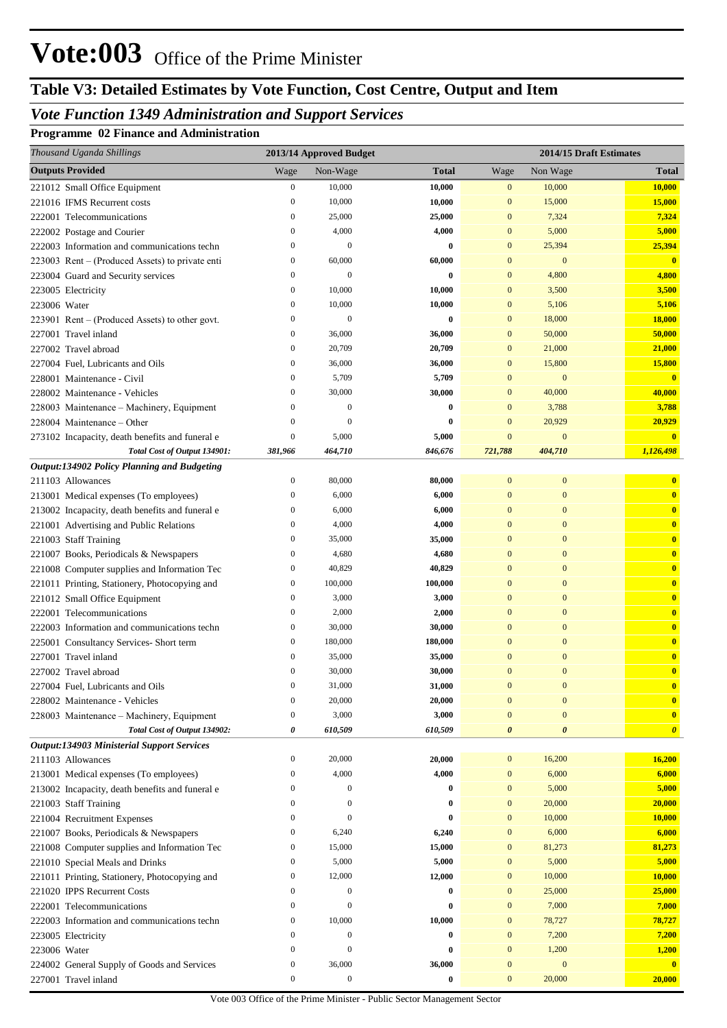# **Table V3: Detailed Estimates by Vote Function, Cost Centre, Output and Item**

## *Vote Function 1349 Administration and Support Services*

#### **Programme 02 Finance and Administration**

| Thousand Uganda Shillings                                                    |                                      | 2013/14 Approved Budget |                    |                              | 2014/15 Draft Estimates |                              |
|------------------------------------------------------------------------------|--------------------------------------|-------------------------|--------------------|------------------------------|-------------------------|------------------------------|
| <b>Outputs Provided</b>                                                      | Wage                                 | Non-Wage                | <b>Total</b>       | Wage                         | Non Wage                | <b>Total</b>                 |
| 221012 Small Office Equipment                                                | $\boldsymbol{0}$                     | 10,000                  | 10,000             | $\boldsymbol{0}$             | 10,000                  | <b>10,000</b>                |
| 221016 IFMS Recurrent costs                                                  | $\boldsymbol{0}$                     | 10,000                  | 10,000             | $\boldsymbol{0}$             | 15,000                  | 15,000                       |
| 222001 Telecommunications                                                    | $\boldsymbol{0}$                     | 25,000                  | 25,000             | $\bf{0}$                     | 7,324                   | 7,324                        |
| 222002 Postage and Courier                                                   | $\mathbf{0}$                         | 4,000                   | 4,000              | $\bf{0}$                     | 5,000                   | 5,000                        |
| 222003 Information and communications techn                                  | $\mathbf{0}$                         | $\boldsymbol{0}$        | $\bf{0}$           | $\mathbf{0}$                 | 25,394                  | 25,394                       |
| 223003 Rent – (Produced Assets) to private enti                              | $\boldsymbol{0}$                     | 60,000                  | 60,000             | $\bf{0}$                     | $\bf{0}$                | $\bf{0}$                     |
| 223004 Guard and Security services                                           | $\mathbf{0}$                         | $\mathbf{0}$            | $\bf{0}$           | $\bf{0}$                     | 4,800                   | 4,800                        |
| 223005 Electricity                                                           | $\boldsymbol{0}$                     | 10,000                  | 10,000             | $\bf{0}$                     | 3,500                   | 3,500                        |
| 223006 Water                                                                 | $\mathbf{0}$                         | 10,000                  | 10,000             | $\bf{0}$                     | 5,106                   | 5,106                        |
| $223901$ Rent – (Produced Assets) to other govt.                             | $\mathbf{0}$                         | $\boldsymbol{0}$        | 0                  | $\mathbf{0}$                 | 18,000                  | 18,000                       |
| 227001 Travel inland                                                         | $\boldsymbol{0}$                     | 36,000                  | 36,000             | $\bf{0}$                     | 50,000                  | 50,000                       |
| 227002 Travel abroad                                                         | $\mathbf{0}$                         | 20,709                  | 20,709             | $\bf{0}$                     | 21,000                  | 21,000                       |
| 227004 Fuel, Lubricants and Oils                                             | $\mathbf{0}$                         | 36,000                  | 36,000             | $\mathbf{0}$                 | 15,800                  | 15,800                       |
| 228001 Maintenance - Civil                                                   | $\mathbf{0}$                         | 5,709                   | 5,709              | $\bf{0}$                     | $\bf{0}$                | $\overline{\mathbf{0}}$      |
| 228002 Maintenance - Vehicles                                                | $\mathbf{0}$                         | 30,000                  | 30,000             | $\bf{0}$                     | 40,000                  | 40,000                       |
| 228003 Maintenance - Machinery, Equipment                                    | $\bf{0}$                             | $\mathbf{0}$            | $\bf{0}$           | $\mathbf{0}$                 | 3,788                   | 3,788                        |
| 228004 Maintenance – Other                                                   | $\bf{0}$                             | $\theta$                | 0                  | $\mathbf{0}$                 | 20,929                  | 20,929                       |
| 273102 Incapacity, death benefits and funeral e                              | $\boldsymbol{0}$                     | 5,000                   | 5,000              | $\bf{0}$                     | $\bf{0}$                | $\mathbf{0}$                 |
| Total Cost of Output 134901:                                                 | 381,966                              | 464,710                 | 846,676            | 721,788                      | 404,710                 | 1,126,498                    |
| Output:134902 Policy Planning and Budgeting                                  |                                      |                         |                    |                              |                         |                              |
| 211103 Allowances                                                            | $\bf{0}$                             | 80,000                  | 80,000             | $\bf{0}$                     | $\bf{0}$                | $\mathbf{0}$                 |
| 213001 Medical expenses (To employees)                                       | $\mathbf{0}$                         | 6,000                   | 6,000              | $\bf{0}$                     | $\bf{0}$                | $\mathbf{0}$                 |
| 213002 Incapacity, death benefits and funeral e                              | $\boldsymbol{0}$                     | 6,000                   | 6,000              | $\bf{0}$                     | $\boldsymbol{0}$        | $\bf{0}$                     |
| 221001 Advertising and Public Relations                                      | $\mathbf{0}$                         | 4,000                   | 4,000              | $\bf{0}$                     | $\boldsymbol{0}$        | $\bf{0}$                     |
| 221003 Staff Training                                                        | $\mathbf{0}$                         | 35,000                  | 35,000             | $\bf{0}$                     | $\boldsymbol{0}$        | $\bf{0}$                     |
| 221007 Books, Periodicals & Newspapers                                       | $\bf{0}$                             | 4,680                   | 4,680              | $\bf{0}$                     | $\boldsymbol{0}$        | $\bf{0}$                     |
| 221008 Computer supplies and Information Tec                                 | $\bf{0}$                             | 40,829                  | 40,829             | $\bf{0}$                     | $\boldsymbol{0}$        | $\bf{0}$                     |
| 221011 Printing, Stationery, Photocopying and                                | $\boldsymbol{0}$                     | 100,000                 | 100,000            | $\bf{0}$                     | $\boldsymbol{0}$        | $\bf{0}$                     |
| 221012 Small Office Equipment                                                | $\mathbf{0}$                         | 3,000                   | 3,000              | $\bf{0}$                     | $\boldsymbol{0}$        | $\bf{0}$                     |
| 222001 Telecommunications                                                    | $\mathbf{0}$                         | 2,000                   | 2,000              | $\bf{0}$                     | $\boldsymbol{0}$        | $\bf{0}$                     |
| 222003 Information and communications techn                                  | $\boldsymbol{0}$                     | 30,000                  | 30,000             | $\bf{0}$                     | $\boldsymbol{0}$        | $\bf{0}$                     |
| 225001 Consultancy Services- Short term                                      | $\mathbf{0}$                         | 180,000                 | 180,000            | $\mathbf{0}$                 | $\mathbf{0}$            | $\bf{0}$                     |
| 227001 Travel inland                                                         | $\mathbf{0}$                         | 35,000                  | 35,000             | $\mathbf{0}$                 | $\overline{0}$          | $\bf{0}$                     |
| 227002 Travel abroad                                                         | $\mathbf{0}$                         | 30,000                  | 30,000             | $\bf{0}$                     | $\mathbf{0}$            | $\mathbf{0}$<br>$\mathbf{0}$ |
| 227004 Fuel, Lubricants and Oils                                             | $\Omega$                             | 31,000                  | 31,000             | $\mathbf{0}$                 | $\Omega$                |                              |
| 228002 Maintenance - Vehicles                                                | $\boldsymbol{0}$                     | 20,000                  | 20,000             | $\mathbf{0}$                 | $\boldsymbol{0}$        | $\mathbf{0}$                 |
| 228003 Maintenance - Machinery, Equipment                                    | $\boldsymbol{0}$                     | 3,000                   | 3,000              | $\mathbf{0}$                 | $\boldsymbol{0}$        | $\mathbf{0}$                 |
| Total Cost of Output 134902:                                                 | 0                                    | 610,509                 | 610,509            | $\boldsymbol{\theta}$        | 0                       | $\boldsymbol{\theta}$        |
| <b>Output:134903 Ministerial Support Services</b>                            |                                      |                         |                    |                              |                         | 16,200                       |
| 211103 Allowances<br>213001 Medical expenses (To employees)                  | $\boldsymbol{0}$<br>$\boldsymbol{0}$ | 20,000<br>4,000         | 20,000<br>4,000    | $\mathbf{0}$<br>$\mathbf{0}$ | 16,200<br>6,000         | 6,000                        |
| 213002 Incapacity, death benefits and funeral e                              | $\boldsymbol{0}$                     | $\mathbf{0}$            | 0                  | $\mathbf{0}$                 | 5,000                   | 5,000                        |
|                                                                              | $\mathbf{0}$                         | $\mathbf{0}$            | $\bf{0}$           | $\mathbf{0}$                 | 20,000                  | 20,000                       |
| 221003 Staff Training                                                        | $\mathbf{0}$                         | $\mathbf{0}$            | $\bf{0}$           | $\mathbf{0}$                 | 10,000                  | 10,000                       |
| 221004 Recruitment Expenses                                                  | $\boldsymbol{0}$                     | 6,240                   | 6,240              | $\bf{0}$                     | 6,000                   | 6,000                        |
| 221007 Books, Periodicals & Newspapers                                       | 0                                    | 15,000                  | 15,000             | $\bf{0}$                     | 81,273                  | 81,273                       |
| 221008 Computer supplies and Information Tec                                 | $\boldsymbol{0}$                     | 5,000                   | 5,000              | $\bf{0}$                     | 5,000                   | 5,000                        |
| 221010 Special Meals and Drinks                                              | $\boldsymbol{0}$                     | 12,000                  | 12,000             | $\mathbf{0}$                 | 10,000                  | 10,000                       |
| 221011 Printing, Stationery, Photocopying and<br>221020 IPPS Recurrent Costs | 0                                    | $\mathbf{0}$            | 0                  | $\mathbf{0}$                 | 25,000                  | 25,000                       |
|                                                                              | $\boldsymbol{0}$                     | $\boldsymbol{0}$        | 0                  | $\mathbf{0}$                 | 7,000                   | 7,000                        |
| 222001 Telecommunications                                                    | $\boldsymbol{0}$                     | 10,000                  |                    | $\mathbf{0}$                 | 78,727                  |                              |
| 222003 Information and communications techn                                  | $\boldsymbol{0}$                     | $\mathbf{0}$            | 10,000<br>$\bf{0}$ | $\mathbf{0}$                 | 7,200                   | 78,727<br>7,200              |
| 223005 Electricity                                                           | $\boldsymbol{0}$                     | $\boldsymbol{0}$        | 0                  | $\mathbf{0}$                 | 1,200                   |                              |
| 223006 Water                                                                 | $\boldsymbol{0}$                     | 36,000                  | 36,000             | $\mathbf{0}$                 | $\mathbf{0}$            | 1,200<br>$\mathbf{0}$        |
| 224002 General Supply of Goods and Services                                  | $\boldsymbol{0}$                     | $\boldsymbol{0}$        | $\bf{0}$           | $\bf{0}$                     | 20,000                  |                              |
| 227001 Travel inland                                                         |                                      |                         |                    |                              |                         | 20,000                       |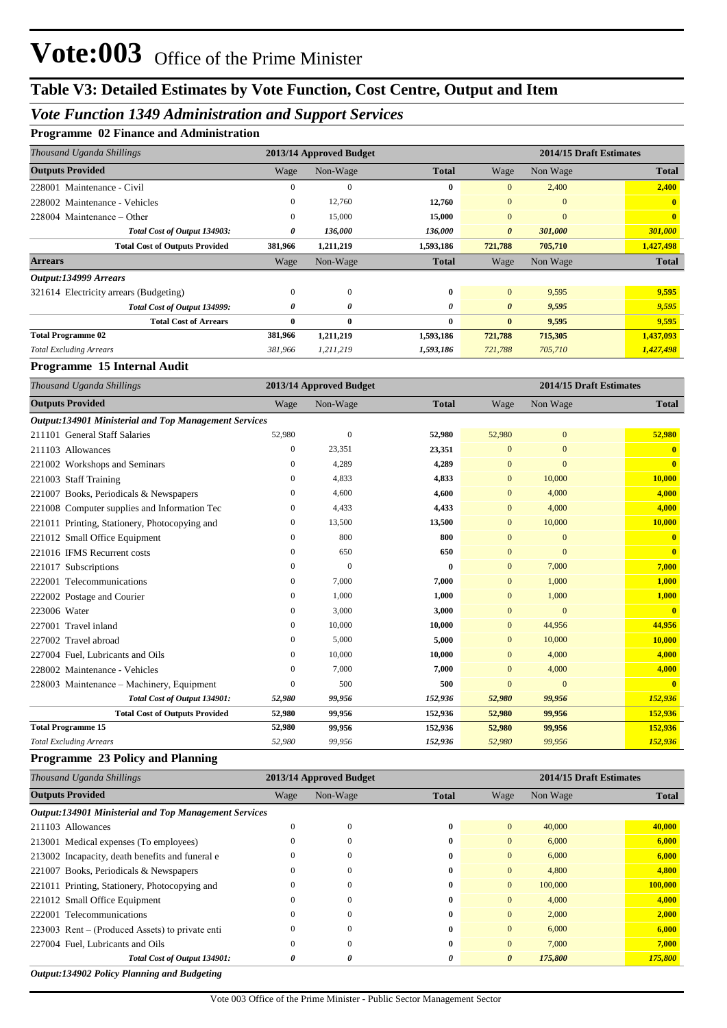### *Vote Function 1349 Administration and Support Services*

#### **Programme 02 Finance and Administration**

| Thousand Uganda Shillings              | 2013/14 Approved Budget |              |              | 2014/15 Draft Estimates |              |              |
|----------------------------------------|-------------------------|--------------|--------------|-------------------------|--------------|--------------|
| <b>Outputs Provided</b>                | Wage                    | Non-Wage     | <b>Total</b> | Wage                    | Non Wage     | <b>Total</b> |
| 228001 Maintenance - Civil             | $_{0}$                  | $\mathbf{0}$ | 0            | $\overline{0}$          | 2,400        | 2,400        |
| 228002 Maintenance - Vehicles          | $\Omega$                | 12,760       | 12,760       | $\mathbf{0}$            | $\mathbf{0}$ | $\mathbf{0}$ |
| $228004$ Maintenance – Other           | 0                       | 15,000       | 15,000       | $\mathbf{0}$            | $\mathbf{0}$ | $\mathbf{0}$ |
| Total Cost of Output 134903:           | 0                       | 136,000      | 136,000      | $\theta$                | 301,000      | 301,000      |
| <b>Total Cost of Outputs Provided</b>  | 381,966                 | 1,211,219    | 1,593,186    | 721,788                 | 705,710      | 1,427,498    |
| <b>Arrears</b>                         | Wage                    | Non-Wage     | <b>Total</b> | Wage                    | Non Wage     | <b>Total</b> |
| Output:134999 Arrears                  |                         |              |              |                         |              |              |
| 321614 Electricity arrears (Budgeting) | $\mathbf{0}$            | $\mathbf{0}$ | $\bf{0}$     | $\mathbf{0}$            | 9,595        | 9,595        |
| Total Cost of Output 134999:           | 0                       | 0            | 0            | $\boldsymbol{\theta}$   | 9,595        | 9,595        |
| <b>Total Cost of Arrears</b>           | 0                       | $\bf{0}$     | 0            | $\bf{0}$                | 9,595        | 9,595        |
| <b>Total Programme 02</b>              | 381,966                 | 1,211,219    | 1,593,186    | 721,788                 | 715,305      | 1,437,093    |
| <b>Total Excluding Arrears</b>         | 381,966                 | 1,211,219    | 1,593,186    | 721,788                 | 705,710      | 1,427,498    |

#### **Programme 15 Internal Audit**

| Thousand Uganda Shillings                                    |        | 2013/14 Approved Budget |              |              | 2014/15 Draft Estimates |              |
|--------------------------------------------------------------|--------|-------------------------|--------------|--------------|-------------------------|--------------|
| <b>Outputs Provided</b>                                      | Wage   | Non-Wage                | <b>Total</b> | Wage         | Non Wage                | <b>Total</b> |
| <b>Output:134901 Ministerial and Top Management Services</b> |        |                         |              |              |                         |              |
| 211101 General Staff Salaries                                | 52,980 | $\theta$                | 52,980       | 52,980       | $\mathbf{0}$            | 52,980       |
| 211103 Allowances                                            | 0      | 23,351                  | 23,351       | $\mathbf{0}$ | $\mathbf{0}$            | $\mathbf{0}$ |
| 221002 Workshops and Seminars                                | 0      | 4,289                   | 4,289        | $\mathbf{0}$ | $\mathbf{0}$            | $\mathbf{0}$ |
| 221003 Staff Training                                        | 0      | 4,833                   | 4,833        | $\mathbf{0}$ | 10,000                  | 10,000       |
| 221007 Books, Periodicals & Newspapers                       | 0      | 4,600                   | 4,600        | $\mathbf{0}$ | 4,000                   | 4,000        |
| 221008 Computer supplies and Information Tec                 | 0      | 4,433                   | 4,433        | $\mathbf{0}$ | 4,000                   | 4,000        |
| 221011 Printing, Stationery, Photocopying and                | 0      | 13,500                  | 13,500       | $\mathbf{0}$ | 10,000                  | 10,000       |
| 221012 Small Office Equipment                                | 0      | 800                     | 800          | $\mathbf{0}$ | $\mathbf{0}$            | $\mathbf{0}$ |
| 221016 IFMS Recurrent costs                                  | 0      | 650                     | 650          | $\Omega$     | $\Omega$                | $\mathbf{0}$ |
| 221017 Subscriptions                                         | 0      | $\mathbf{0}$            | $\bf{0}$     | $\mathbf{0}$ | 7,000                   | 7,000        |
| 222001 Telecommunications                                    | 0      | 7,000                   | 7,000        | $\mathbf{0}$ | 1,000                   | 1,000        |
| 222002 Postage and Courier                                   | 0      | 1,000                   | 1,000        | $\mathbf{0}$ | 1,000                   | 1,000        |
| 223006 Water                                                 | 0      | 3,000                   | 3,000        | $\Omega$     | $\overline{0}$          | $\mathbf{0}$ |
| 227001 Travel inland                                         | 0      | 10,000                  | 10,000       | $\mathbf{0}$ | 44,956                  | 44,956       |
| 227002 Travel abroad                                         | 0      | 5,000                   | 5,000        | $\mathbf{0}$ | 10,000                  | 10,000       |
| 227004 Fuel, Lubricants and Oils                             | 0      | 10,000                  | 10,000       | $\Omega$     | 4,000                   | 4,000        |
| 228002 Maintenance - Vehicles                                | 0      | 7,000                   | 7,000        | $\mathbf{0}$ | 4,000                   | 4,000        |
| 228003 Maintenance – Machinery, Equipment                    | 0      | 500                     | 500          | $\mathbf{0}$ | $\overline{0}$          | $\mathbf{0}$ |
| Total Cost of Output 134901:                                 | 52,980 | 99,956                  | 152,936      | 52,980       | 99,956                  | 152,936      |
| <b>Total Cost of Outputs Provided</b>                        | 52,980 | 99,956                  | 152,936      | 52,980       | 99,956                  | 152,936      |
| <b>Total Programme 15</b>                                    | 52,980 | 99,956                  | 152,936      | 52,980       | 99,956                  | 152,936      |
| <b>Total Excluding Arrears</b>                               | 52,980 | 99,956                  | 152,936      | 52,980       | 99,956                  | 152,936      |

#### **Programme 23 Policy and Planning**

| Thousand Uganda Shillings                                    | 2013/14 Approved Budget<br>2014/15 Draft Estimates |          |              |                |          |              |
|--------------------------------------------------------------|----------------------------------------------------|----------|--------------|----------------|----------|--------------|
| <b>Outputs Provided</b>                                      | Wage                                               | Non-Wage | <b>Total</b> | Wage           | Non Wage | <b>Total</b> |
| <b>Output:134901 Ministerial and Top Management Services</b> |                                                    |          |              |                |          |              |
| 211103 Allowances                                            |                                                    | 0        | 0            | $\Omega$       | 40,000   | 40,000       |
| 213001 Medical expenses (To employees)                       |                                                    |          | 0            | $\Omega$       | 6,000    | 6,000        |
| 213002 Incapacity, death benefits and funeral e              |                                                    |          | 0            | $\Omega$       | 6,000    | 6,000        |
| 221007 Books, Periodicals & Newspapers                       |                                                    |          | 0            | $\mathbf{0}$   | 4,800    | 4,800        |
| 221011 Printing, Stationery, Photocopying and                |                                                    |          | 0            | $\overline{0}$ | 100,000  | 100,000      |
| 221012 Small Office Equipment                                |                                                    |          | 0            | $\overline{0}$ | 4,000    | 4,000        |
| 222001 Telecommunications                                    | $\theta$                                           |          | 0            | $\Omega$       | 2,000    | 2,000        |
| 223003 Rent – (Produced Assets) to private enti-             |                                                    |          | 0            | $\Omega$       | 6,000    | 6,000        |
| 227004 Fuel, Lubricants and Oils                             |                                                    |          | 0            | $\Omega$       | 7.000    | 7,000        |
| Total Cost of Output 134901:                                 | 0                                                  | 0        | 0            | $\theta$       | 175,800  | 175,800      |

*Output:134902 Policy Planning and Budgeting*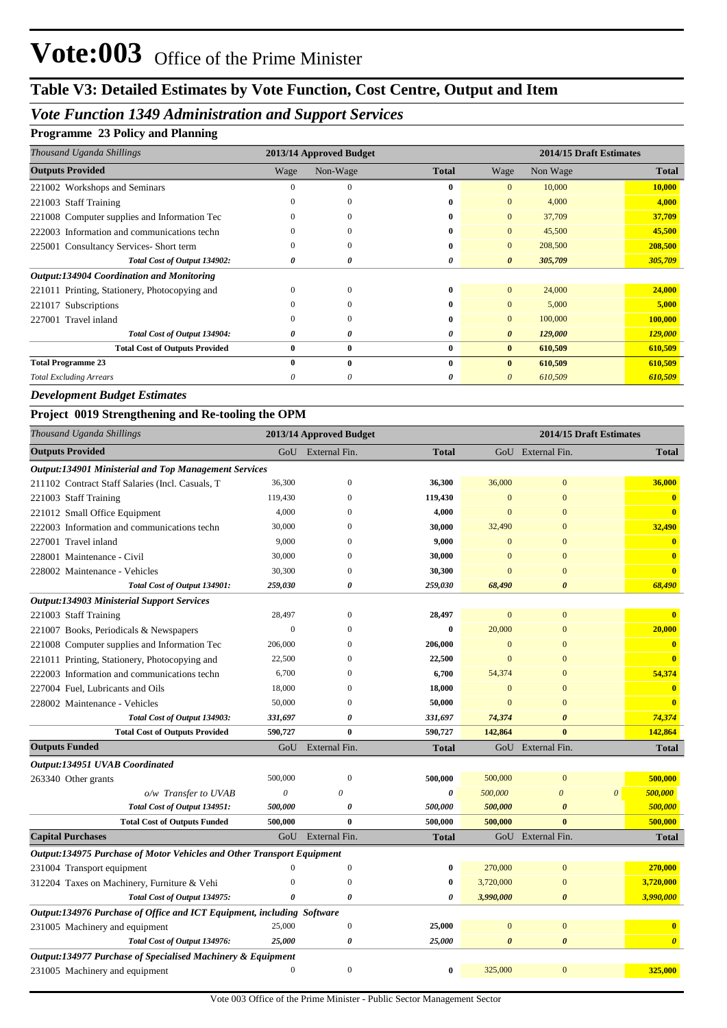## *Vote Function 1349 Administration and Support Services*

#### **Programme 23 Policy and Planning**

| Thousand Uganda Shillings                     | 2013/14 Approved Budget |              |              |                       | 2014/15 Draft Estimates |              |
|-----------------------------------------------|-------------------------|--------------|--------------|-----------------------|-------------------------|--------------|
| <b>Outputs Provided</b>                       | Wage                    | Non-Wage     | <b>Total</b> | Wage                  | Non Wage                | <b>Total</b> |
| 221002 Workshops and Seminars                 |                         | $\Omega$     | 0            | $\Omega$              | 10,000                  | 10,000       |
| 221003 Staff Training                         | $\theta$                | 0            | 0            | $\overline{0}$        | 4,000                   | 4,000        |
| 221008 Computer supplies and Information Tec  | $\theta$                | 0            | 0            | $\overline{0}$        | 37,709                  | 37,709       |
| 222003 Information and communications techn   | $\Omega$                | 0            | 0            | $\Omega$              | 45,500                  | 45,500       |
| 225001 Consultancy Services-Short term        | $\Omega$                | 0            | 0            | $\mathbf{0}$          | 208,500                 | 208,500      |
| Total Cost of Output 134902:                  | 0                       | 0            | 0            | $\boldsymbol{\theta}$ | 305,709                 | 305,709      |
| Output:134904 Coordination and Monitoring     |                         |              |              |                       |                         |              |
| 221011 Printing, Stationery, Photocopying and | $\Omega$                | $\Omega$     | 0            | $\Omega$              | 24,000                  | 24,000       |
| 221017<br>Subscriptions                       | $\Omega$                | $\Omega$     | 0            | $\overline{0}$        | 5,000                   | 5,000        |
| Travel inland<br>227001                       | $\theta$                | $\Omega$     | 0            | $\overline{0}$        | 100,000                 | 100,000      |
| Total Cost of Output 134904:                  | 0                       | 0            | 0            | $\theta$              | 129,000                 | 129,000      |
| <b>Total Cost of Outputs Provided</b>         | 0                       | $\bf{0}$     | 0            | $\bf{0}$              | 610,509                 | 610,509      |
| <b>Total Programme 23</b>                     | 0                       | $\mathbf{0}$ | 0            | $\mathbf{0}$          | 610,509                 | 610,509      |
| <b>Total Excluding Arrears</b>                | 0                       | 0            | 0            | $\theta$              | 610,509                 | 610,509      |

#### *Development Budget Estimates*

#### **Project 0019 Strengthening and Re-tooling the OPM**

| Thousand Uganda Shillings                                                     |                           | 2013/14 Approved Budget |                |                       | 2014/15 Draft Estimates |                                  |
|-------------------------------------------------------------------------------|---------------------------|-------------------------|----------------|-----------------------|-------------------------|----------------------------------|
| <b>Outputs Provided</b>                                                       | GoU                       | External Fin.           | <b>Total</b>   |                       | GoU External Fin.       | <b>Total</b>                     |
| <b>Output:134901 Ministerial and Top Management Services</b>                  |                           |                         |                |                       |                         |                                  |
| 211102 Contract Staff Salaries (Incl. Casuals, T                              | 36,300                    | $\mathbf{0}$            | 36,300         | 36,000                | $\mathbf{0}$            | 36,000                           |
| 221003 Staff Training                                                         | 119,430                   | $\overline{0}$          | 119,430        | $\overline{0}$        | $\mathbf{0}$            | $\mathbf{0}$                     |
| 221012 Small Office Equipment                                                 | 4,000                     | 0                       | 4,000          | $\overline{0}$        | $\mathbf{0}$            | $\overline{\mathbf{0}}$          |
| 222003 Information and communications techn                                   | 30,000                    | $\Omega$                | 30,000         | 32,490                | $\mathbf{0}$            | 32,490                           |
| 227001 Travel inland                                                          | 9,000                     | $\Omega$                | 9,000          | $\Omega$              | $\Omega$                | $\overline{\mathbf{0}}$          |
| 228001 Maintenance - Civil                                                    | 30,000                    | $\Omega$                | 30,000         | $\mathbf{0}$          | $\mathbf{0}$            | $\bf{0}$                         |
| 228002 Maintenance - Vehicles                                                 | 30,300                    | $\Omega$                | 30,300         | $\Omega$              | $\overline{0}$          | $\overline{\mathbf{0}}$          |
| Total Cost of Output 134901:                                                  | 259,030                   | 0                       | 259,030        | 68,490                | $\boldsymbol{\theta}$   | 68,490                           |
| <b>Output:134903 Ministerial Support Services</b>                             |                           |                         |                |                       |                         |                                  |
| 221003 Staff Training                                                         | 28,497                    | $\overline{0}$          | 28,497         | $\mathbf{0}$          | $\mathbf{0}$            | $\overline{0}$                   |
| 221007 Books, Periodicals & Newspapers                                        | $\overline{0}$            | $\theta$                | $\bf{0}$       | 20,000                | $\mathbf{0}$            | 20,000                           |
| 221008 Computer supplies and Information Tec                                  | 206,000                   | $\Omega$                | 206,000        | $\mathbf{0}$          | $\overline{0}$          | $\mathbf{0}$                     |
| 221011 Printing, Stationery, Photocopying and                                 | 22,500                    | $\Omega$                | 22,500         | $\mathbf{0}$          | $\overline{0}$          | $\overline{\mathbf{0}}$          |
| 222003 Information and communications techn                                   | 6.700                     | $\Omega$                | 6,700          | 54,374                | $\theta$                | 54,374                           |
| 227004 Fuel, Lubricants and Oils                                              | 18,000                    | $\Omega$                | 18,000         | $\overline{0}$        | $\overline{0}$          | $\overline{\mathbf{0}}$          |
| 228002 Maintenance - Vehicles                                                 | 50,000                    | $\overline{0}$          | 50,000         | $\overline{0}$        | $\overline{0}$          | $\overline{\mathbf{0}}$          |
| Total Cost of Output 134903:                                                  | 331,697                   | 0                       | 331,697        | 74,374                | $\boldsymbol{\theta}$   | 74,374                           |
| <b>Total Cost of Outputs Provided</b>                                         | 590,727                   | $\bf{0}$                | 590,727        | 142,864               | $\mathbf{0}$            | 142,864                          |
| <b>Outputs Funded</b>                                                         | GoU                       | External Fin.           | <b>Total</b>   |                       | GoU External Fin.       | <b>Total</b>                     |
| Output:134951 UVAB Coordinated                                                |                           |                         |                |                       |                         |                                  |
| 263340 Other grants                                                           | 500,000                   | $\overline{0}$          | 500,000        | 500,000               | $\mathbf{0}$            | 500,000                          |
| o/w Transfer to UVAB                                                          | $\boldsymbol{\mathit{0}}$ | 0                       | 0              | 500,000               | $\theta$                | $\boldsymbol{\theta}$<br>500,000 |
| Total Cost of Output 134951:                                                  | 500,000                   | 0                       | 500,000        | 500,000               | $\boldsymbol{\theta}$   | 500,000                          |
| <b>Total Cost of Outputs Funded</b>                                           | 500,000                   | $\mathbf{0}$            | 500,000        | 500,000               | $\mathbf{0}$            | 500,000                          |
| <b>Capital Purchases</b>                                                      | GoU                       | External Fin.           | <b>Total</b>   |                       | GoU External Fin.       | <b>Total</b>                     |
| <b>Output:134975 Purchase of Motor Vehicles and Other Transport Equipment</b> |                           |                         |                |                       |                         |                                  |
| 231004 Transport equipment                                                    | $\theta$                  | $\overline{0}$          | $\bf{0}$       | 270,000               | $\mathbf{0}$            | 270,000                          |
| 312204 Taxes on Machinery, Furniture & Vehi                                   | $\overline{0}$            | $\overline{0}$          | $\bf{0}$       | 3,720,000             | $\overline{0}$          | 3,720,000                        |
| Total Cost of Output 134975:                                                  | $\boldsymbol{\theta}$     | $\boldsymbol{\theta}$   | $\pmb{\theta}$ | 3,990,000             | $\boldsymbol{\theta}$   | 3,990,000                        |
| Output:134976 Purchase of Office and ICT Equipment, including Software        |                           |                         |                |                       |                         |                                  |
| 231005 Machinery and equipment                                                | 25,000                    | $\mathbf{0}$            | 25,000         | $\mathbf{0}$          | $\mathbf{0}$            | $\bf{0}$                         |
| Total Cost of Output 134976:                                                  | 25,000                    | 0                       | 25,000         | $\boldsymbol{\theta}$ | $\boldsymbol{\theta}$   | $\overline{\boldsymbol{\theta}}$ |
| Output:134977 Purchase of Specialised Machinery & Equipment                   |                           |                         |                |                       |                         |                                  |
| 231005 Machinery and equipment                                                | $\mathbf{0}$              | $\mathbf{0}$            | $\bf{0}$       | 325,000               | $\mathbf{0}$            | 325,000                          |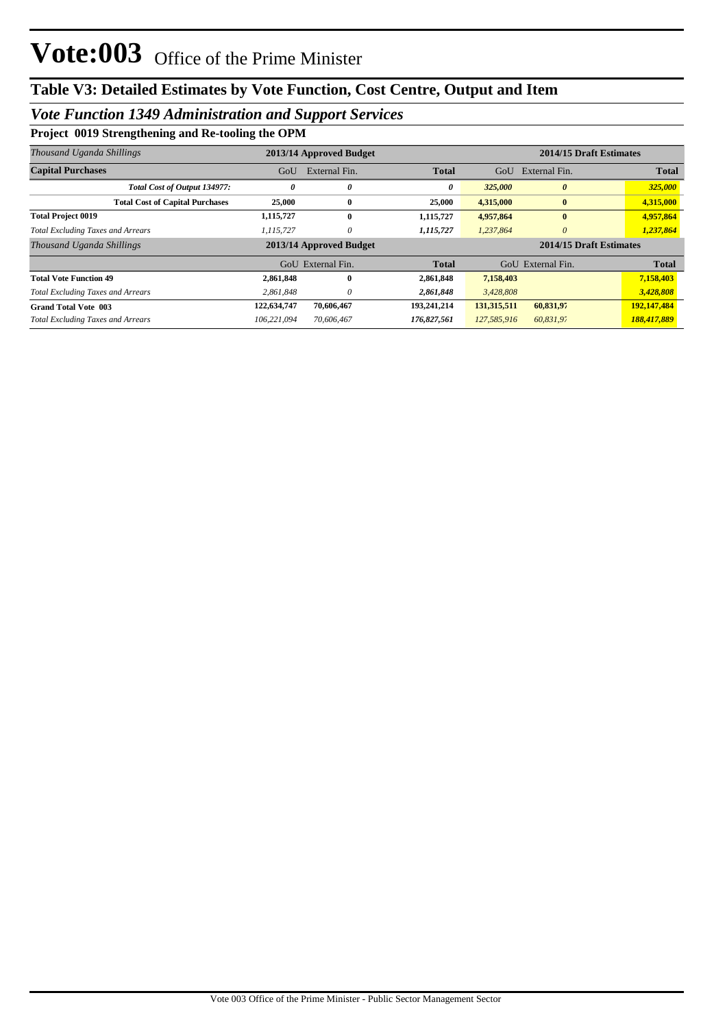## *Vote Function 1349 Administration and Support Services*

**Project 0019 Strengthening and Re-tooling the OPM**

| Thousand Uganda Shillings                | 2013/14 Approved Budget |                         |              | 2014/15 Draft Estimates          |                         |  |
|------------------------------------------|-------------------------|-------------------------|--------------|----------------------------------|-------------------------|--|
| <b>Capital Purchases</b>                 | GoU                     | External Fin.           | <b>Total</b> | GoU<br>External Fin.             | <b>Total</b>            |  |
| Total Cost of Output 134977:             | 0                       | 0                       | 0            | 325,000<br>$\boldsymbol{\theta}$ | 325,000                 |  |
| <b>Total Cost of Capital Purchases</b>   | 25,000                  | $\bf{0}$                | 25,000       | 4,315,000<br>$\bf{0}$            | 4,315,000               |  |
| <b>Total Project 0019</b>                | 1,115,727               | $\mathbf{0}$            | 1,115,727    | 4,957,864<br>$\mathbf{0}$        | 4,957,864               |  |
| <b>Total Excluding Taxes and Arrears</b> | 1,115,727               | 0                       | 1,115,727    | 1,237,864<br>0                   | 1,237,864               |  |
| Thousand Uganda Shillings                |                         | 2013/14 Approved Budget |              |                                  | 2014/15 Draft Estimates |  |
|                                          |                         | GoU External Fin.       | <b>Total</b> | External Fin.<br>GoU             | <b>Total</b>            |  |
| <b>Total Vote Function 49</b>            | 2,861,848               | $\bf{0}$                | 2,861,848    | 7,158,403                        | 7,158,403               |  |
| <b>Total Excluding Taxes and Arrears</b> | 2,861,848               | 0                       | 2,861,848    | 3,428,808                        | 3,428,808               |  |
| <b>Grand Total Vote 003</b>              | 122,634,747             | 70,606,467              | 193,241,214  | 131,315,511<br>60,831,97         | 192,147,484             |  |
| <b>Total Excluding Taxes and Arrears</b> | 106.221.094             | 70.606.467              | 176,827,561  | 127,585,916<br>60,831,97         | 188,417,889             |  |